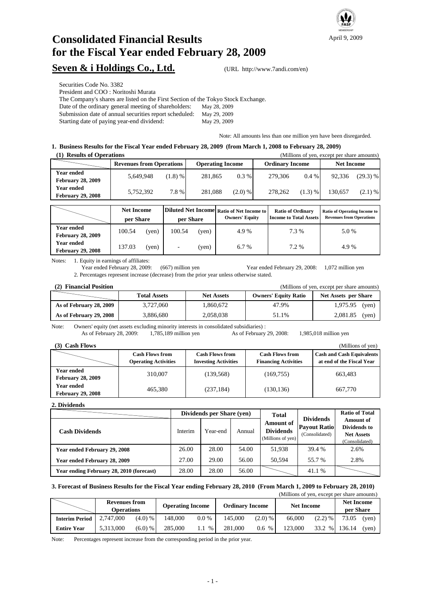

# **Consolidated Financial Results for the Fiscal Year ended February 28, 2009**

### **Seven & i Holdings Co., Ltd.** (URL http://www.7andi.com/en)

Securities Code No. 3382

President and COO : Noritoshi Murata

The Company's shares are listed on the First Section of the Tokyo Stock Exchange.

Date of the ordinary general meeting of shareholders: May 28, 2009

Submission date of annual securities report scheduled: May 29, 2009 Starting date of paying year-end dividend:

May 29, 2009

Note: All amounts less than one million yen have been disregarded.

#### **1. Business Results for the Fiscal Year ended February 28, 2009 (from March 1, 2008 to February 28, 2009)**

| <b>Results of Operations</b>                  |                                 | (Millions of yen, except per share amounts) |         |                        |         |                   |         |            |
|-----------------------------------------------|---------------------------------|---------------------------------------------|---------|------------------------|---------|-------------------|---------|------------|
|                                               | <b>Revenues from Operations</b> | <b>Operating Income</b>                     |         | <b>Ordinary Income</b> |         | <b>Net Income</b> |         |            |
| <b>Year ended</b><br><b>February 28, 2009</b> | 5,649,948                       | (1.8) %                                     | 281,865 | $0.3\%$                | 279,306 | $0.4\%$           | 92.336  | $(29.3)$ % |
| Year ended<br><b>February 29, 2008</b>        | 5,752,392                       | 7.8%                                        | 281.088 | $(2.0)$ %              | 278,262 | (1.3) %           | 130.657 | $(2.1)$ %  |

|                                               | <b>Net Income</b><br>per Share |       | Diluted Net Income Ratio of Net Income to<br>per Share |       | <b>Owners' Equity</b> | <b>Ratio of Ordinary</b><br><b>Income to Total Assets</b> | Ratio of Operating Income to<br><b>Revenues from Operations</b> |  |
|-----------------------------------------------|--------------------------------|-------|--------------------------------------------------------|-------|-----------------------|-----------------------------------------------------------|-----------------------------------------------------------------|--|
| <b>Year ended</b><br><b>February 28, 2009</b> | 100.54                         | (ven) | 100.54                                                 | (yen) | 4.9%                  | 7.3 %                                                     | 5.0 %                                                           |  |
| <b>Year ended</b><br><b>February 29, 2008</b> | 137.03                         | (yen) |                                                        | (yen) | 6.7%                  | 7.2 %                                                     | 4.9%                                                            |  |

Notes: 1. Equity in earnings of affiliates:

Year ended February 28, 2009: (667) million yen Year ended February 29, 2008: 1,072 million yen 2. Percentages represent increase (decrease) from the prior year unless otherwise stated.

| (2) Financial Position  |                     |                   |                             | (Millions of yen, except per share amounts) |
|-------------------------|---------------------|-------------------|-----------------------------|---------------------------------------------|
|                         | <b>Total Assets</b> | <b>Net Assets</b> | <b>Owners' Equity Ratio</b> | <b>Net Assets per Share</b>                 |
| As of February 28, 2009 | 3.727.060           | 1.860.672         | 47.9%                       | 1,975.95<br>(ven)                           |
| As of February 29, 2008 | 3,886,680           | 2,058,038         | 51.1%                       | 2,081.85<br>(ven)                           |

Note: Owners' equity (net assets excluding minority interests in consolidated subsidiaries) :<br>As of February 28, 2009: 1,785,189 million yen As of February

As of February 29, 2008: 1,985,018 million yen

| (3) Cash Flows                                |                                                       |                                                       |                                                       | (Millions of yen)                                             |
|-----------------------------------------------|-------------------------------------------------------|-------------------------------------------------------|-------------------------------------------------------|---------------------------------------------------------------|
|                                               | <b>Cash Flows from</b><br><b>Operating Activities</b> | <b>Cash Flows from</b><br><b>Investing Activities</b> | <b>Cash Flows from</b><br><b>Financing Activities</b> | <b>Cash and Cash Equivalents</b><br>at end of the Fiscal Year |
| <b>Year ended</b><br><b>February 28, 2009</b> | 310,007                                               | (139, 568)                                            | (169, 755)                                            | 663.483                                                       |
| <b>Year ended</b><br><b>February 29, 2008</b> | 465,380                                               | (237, 184)                                            | (130, 136)                                            | 667,770                                                       |

**2. Dividends**

|                                          |         | Dividends per Share (yen) |        | <b>Total</b>                                              |                                                           | <b>Ratio of Total</b>                                                   |
|------------------------------------------|---------|---------------------------|--------|-----------------------------------------------------------|-----------------------------------------------------------|-------------------------------------------------------------------------|
| <b>Cash Dividends</b>                    | Interim | Year-end                  | Annual | <b>Amount of</b><br><b>Dividends</b><br>(Millions of yen) | <b>Dividends</b><br><b>Payout Ratio</b><br>(Consolidated) | <b>Amount of</b><br>Dividends to<br><b>Net Assets</b><br>(Consolidated) |
| Year ended February 29, 2008             | 26.00   | 28.00                     | 54.00  | 51,938                                                    | 39.4 %                                                    | 2.6%                                                                    |
| Year ended February 28, 2009             | 27.00   | 29.00                     | 56.00  | 50.594                                                    | 55.7 %                                                    | 2.8%                                                                    |
| Year ending February 28, 2010 (forecast) | 28.00   | 28.00                     | 56.00  |                                                           | 41.1 %                                                    |                                                                         |

#### **3. Forecast of Business Results for the Fiscal Year ending February 28, 2010 (From March 1, 2009 to February 28, 2010)**

|                       |                                           |            |                         |         |                        |           | (Millions of yen, except per share amounts) |           |                                |       |
|-----------------------|-------------------------------------------|------------|-------------------------|---------|------------------------|-----------|---------------------------------------------|-----------|--------------------------------|-------|
|                       | <b>Revenues from</b><br><b>Operations</b> |            | <b>Operating Income</b> |         | <b>Ordinary Income</b> |           | <b>Net Income</b>                           |           | <b>Net Income</b><br>per Share |       |
| <b>Interim Period</b> | 2,747,000                                 | $(4.0) \%$ | 148,000                 | $0.0\%$ | 145,000                | $(2.0)$ % | 66,000                                      | $(2.2)$ % | 73.05                          | (ven) |
| <b>Entire Year</b>    | 5.313,000                                 | $(6.0)$ %  | 285,000                 | $\%$    | 281,000                | 0.6 %     | 123,000                                     | 33.2 %    | 136.14                         | (ven) |

Note: Percentages represent increase from the corresponding period in the prior year.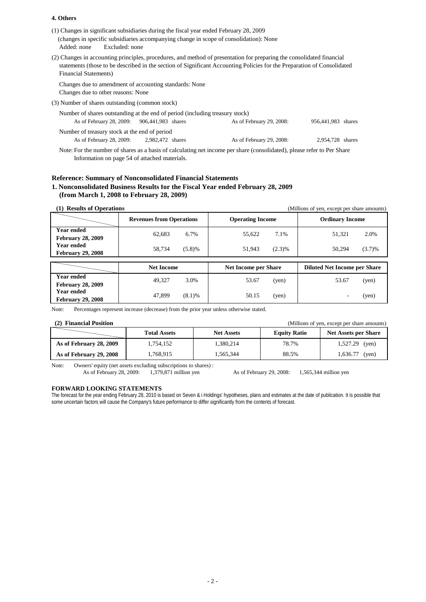#### **4. Others**

| (1) Changes in significant subsidiaries during the fiscal year ended February 28, 2009<br>(changes in specific subsidiaries accompanying change in scope of consolidation): None<br>Excluded: none<br>Added: none                                                                 |                          |                  |  |  |  |  |  |
|-----------------------------------------------------------------------------------------------------------------------------------------------------------------------------------------------------------------------------------------------------------------------------------|--------------------------|------------------|--|--|--|--|--|
| (2) Changes in accounting principles, procedures, and method of presentation for preparing the consolidated financial<br>statements (those to be described in the section of Significant Accounting Policies for the Preparation of Consolidated<br><b>Financial Statements</b> ) |                          |                  |  |  |  |  |  |
| Changes due to amendment of accounting standards: None<br>Changes due to other reasons: None                                                                                                                                                                                      |                          |                  |  |  |  |  |  |
| (3) Number of shares outstanding (common stock)                                                                                                                                                                                                                                   |                          |                  |  |  |  |  |  |
| Number of shares outstanding at the end of period (including treasury stock)                                                                                                                                                                                                      |                          |                  |  |  |  |  |  |
| As of February 28, 2009: 906, 441, 983 shares<br>As of February 29, 2008:<br>956,441,983 shares                                                                                                                                                                                   |                          |                  |  |  |  |  |  |
| Number of treasury stock at the end of period<br>As of February 28, 2009: 2,982,472 shares                                                                                                                                                                                        | As of February 29, 2008: | 2.954.728 shares |  |  |  |  |  |
| Note: Eartha musclear of choice as a boais of coloulating not income non choic (consolidated), plases infor to Day Choic                                                                                                                                                          |                          |                  |  |  |  |  |  |

Note: For the number of shares as a basis of calculating net income per share (consolidated), please refer to Per Share Information on page 54 of attached materials.

#### **Reference: Summary of Nonconsolidated Financial Statements 1. Nonconsolidated Business Results for the Fiscal Year ended February 28, 2009 (from March 1, 2008 to February 28, 2009)**

| <b>Results of Operations</b> |                                 |                             | (Millions of yen, except per share amounts) |
|------------------------------|---------------------------------|-----------------------------|---------------------------------------------|
|                              | <b>Revenues from Operations</b> | <b>Operating Income</b>     | <b>Ordinary Income</b>                      |
| <b>Year ended</b>            | 6.7%                            | 7.1%                        | 2.0%                                        |
| <b>February 28, 2009</b>     | 62.683                          | 55,622                      | 51,321                                      |
| Year ended                   | 58.734                          | 51.943                      | (3.7)%                                      |
| <b>February 29, 2008</b>     | (5.8)%                          | $(2.3)\%$                   | 50.294                                      |
|                              |                                 |                             |                                             |
|                              | <b>Net Income</b>               | <b>Net Income per Share</b> | <b>Diluted Net Income per Share</b>         |
| Year ended                   | 49,327                          | 53.67                       | 53.67                                       |
| <b>February 28, 2009</b>     | 3.0%                            | (yen)                       | (yen)                                       |
| Year ended                   | 47.899                          | 50.15                       | (yen)                                       |
| <b>February 29, 2008</b>     | (8.1)%                          | (yen)                       |                                             |

Note: Percentages represent increase (decrease) from the prior year unless otherwise stated.

| (2) Financial Position<br>(Millions of yen, except per share amounts) |                     |                   |                     |                             |  |  |  |  |  |  |
|-----------------------------------------------------------------------|---------------------|-------------------|---------------------|-----------------------------|--|--|--|--|--|--|
|                                                                       | <b>Total Assets</b> | <b>Net Assets</b> | <b>Equity Ratio</b> | <b>Net Assets per Share</b> |  |  |  |  |  |  |
| As of February 28, 2009                                               | 1,754,152           | 1.380.214         | 78.7%               | $1,527.29$ (yen)            |  |  |  |  |  |  |
| As of February 29, 2008                                               | 1,768,915           | 1.565.344         | 88.5%               | $1,636.77$ (yen)            |  |  |  |  |  |  |

Note: Owners' equity (net assets excluding subscriptions to shares) :<br>As of February 28, 2009: 1,379,871 million yen As of February 28, 2009: 1,379,871 million yen As of February 29, 2008: 1,565,344 million yen

#### **FORWARD LOOKING STATEMENTS**

The forecast for the year ending February 28, 2010 is based on Seven & i Holdings' hypotheses, plans and estimates at the date of publication. It is possible that some uncertain factors will cause the Company's future performance to differ significantly from the contents of forecast.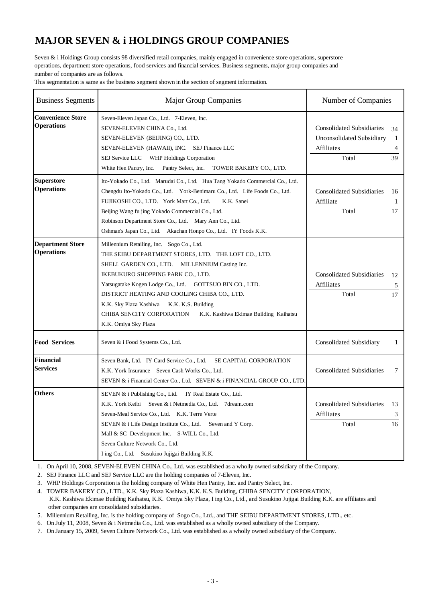### **MAJOR SEVEN & i HOLDINGS GROUP COMPANIES**

Seven & i Holdings Group consists 98 diversified retail companies, mainly engaged in convenience store operations, superstore operations, department store operations, food services and financial services. Business segments, major group companies and number of companies are as follows.

This segmentation is same as the business segment shown in the section of segment information.

| <b>Business Segments</b>                      | <b>Major Group Companies</b>                                                                                                                                                                                                                                                                                                                                                                                                                   | Number of Companies                                                                         |                    |
|-----------------------------------------------|------------------------------------------------------------------------------------------------------------------------------------------------------------------------------------------------------------------------------------------------------------------------------------------------------------------------------------------------------------------------------------------------------------------------------------------------|---------------------------------------------------------------------------------------------|--------------------|
| <b>Convenience Store</b><br><b>Operations</b> | Seven-Eleven Japan Co., Ltd. 7-Eleven, Inc.<br>SEVEN-ELEVEN CHINA Co., Ltd.<br>SEVEN-ELEVEN (BEIJING) CO., LTD.<br>SEVEN-ELEVEN (HAWAII), INC. SEJ Finance LLC<br>SEJ Service LLC<br>WHP Holdings Corporation<br>White Hen Pantry, Inc. Pantry Select, Inc.<br>TOWER BAKERY CO., LTD.                                                                                                                                                          | <b>Consolidated Subsidiaries</b><br><b>Unconsolidated Subsidiary</b><br>Affiliates<br>Total | 34<br>1<br>4<br>39 |
| <b>Superstore</b><br><b>Operations</b>        | Ito-Yokado Co., Ltd. Marudai Co., Ltd. Hua Tang Yokado Commercial Co., Ltd.<br>Chengdu Ito-Yokado Co., Ltd. York-Benimaru Co., Ltd. Life Foods Co., Ltd.<br>FUJIKOSHI CO., LTD. York Mart Co., Ltd.<br>K.K. Sanei<br>Beijing Wang fu jing Yokado Commercial Co., Ltd.<br>Robinson Department Store Co., Ltd. Mary Ann Co., Ltd.<br>Oshman's Japan Co., Ltd. Akachan Honpo Co., Ltd. IY Foods K.K.                                              | <b>Consolidated Subsidiaries</b><br>Affiliate<br>Total                                      | 16<br>1<br>17      |
| <b>Department Store</b><br><b>Operations</b>  | Millennium Retailing, Inc. Sogo Co., Ltd.<br>THE SEIBU DEPARTMENT STORES, LTD. THE LOFT CO., LTD.<br>SHELL GARDEN CO., LTD. MILLENNIUM Casting Inc.<br>IKEBUKURO SHOPPING PARK CO., LTD.<br>Yatsugatake Kogen Lodge Co., Ltd. GOTTSUO BIN CO., LTD.<br>DISTRICT HEATING AND COOLING CHIBA CO., LTD.<br>K.K. Sky Plaza Kashiwa K.K. K.S. Building<br>CHIBA SENCITY CORPORATION<br>K.K. Kashiwa Ekimae Building Kaihatsu<br>K.K. Omiya Sky Plaza | <b>Consolidated Subsidiaries</b><br>Affiliates<br>Total                                     | 12<br>5<br>17      |
| <b>Food Services</b>                          | Seven & i Food Systems Co., Ltd.                                                                                                                                                                                                                                                                                                                                                                                                               | <b>Consolidated Subsidiary</b>                                                              | 1                  |
| <b>Financial</b><br><b>Services</b>           | SE CAPITAL CORPORATION<br>Seven Bank, Ltd. IY Card Service Co., Ltd.<br>K.K. York Insurance Seven Cash Works Co., Ltd.<br>SEVEN & i Financial Center Co., Ltd. SEVEN & i FINANCIAL GROUP CO., LTD.                                                                                                                                                                                                                                             | <b>Consolidated Subsidiaries</b>                                                            | 7                  |
| <b>Others</b>                                 | SEVEN & i Publishing Co., Ltd. IY Real Estate Co., Ltd.<br>K.K. York Keibi<br>Seven & i Netmedia Co., Ltd. 7dream.com<br>Seven-Meal Service Co., Ltd. K.K. Terre Verte<br>SEVEN & i Life Design Institute Co., Ltd. Seven and Y Corp.<br>Mall & SC Development Inc. S-WILL Co., Ltd.<br>Seven Culture Network Co., Ltd.<br>I ing Co., Ltd. Susukino Jujigai Building K.K.                                                                      | <b>Consolidated Subsidiaries</b><br>Affiliates<br>Total                                     | 13<br>3<br>16      |

1. On April 10, 2008, SEVEN-ELEVEN CHINA Co., Ltd. was established as a wholly owned subsidiary of the Company.

2. SEJ Finance LLC and SEJ Service LLC are the holding companies of 7-Eleven, Inc.

3. WHP Holdings Corporation is the holding company of White Hen Pantry, Inc. and Pantry Select, Inc.

4. TOWER BAKERY CO., LTD., K.K. Sky Plaza Kashiwa, K.K. K.S. Building, CHIBA SENCITY CORPORATION, K.K. Kashiwa Ekimae Building Kaihatsu, K.K*.* Omiya Sky Plaza, I ing Co., Ltd., and Susukino Jujigai Building K.K. are affiliates and other companies are consolidated subsidiaries.

5. Millennium Retailing, Inc. is the holding company of Sogo Co., Ltd., and THE SEIBU DEPARTMENT STORES, LTD., etc.

6. On July 11, 2008, Seven & i Netmedia Co., Ltd. was established as a wholly owned subsidiary of the Company.

7. On January 15, 2009, Seven Culture Network Co., Ltd. was established as a wholly owned subsidiary of the Company.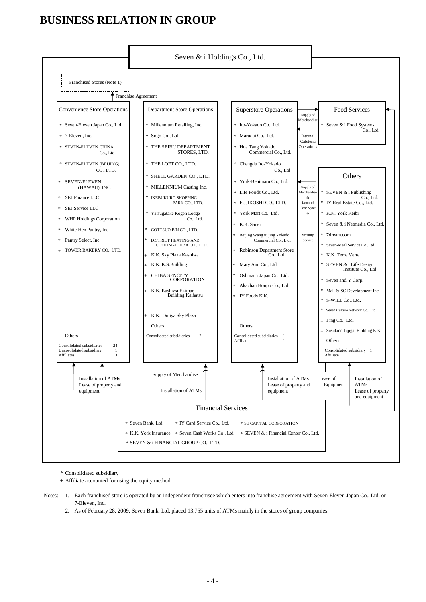## **BUSINESS RELATION IN GROUP**



Consolidated subsidiary \*

Affiliate accounted for using the equity method +

Notes: 1. Each franchised store is operated by an independent franchisee which enters into franchise agreement with Seven-Eleven Japan Co., Ltd. or 7-Eleven, Inc.

2. As of February 28, 2009, Seven Bank, Ltd. placed 13,755 units of ATMs mainly in the stores of group companies.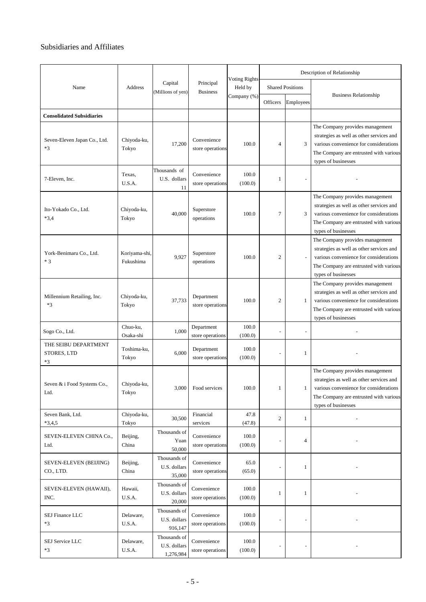### Subsidiaries and Affiliates

|                                           |                            |                                           |                                 |                                 | Description of Relationship |                         |                                                                                                                                                                                        |  |
|-------------------------------------------|----------------------------|-------------------------------------------|---------------------------------|---------------------------------|-----------------------------|-------------------------|----------------------------------------------------------------------------------------------------------------------------------------------------------------------------------------|--|
| Name                                      | Address                    | Capital<br>(Millions of yen)              | Principal<br><b>Business</b>    | <b>Voting Rights</b><br>Held by |                             | <b>Shared Positions</b> |                                                                                                                                                                                        |  |
|                                           |                            |                                           |                                 | Company (%)                     | Officers                    | Employees               | <b>Business Relationship</b>                                                                                                                                                           |  |
| <b>Consolidated Subsidiaries</b>          |                            |                                           |                                 |                                 |                             |                         |                                                                                                                                                                                        |  |
| Seven-Eleven Japan Co., Ltd.<br>$*3$      | Chiyoda-ku,<br>Tokyo       | 17,200                                    | Convenience<br>store operations | 100.0                           | 4                           | 3                       | The Company provides management<br>strategies as well as other services and<br>various convenience for considerations<br>The Company are entrusted with various<br>types of businesses |  |
| 7-Eleven, Inc.                            | Texas,<br>U.S.A.           | Thousands of<br>U.S. dollars<br>11        | Convenience<br>store operations | 100.0<br>(100.0)                | 1                           |                         |                                                                                                                                                                                        |  |
| Ito-Yokado Co., Ltd.<br>$*3,4$            | Chiyoda-ku,<br>Tokyo       | 40,000                                    | Superstore<br>operations        | 100.0                           | 7                           | 3                       | The Company provides management<br>strategies as well as other services and<br>various convenience for considerations<br>The Company are entrusted with various<br>types of businesses |  |
| York-Benimaru Co., Ltd.<br>$*3$           | Koriyama-shi,<br>Fukushima | 9,927                                     | Superstore<br>operations        | 100.0                           | $\overline{2}$              |                         | The Company provides management<br>strategies as well as other services and<br>various convenience for considerations<br>The Company are entrusted with various<br>types of businesses |  |
| Millennium Retailing, Inc.<br>$*3$        | Chiyoda-ku,<br>Tokyo       | 37,733                                    | Department<br>store operations  | 100.0                           | $\overline{c}$              | 1                       | The Company provides management<br>strategies as well as other services and<br>various convenience for considerations<br>The Company are entrusted with various<br>types of businesses |  |
| Sogo Co., Ltd.                            | Chuo-ku,<br>Osaka-shi      | 1,000                                     | Department<br>store operations  | 100.0<br>(100.0)                |                             | L.                      |                                                                                                                                                                                        |  |
| THE SEIBU DEPARTMENT<br>STORES, LTD<br>*3 | Toshima-ku,<br>Tokyo       | 6,000                                     | Department<br>store operations  | 100.0<br>(100.0)                |                             | 1                       |                                                                                                                                                                                        |  |
| Seven & i Food Systems Co.,<br>Ltd.       | Chiyoda-ku,<br>Tokyo       | 3,000                                     | Food services                   | 100.0                           | $\mathbf{1}$                |                         | The Company provides management<br>strategies as well as other services and<br>various convenience for considerations<br>The Company are entrusted with various<br>types of businesses |  |
| Seven Bank, Ltd.<br>$*3,4,5$              | Chiyoda-ku,<br>Tokyo       | 30,500                                    | Financial<br>services           | 47.8<br>(47.8)                  | $\overline{c}$              | $\mathbf{1}$            |                                                                                                                                                                                        |  |
| SEVEN-ELEVEN CHINA Co.,<br>Ltd.           | Beijing,<br>China          | Thousands of<br>Yuan<br>50,000            | Convenience<br>store operations | 100.0<br>(100.0)                |                             | 4                       |                                                                                                                                                                                        |  |
| SEVEN-ELEVEN (BEIJING)<br>CO., LTD.       | Beijing,<br>China          | Thousands of<br>U.S. dollars<br>35,000    | Convenience<br>store operations | 65.0<br>(65.0)                  |                             | 1                       |                                                                                                                                                                                        |  |
| SEVEN-ELEVEN (HAWAII),<br>INC.            | Hawaii,<br>U.S.A.          | Thousands of<br>U.S. dollars<br>20,000    | Convenience<br>store operations | 100.0<br>(100.0)                | $\mathbf{1}$                | 1                       |                                                                                                                                                                                        |  |
| SEJ Finance LLC<br>$*3$                   | Delaware,<br>U.S.A.        | Thousands of<br>U.S. dollars<br>916,147   | Convenience<br>store operations | 100.0<br>(100.0)                |                             |                         |                                                                                                                                                                                        |  |
| SEJ Service LLC<br>$*3$                   | Delaware,<br>U.S.A.        | Thousands of<br>U.S. dollars<br>1,276,984 | Convenience<br>store operations | 100.0<br>(100.0)                |                             |                         |                                                                                                                                                                                        |  |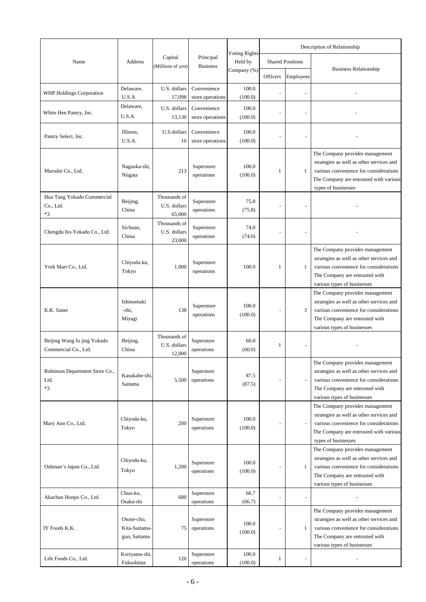|                                                     |                                             |                                        |                                 |                                 | Description of Relationship |                         |                                                                                                                                                                                        |
|-----------------------------------------------------|---------------------------------------------|----------------------------------------|---------------------------------|---------------------------------|-----------------------------|-------------------------|----------------------------------------------------------------------------------------------------------------------------------------------------------------------------------------|
| Name                                                | Address                                     | Capital                                | Principal                       | <b>Voting Rights</b><br>Held by |                             | <b>Shared Positions</b> |                                                                                                                                                                                        |
|                                                     |                                             | (Millions of yen)                      | <b>Business</b>                 | Company (%)                     | Officers                    | Employees               | <b>Business Relationship</b>                                                                                                                                                           |
| WHP Holdings Corporation                            | Delaware,<br>U.S.A                          | U.S. dollars<br>17,098                 | Convenience<br>store operations | 100.0<br>(100.0)                |                             | Ξ                       |                                                                                                                                                                                        |
| White Hen Pantry, Inc.                              | Delaware,<br>U.S.A                          | U.S. dollars<br>13,130                 | Convenience<br>store operations | 100.0<br>(100.0)                |                             | $\frac{1}{2}$           |                                                                                                                                                                                        |
| Pantry Select, Inc.                                 | Illinois,<br>U.S.A.                         | U.S.dollars<br>10                      | Convenience<br>store operations | 100.0<br>(100.0)                |                             |                         |                                                                                                                                                                                        |
| Marudai Co., Ltd.                                   | Nagaoka-shi,<br>Niigata                     | 213                                    | Superstore<br>operations        | 100.0<br>(100.0)                | 1                           | 1                       | The Company provides management<br>strategies as well as other services and<br>various convenience for considerations<br>The Company are entrusted with various<br>types of businesses |
| Hua Tang Yokado Commercial<br>Co., Ltd.<br>$*3$     | Beijing,<br>China                           | Thousands of<br>U.S. dollars<br>65,000 | Superstore<br>operations        | 75.8<br>(75.8)                  |                             |                         |                                                                                                                                                                                        |
| Chengdu Ito-Yokado Co., Ltd.                        | Sichuan,<br>China                           | Thousands of<br>U.S. dollars<br>23,000 | Superstore<br>operations        | 74.0<br>(74.0)                  |                             |                         |                                                                                                                                                                                        |
| York Mart Co., Ltd.                                 | Chiyoda-ku,<br>Tokyo                        | 1,000                                  | Superstore<br>operations        | 100.0                           | 1                           | $\mathbf{1}$            | The Company provides management<br>strategies as well as other services and<br>various convenience for considerations<br>The Company are entrusted with<br>various types of businesses |
| K.K. Sanei                                          | Ishinomaki<br>-shi.<br>Miyagi               | 138                                    | Superstore<br>operations        | 100.0<br>(100.0)                | ÷,                          | 3                       | The Company provides management<br>strategies as well as other services and<br>various convenience for considerations<br>The Company are entrusted with<br>various types of businesses |
| Beijing Wang fu jing Yokado<br>Commercial Co., Ltd. | Beijing,<br>China                           | Thousands of<br>U.S. dollars<br>12,000 | Superstore<br>operations        | 60.0<br>(60.0)                  | 1                           | $\overline{a}$          |                                                                                                                                                                                        |
| Robinson Department Store Co.,<br>Ltd.<br>$*3$      | Kasukabe-shi,<br>Saitama                    | 5,500                                  | Superstore<br>operations        | 87.5<br>(87.5)                  |                             |                         | The Company provides management<br>strategies as well as other services and<br>various convenience for considerations<br>The Company are entrusted with<br>various types of businesses |
| Mary Ann Co., Ltd.                                  | Chiyoda-ku,<br>Tokyo                        | 200                                    | Superstore<br>operations        | 100.0<br>(100.0)                |                             |                         | The Company provides management<br>strategies as well as other services and<br>various convenience for considerations<br>The Company are entrusted with various<br>types of businesses |
| Oshman's Japan Co., Ltd.                            | Chiyoda-ku,<br>Tokyo                        | 1,200                                  | Superstore<br>operations        | 100.0<br>(100.0)                |                             | 1                       | The Company provides management<br>strategies as well as other services and<br>various convenience for considerations<br>The Company are entrusted with<br>various types of businesses |
| Akachan Honpo Co., Ltd.                             | Chuo-ku,<br>Osaka-shi                       | 680                                    | Superstore<br>operations        | 66.7<br>(66.7)                  |                             |                         |                                                                                                                                                                                        |
| IY Foods K.K.                                       | Otone-cho,<br>Kita-Saitama-<br>gun, Saitama | 75                                     | Superstore<br>operations        | 100.0<br>(100.0)                |                             | 1                       | The Company provides management<br>strategies as well as other services and<br>various convenience for considerations<br>The Company are entrusted with<br>various types of businesses |
| Life Foods Co., Ltd.                                | Koriyama-shi,<br>Fukushima                  | 120                                    | Superstore<br>operations        | 100.0<br>(100.0)                | 1                           | ÷,                      |                                                                                                                                                                                        |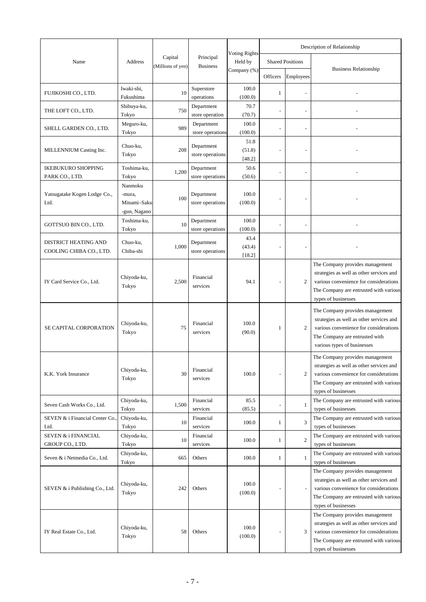|                                                        |                                                  |                   |                                |                                 |                          |                         | Description of Relationship                                                                                                                                                            |  |
|--------------------------------------------------------|--------------------------------------------------|-------------------|--------------------------------|---------------------------------|--------------------------|-------------------------|----------------------------------------------------------------------------------------------------------------------------------------------------------------------------------------|--|
| Name                                                   | Address                                          | Capital           | Principal                      | <b>Voting Rights</b><br>Held by |                          | <b>Shared Positions</b> |                                                                                                                                                                                        |  |
|                                                        |                                                  | (Millions of yen) | <b>Business</b>                | Company (%)                     | Officers                 | Employees               | <b>Business Relationship</b>                                                                                                                                                           |  |
| FUJIKOSHI CO., LTD.                                    | Iwaki-shi,<br>Fukushima                          | 10                | Superstore<br>operations       | 100.0<br>(100.0)                | 1                        |                         |                                                                                                                                                                                        |  |
| THE LOFT CO., LTD.                                     | Shibuya-ku,<br>Tokyo                             | 750               | Department<br>store operation  | 70.7<br>(70.7)                  |                          |                         |                                                                                                                                                                                        |  |
| SHELL GARDEN CO., LTD.                                 | Meguro-ku,<br>Tokyo                              | 989               | Department<br>store operations | 100.0<br>(100.0)                | -                        |                         |                                                                                                                                                                                        |  |
| MILLENNIUM Casting Inc.                                | Chuo-ku,<br>Tokyo                                | 208               | Department<br>store operations | 51.8<br>(51.8)<br>[48.2]        |                          |                         |                                                                                                                                                                                        |  |
| <b>IKEBUKURO SHOPPING</b><br>PARK CO., LTD.            | Toshima-ku.<br>Tokyo                             | 1,200             | Department<br>store operations | 50.6<br>(50.6)                  |                          |                         |                                                                                                                                                                                        |  |
| Yatsugatake Kogen Lodge Co.,<br>Ltd.                   | Nanmoku<br>-mura,<br>Minami-Saku<br>-gun, Nagano | 100               | Department<br>store operations | 100.0<br>(100.0)                | ÷                        |                         |                                                                                                                                                                                        |  |
| GOTTSUO BIN CO., LTD.                                  | Toshima-ku,<br>Tokyo                             | 10                | Department<br>store operations | 100.0<br>(100.0)                |                          |                         |                                                                                                                                                                                        |  |
| <b>DISTRICT HEATING AND</b><br>COOLING CHIBA CO., LTD. | Chuo-ku,<br>Chiba-shi                            | 1,000             | Department<br>store operations | 43.4<br>(43.4)<br>[18.2]        |                          |                         |                                                                                                                                                                                        |  |
| IY Card Service Co., Ltd.                              | Chiyoda-ku,<br>Tokyo                             | 2,500             | Financial<br>services          | 94.1                            | $\overline{\phantom{a}}$ | $\overline{2}$          | The Company provides management<br>strategies as well as other services and<br>various convenience for considerations<br>The Company are entrusted with various<br>types of businesses |  |
| SE CAPITAL CORPORATION                                 | Chiyoda-ku,<br>Tokyo                             | 75                | Financial<br>services          | 100.0<br>(90.0)                 | 1                        | $\overline{2}$          | The Company provides management<br>strategies as well as other services and<br>various convenience for considerations<br>The Company are entrusted with<br>various types of businesses |  |
| K.K. York Insurance                                    | Chiyoda-ku,<br>Tokyo                             | 30                | Financial<br>services          | 100.0                           | $\overline{\phantom{a}}$ | 2                       | The Company provides management<br>strategies as well as other services and<br>various convenience for considerations<br>The Company are entrusted with various<br>types of businesses |  |
| Seven Cash Works Co., Ltd.                             | Chiyoda-ku,<br>Tokyo                             | 1,500             | Financial<br>services          | 85.5<br>(85.5)                  |                          | 1                       | The Company are entrusted with various<br>types of businesses                                                                                                                          |  |
| SEVEN & i Financial Center Co<br>Ltd.                  | Chiyoda-ku,<br>Tokyo                             | 10                | Financial<br>services          | 100.0                           | 1                        | 3                       | The Company are entrusted with various<br>types of businesses                                                                                                                          |  |
| SEVEN & i FINANCIAL<br>GROUP CO., LTD.                 | Chiyoda-ku,<br>Tokyo                             | 10                | Financial<br>services          | 100.0                           | 1                        | $\mathfrak{2}$          | The Company are entrusted with various<br>types of businesses                                                                                                                          |  |
| Seven & i Netmedia Co., Ltd.                           | Chiyoda-ku,<br>Tokyo                             | 665               | Others                         | 100.0                           | 1                        | 1                       | The Company are entrusted with various<br>types of businesses                                                                                                                          |  |
| SEVEN & i Publishing Co., Ltd.                         | Chiyoda-ku,<br>Tokyo                             | 242               | Others                         | 100.0<br>(100.0)                |                          |                         | The Company provides management<br>strategies as well as other services and<br>various convenience for considerations<br>The Company are entrusted with various<br>types of businesses |  |
| IY Real Estate Co., Ltd.                               | Chiyoda-ku,<br>Tokyo                             | 58                | Others                         | 100.0<br>(100.0)                |                          | 3                       | The Company provides management<br>strategies as well as other services and<br>various convenience for considerations<br>The Company are entrusted with various<br>types of businesses |  |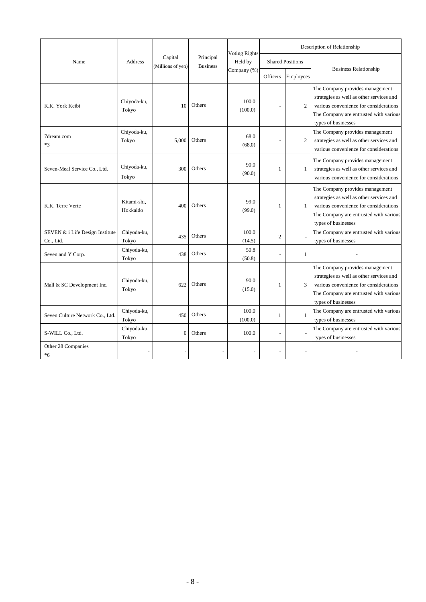|                                              |                         |                              |                              | <b>Voting Rights</b> |                 |                         | Description of Relationship                                                                                                                                                            |  |
|----------------------------------------------|-------------------------|------------------------------|------------------------------|----------------------|-----------------|-------------------------|----------------------------------------------------------------------------------------------------------------------------------------------------------------------------------------|--|
| Name                                         | Address                 | Capital<br>(Millions of yen) | Principal<br><b>Business</b> | Held by              |                 | <b>Shared Positions</b> |                                                                                                                                                                                        |  |
|                                              |                         |                              |                              | Company (%)          | <b>Officers</b> | Employees               | <b>Business Relationship</b>                                                                                                                                                           |  |
| K.K. York Keibi                              | Chiyoda-ku,<br>Tokyo    | 10                           | Others                       | 100.0<br>(100.0)     |                 | $\overline{c}$          | The Company provides management<br>strategies as well as other services and<br>various convenience for considerations<br>The Company are entrusted with various<br>types of businesses |  |
| 7dream.com<br>$*3$                           | Chiyoda-ku,<br>Tokyo    | 5,000                        | Others                       | 68.0<br>(68.0)       |                 | 2                       | The Company provides management<br>strategies as well as other services and<br>various convenience for considerations                                                                  |  |
| Seven-Meal Service Co., Ltd.                 | Chiyoda-ku,<br>Tokyo    | 300                          | Others                       | 90.0<br>(90.0)       | 1               | 1                       | The Company provides management<br>strategies as well as other services and<br>various convenience for considerations                                                                  |  |
| K.K. Terre Verte                             | Kitami-shi.<br>Hokkaido | 400                          | Others                       | 99.0<br>(99.0)       | 1               | 1                       | The Company provides management<br>strategies as well as other services and<br>various convenience for considerations<br>The Company are entrusted with various<br>types of businesses |  |
| SEVEN & i Life Design Institute<br>Co., Ltd. | Chiyoda-ku,<br>Tokyo    | 435                          | Others                       | 100.0<br>(14.5)      | $\overline{c}$  |                         | The Company are entrusted with various<br>types of businesses                                                                                                                          |  |
| Seven and Y Corp.                            | Chiyoda-ku,<br>Tokyo    | 438                          | Others                       | 50.8<br>(50.8)       |                 | $\mathbf{1}$            |                                                                                                                                                                                        |  |
| Mall & SC Development Inc.                   | Chiyoda-ku,<br>Tokyo    | 622                          | Others                       | 90.0<br>(15.0)       | 1               | 3                       | The Company provides management<br>strategies as well as other services and<br>various convenience for considerations<br>The Company are entrusted with various<br>types of businesses |  |
| Seven Culture Network Co., Ltd.              | Chiyoda-ku,<br>Tokyo    | 450                          | Others                       | 100.0<br>(100.0)     | 1               | 1                       | The Company are entrusted with various<br>types of businesses                                                                                                                          |  |
| S-WILL Co., Ltd.                             | Chiyoda-ku,<br>Tokyo    | $\boldsymbol{0}$             | Others                       | 100.0                |                 |                         | The Company are entrusted with various<br>types of businesses                                                                                                                          |  |
| Other 28 Companies<br>*6                     |                         |                              |                              |                      |                 |                         |                                                                                                                                                                                        |  |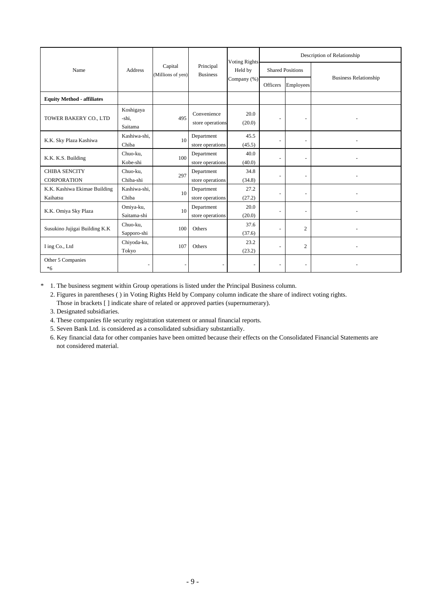|                                            |                               |                              |                                 | <b>Voting Rights</b>     |                          |                          | Description of Relationship  |
|--------------------------------------------|-------------------------------|------------------------------|---------------------------------|--------------------------|--------------------------|--------------------------|------------------------------|
| Name                                       | Address                       | Capital<br>(Millions of yen) | Principal<br><b>Business</b>    | Held by                  |                          | <b>Shared Positions</b>  |                              |
|                                            |                               |                              |                                 | Company (%)              | Officers                 | Employees                | <b>Business Relationship</b> |
| <b>Equity Method - affiliates</b>          |                               |                              |                                 |                          |                          |                          |                              |
| TOWER BAKERY CO., LTD                      | Koshigaya<br>-shi,<br>Saitama | 495                          | Convenience<br>store operations | 20.0<br>(20.0)           | $\overline{\phantom{a}}$ |                          |                              |
| K.K. Sky Plaza Kashiwa                     | Kashiwa-shi,<br>Chiba         | 10                           | Department<br>store operations  | 45.5<br>(45.5)           | $\overline{\phantom{a}}$ | $\overline{\phantom{a}}$ |                              |
| K.K. K.S. Building                         | Chuo-ku,<br>Kobe-shi          | 100                          | Department<br>store operations  | 40.0<br>(40.0)           | $\overline{\phantom{0}}$ |                          |                              |
| <b>CHIBA SENCITY</b><br><b>CORPORATION</b> | Chuo-ku,<br>Chiba-shi         | 297                          | Department<br>store operations  | 34.8<br>(34.8)           | ٠                        |                          |                              |
| K.K. Kashiwa Ekimae Building<br>Kaihatsu   | Kashiwa-shi,<br>Chiba         | 10                           | Department<br>store operations  | 27.2<br>(27.2)           | ٠                        | $\overline{\phantom{a}}$ |                              |
| K.K. Omiya Sky Plaza                       | Omiya-ku,<br>Saitama-shi      | 10                           | Department<br>store operations  | 20.0<br>(20.0)           | ۰                        | $\overline{\phantom{a}}$ |                              |
| Susukino Jujigai Building K.K              | Chuo-ku,<br>Sapporo-shi       | 100                          | Others                          | 37.6<br>(37.6)           | ٠                        | 2                        |                              |
| I ing Co., Ltd                             | Chiyoda-ku,<br>Tokyo          | 107                          | Others                          | 23.2<br>(23.2)           | ٠                        | $\overline{c}$           |                              |
| Other 5 Companies<br>$*6$                  |                               |                              | $\overline{\phantom{0}}$        | $\overline{\phantom{a}}$ | $\overline{\phantom{a}}$ | $\overline{\phantom{a}}$ |                              |

\* 1. The business segment within Group operations is listed under the Principal Business column.

2. Figures in parentheses ( ) in Voting Rights Held by Company column indicate the share of indirect voting rights. Those in brackets [ ] indicate share of related or approved parties (supernumerary).

3. Designated subsidiaries.

4. These companies file security registration statement or annual financial reports.

5. Seven Bank Ltd. is considered as a consolidated subsidiary substantially.

6. Key financial data for other companies have been omitted because their effects on the Consolidated Financial Statements are not considered material.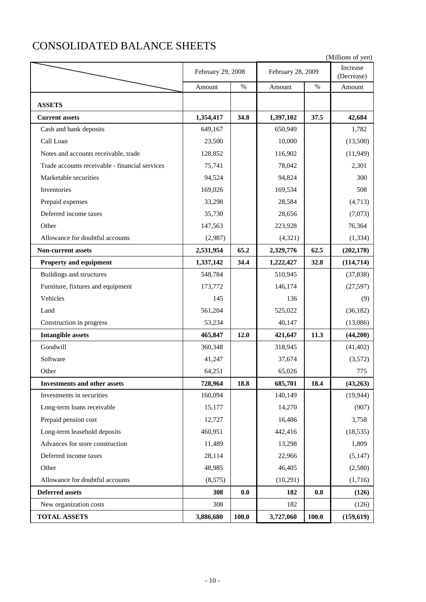# CONSOLIDATED BALANCE SHEETS

|                                                |                   |         |                   |       | (Millions of yen)      |
|------------------------------------------------|-------------------|---------|-------------------|-------|------------------------|
|                                                | February 29, 2008 |         | February 28, 2009 |       | Increase<br>(Decrease) |
|                                                | Amount            | $\%$    | Amount            | $\%$  | Amount                 |
| <b>ASSETS</b>                                  |                   |         |                   |       |                        |
| <b>Current assets</b>                          | 1,354,417         | 34.8    | 1,397,102         | 37.5  | 42,684                 |
| Cash and bank deposits                         | 649,167           |         | 650,949           |       | 1,782                  |
| Call Loan                                      | 23,500            |         | 10,000            |       | (13,500)               |
| Notes and accounts receivable, trade           | 128,852           |         | 116,902           |       | (11, 949)              |
| Trade accounts receivable - financial services | 75,741            |         | 78,042            |       | 2,301                  |
| Marketable securities                          | 94,524            |         | 94,824            |       | 300                    |
| Inventories                                    | 169,026           |         | 169,534           |       | 508                    |
| Prepaid expenses                               | 33,298            |         | 28,584            |       | (4,713)                |
| Deferred income taxes                          | 35,730            |         | 28,656            |       | (7,073)                |
| Other                                          | 147,563           |         | 223,928           |       | 76,364                 |
| Allowance for doubtful accounts                | (2,987)           |         | (4,321)           |       | (1, 334)               |
| <b>Non-current assets</b>                      | 2,531,954         | 65.2    | 2,329,776         | 62.5  | (202, 178)             |
| <b>Property and equipment</b>                  | 1,337,142         | 34.4    | 1,222,427         | 32.8  | (114, 714)             |
| Buildings and structures                       | 548,784           |         | 510,945           |       | (37, 838)              |
| Furniture, fixtures and equipment              | 173,772           |         | 146,174           |       | (27, 597)              |
| Vehicles                                       | 145               |         | 136               |       | (9)                    |
| Land                                           | 561,204           |         | 525,022           |       | (36, 182)              |
| Construction in progress                       | 53,234            |         | 40,147            |       | (13,086)               |
| <b>Intangible assets</b>                       | 465,847           | 12.0    | 421,647           | 11.3  | (44,200)               |
| Goodwill                                       | 360,348           |         | 318,945           |       | (41, 402)              |
| Software                                       | 41,247            |         | 37,674            |       | (3,572)                |
| Other.                                         | 64,251            |         | 65,026            |       | 775                    |
| <b>Investments and other assets</b>            | 728,964           | 18.8    | 685,701           | 18.4  | (43,263)               |
| Investments in securities                      | 160,094           |         | 140,149           |       | (19, 944)              |
| Long-term loans receivable                     | 15,177            |         | 14,270            |       | (907)                  |
| Prepaid pension cost                           | 12,727            |         | 16,486            |       | 3,758                  |
| Long-term leasehold deposits                   | 460,951           |         | 442,416           |       | (18, 535)              |
| Advances for store construction                | 11,489            |         | 13,298            |       | 1,809                  |
| Deferred income taxes                          | 28,114            |         | 22,966            |       | (5, 147)               |
| Other                                          | 48,985            |         | 46,405            |       | (2,580)                |
| Allowance for doubtful accounts                | (8,575)           |         | (10,291)          |       | (1,716)                |
| <b>Deferred assets</b>                         | 308               | $0.0\,$ | 182               | 0.0   | (126)                  |
| New organization costs                         | 308               |         | 182               |       | (126)                  |
| <b>TOTAL ASSETS</b>                            | 3,886,680         | 100.0   | 3,727,060         | 100.0 | (159,619)              |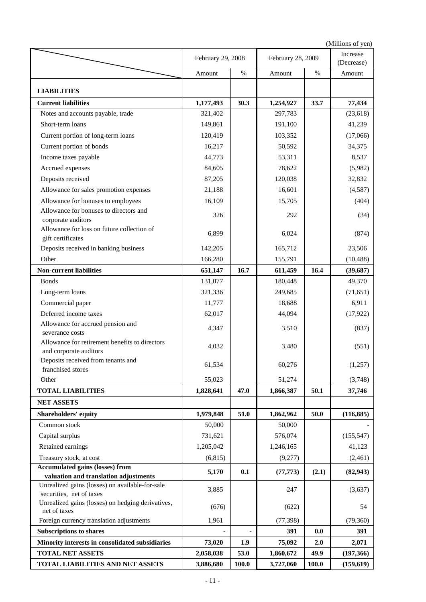|                                                                                 |                   |       |                   |       | (Millions of yen)      |
|---------------------------------------------------------------------------------|-------------------|-------|-------------------|-------|------------------------|
|                                                                                 | February 29, 2008 |       | February 28, 2009 |       | Increase<br>(Decrease) |
|                                                                                 | Amount            | %     | Amount            | $\%$  | Amount                 |
| <b>LIABILITIES</b>                                                              |                   |       |                   |       |                        |
| <b>Current liabilities</b>                                                      | 1,177,493         | 30.3  | 1,254,927         | 33.7  | 77,434                 |
| Notes and accounts payable, trade                                               | 321,402           |       | 297,783           |       | (23, 618)              |
| Short-term loans                                                                | 149,861           |       | 191,100           |       | 41,239                 |
| Current portion of long-term loans                                              | 120,419           |       | 103,352           |       | (17,066)               |
| Current portion of bonds                                                        | 16,217            |       | 50,592            |       | 34,375                 |
| Income taxes payable                                                            | 44,773            |       | 53,311            |       | 8,537                  |
| Accrued expenses                                                                | 84,605            |       | 78,622            |       | (5,982)                |
| Deposits received                                                               | 87,205            |       | 120,038           |       | 32,832                 |
| Allowance for sales promotion expenses                                          | 21,188            |       | 16,601            |       | (4,587)                |
| Allowance for bonuses to employees                                              | 16,109            |       | 15,705            |       | (404)                  |
| Allowance for bonuses to directors and                                          |                   |       |                   |       |                        |
| corporate auditors                                                              | 326               |       | 292               |       | (34)                   |
| Allowance for loss on future collection of<br>gift certificates                 | 6,899             |       | 6,024             |       | (874)                  |
| Deposits received in banking business                                           | 142,205           |       | 165,712           |       | 23,506                 |
| Other                                                                           | 166,280           |       | 155,791           |       | (10, 488)              |
| <b>Non-current liabilities</b>                                                  | 651,147           | 16.7  | 611,459           | 16.4  | (39, 687)              |
| <b>Bonds</b>                                                                    | 131,077           |       | 180,448           |       | 49,370                 |
| Long-term loans                                                                 | 321,336           |       | 249,685           |       | (71, 651)              |
| Commercial paper                                                                | 11,777            |       | 18,688            |       | 6,911                  |
| Deferred income taxes                                                           | 62,017            |       | 44,094            |       | (17, 922)              |
| Allowance for accrued pension and                                               |                   |       |                   |       |                        |
| severance costs                                                                 | 4,347             |       | 3,510             |       | (837)                  |
| Allowance for retirement benefits to directors                                  | 4,032             |       | 3,480             |       | (551)                  |
| and corporate auditors                                                          |                   |       |                   |       |                        |
| Deposits received from tenants and<br>franchised stores                         | 61,534            |       | 60,276            |       | (1,257)                |
| Other                                                                           | 55,023            |       | 51,274            |       | (3,748)                |
| <b>TOTAL LIABILITIES</b>                                                        |                   | 47.0  |                   | 50.1  |                        |
|                                                                                 | 1,828,641         |       | 1,866,387         |       | 37,746                 |
| <b>NET ASSETS</b>                                                               |                   |       |                   |       |                        |
| Shareholders' equity                                                            | 1,979,848         | 51.0  | 1,862,962         | 50.0  | (116, 885)             |
| Common stock                                                                    | 50,000            |       | 50,000            |       |                        |
| Capital surplus                                                                 | 731,621           |       | 576,074           |       | (155, 547)             |
| Retained earnings                                                               | 1,205,042         |       | 1,246,165         |       | 41,123                 |
| Treasury stock, at cost                                                         | (6, 815)          |       | (9,277)           |       | (2,461)                |
| <b>Accumulated gains (losses) from</b><br>valuation and translation adjustments | 5,170             | 0.1   | (77, 773)         | (2.1) | (82, 943)              |
| Unrealized gains (losses) on available-for-sale<br>securities, net of taxes     | 3,885             |       | 247               |       | (3,637)                |
| Unrealized gains (losses) on hedging derivatives,<br>net of taxes               | (676)             |       | (622)             |       | 54                     |
| Foreign currency translation adjustments                                        | 1,961             |       | (77, 398)         |       | (79, 360)              |
| <b>Subscriptions to shares</b>                                                  |                   |       | 391               | 0.0   | 391                    |
| Minority interests in consolidated subsidiaries                                 | 73,020            | 1.9   | 75,092            | 2.0   | 2,071                  |
| <b>TOTAL NET ASSETS</b>                                                         | 2,058,038         | 53.0  | 1,860,672         | 49.9  | (197, 366)             |
| TOTAL LIABILITIES AND NET ASSETS                                                | 3,886,680         | 100.0 | 3,727,060         | 100.0 | (159, 619)             |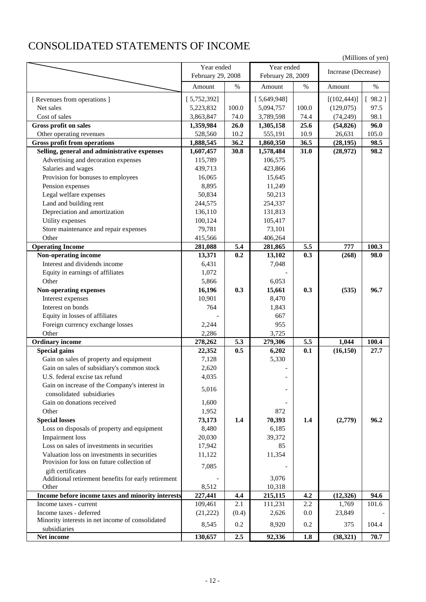# CONSOLIDATED STATEMENTS OF INCOME

| Year ended<br>Year ended<br>Increase (Decrease)<br>February 29, 2008<br>February 28, 2009<br>$\%$<br>$\%$<br>$\%$<br>Amount<br>Amount<br>Amount<br>[5,649,948]<br>[5,752,392]<br>[(102, 444)]<br>[98.2]<br>[ Revenues from operations ]<br>Net sales<br>100.0<br>5,223,832<br>5,094,757<br>100.0<br>(129,075)<br>97.5<br>Cost of sales<br>74.0<br>3,789,598<br>(74, 249)<br>98.1<br>3,863,847<br>74.4<br>Gross profit on sales<br>26.0<br>25.6<br>(54, 826)<br>1,359,984<br>1,305,158<br>96.0<br>Other operating revenues<br>528,560<br>10.2<br>555,191<br>10.9<br>26,631<br>105.0<br><b>Gross profit from operations</b><br>1,888,545<br>36.2<br>1,860,350<br>36.5<br>98.5<br>(28, 195)<br>Selling, general and administrative expenses<br>30.8<br>1,578,484<br>31.0<br>(28,972)<br>98.2<br>1,607,457<br>Advertising and decoration expenses<br>115,789<br>106,575<br>Salaries and wages<br>439,713<br>423,866<br>Provision for bonuses to employees<br>16,065<br>15,645<br>8,895<br>Pension expenses<br>11,249<br>Legal welfare expenses<br>50,834<br>50,213<br>Land and building rent<br>244,575<br>254,337<br>Depreciation and amortization<br>136,110<br>131,813<br>Utility expenses<br>100,124<br>105,417<br>Store maintenance and repair expenses<br>79,781<br>73,101<br>Other<br>415,566<br>406,264<br><b>Operating Income</b><br>5.4<br>5.5<br>777<br>100.3<br>281,088<br>281,865<br>Non-operating income<br>0.2<br>0.3<br>(268)<br>98.0<br>13,371<br>13,102<br>Interest and dividends income<br>6,431<br>7,048<br>Equity in earnings of affiliates<br>1,072<br>Other<br>5,866<br>6,053<br>0.3<br>(535)<br>Non-operating expenses<br>16,196<br>15,661<br>0.3<br>96.7<br>Interest expenses<br>10,901<br>8,470<br>Interest on bonds<br>764<br>1,843<br>Equity in losses of affiliates<br>667<br>Foreign currency exchange losses<br>2,244<br>955<br>Other<br>2,286<br>3,725<br><b>Ordinary income</b><br>278,262<br>5.3<br>5.5<br>1,044<br>100.4<br>279,306<br><b>Special gains</b><br>22,352<br>0.5<br>6,202<br>(16, 150)<br>27.7<br>0.1<br>5,330<br>Gain on sales of property and equipment<br>7,128<br>Gain on sales of subsidiary's common stock<br>2,620<br>U.S. federal excise tax refund<br>4,035<br>Gain on increase of the Company's interest in<br>5,016<br>consolidated subsidiaries<br>Gain on donations received<br>1,600<br>Other<br>1,952<br>872<br>70,393<br><b>Special losses</b><br>73,173<br>1.4<br>1.4<br>(2,779)<br>96.2<br>Loss on disposals of property and equipment<br>8,480<br>6,185<br><b>Impairment</b> loss<br>20,030<br>39,372<br>Loss on sales of investments in securities<br>17,942<br>85<br>Valuation loss on investments in securities<br>11,354<br>11,122<br>Provision for loss on future collection of<br>7,085<br>gift certificates<br>3,076<br>Additional retirement benefits for early retirement<br>8,512<br>10,318<br>Other<br>Income before income taxes and minority interests<br>227,441<br>4.4<br>215,115<br>4.2<br>(12, 326)<br>94.6<br>2.1<br>1,769<br>101.6<br>Income taxes - current<br>109,461<br>111,231<br>2.2<br>Income taxes - deferred<br>0.0<br>(21, 222)<br>(0.4)<br>2,626<br>23,849<br>Minority interests in net income of consolidated<br>0.2<br>8,920<br>0.2<br>104.4<br>8,545<br>375<br>subsidiaries<br>130,657<br>2.5<br>70.7<br>Net income<br>92,336<br>1.8<br>(38, 321) |  |  |  | (Millions of yen) |
|-------------------------------------------------------------------------------------------------------------------------------------------------------------------------------------------------------------------------------------------------------------------------------------------------------------------------------------------------------------------------------------------------------------------------------------------------------------------------------------------------------------------------------------------------------------------------------------------------------------------------------------------------------------------------------------------------------------------------------------------------------------------------------------------------------------------------------------------------------------------------------------------------------------------------------------------------------------------------------------------------------------------------------------------------------------------------------------------------------------------------------------------------------------------------------------------------------------------------------------------------------------------------------------------------------------------------------------------------------------------------------------------------------------------------------------------------------------------------------------------------------------------------------------------------------------------------------------------------------------------------------------------------------------------------------------------------------------------------------------------------------------------------------------------------------------------------------------------------------------------------------------------------------------------------------------------------------------------------------------------------------------------------------------------------------------------------------------------------------------------------------------------------------------------------------------------------------------------------------------------------------------------------------------------------------------------------------------------------------------------------------------------------------------------------------------------------------------------------------------------------------------------------------------------------------------------------------------------------------------------------------------------------------------------------------------------------------------------------------------------------------------------------------------------------------------------------------------------------------------------------------------------------------------------------------------------------------------------------------------------------------------------------------------------------------------------------------------------------------------------------------------------------------------------------------------------------------------------------------------------------------------------------------------------------------------------------------------------------|--|--|--|-------------------|
|                                                                                                                                                                                                                                                                                                                                                                                                                                                                                                                                                                                                                                                                                                                                                                                                                                                                                                                                                                                                                                                                                                                                                                                                                                                                                                                                                                                                                                                                                                                                                                                                                                                                                                                                                                                                                                                                                                                                                                                                                                                                                                                                                                                                                                                                                                                                                                                                                                                                                                                                                                                                                                                                                                                                                                                                                                                                                                                                                                                                                                                                                                                                                                                                                                                                                                                                                 |  |  |  |                   |
|                                                                                                                                                                                                                                                                                                                                                                                                                                                                                                                                                                                                                                                                                                                                                                                                                                                                                                                                                                                                                                                                                                                                                                                                                                                                                                                                                                                                                                                                                                                                                                                                                                                                                                                                                                                                                                                                                                                                                                                                                                                                                                                                                                                                                                                                                                                                                                                                                                                                                                                                                                                                                                                                                                                                                                                                                                                                                                                                                                                                                                                                                                                                                                                                                                                                                                                                                 |  |  |  |                   |
|                                                                                                                                                                                                                                                                                                                                                                                                                                                                                                                                                                                                                                                                                                                                                                                                                                                                                                                                                                                                                                                                                                                                                                                                                                                                                                                                                                                                                                                                                                                                                                                                                                                                                                                                                                                                                                                                                                                                                                                                                                                                                                                                                                                                                                                                                                                                                                                                                                                                                                                                                                                                                                                                                                                                                                                                                                                                                                                                                                                                                                                                                                                                                                                                                                                                                                                                                 |  |  |  |                   |
|                                                                                                                                                                                                                                                                                                                                                                                                                                                                                                                                                                                                                                                                                                                                                                                                                                                                                                                                                                                                                                                                                                                                                                                                                                                                                                                                                                                                                                                                                                                                                                                                                                                                                                                                                                                                                                                                                                                                                                                                                                                                                                                                                                                                                                                                                                                                                                                                                                                                                                                                                                                                                                                                                                                                                                                                                                                                                                                                                                                                                                                                                                                                                                                                                                                                                                                                                 |  |  |  |                   |
|                                                                                                                                                                                                                                                                                                                                                                                                                                                                                                                                                                                                                                                                                                                                                                                                                                                                                                                                                                                                                                                                                                                                                                                                                                                                                                                                                                                                                                                                                                                                                                                                                                                                                                                                                                                                                                                                                                                                                                                                                                                                                                                                                                                                                                                                                                                                                                                                                                                                                                                                                                                                                                                                                                                                                                                                                                                                                                                                                                                                                                                                                                                                                                                                                                                                                                                                                 |  |  |  |                   |
|                                                                                                                                                                                                                                                                                                                                                                                                                                                                                                                                                                                                                                                                                                                                                                                                                                                                                                                                                                                                                                                                                                                                                                                                                                                                                                                                                                                                                                                                                                                                                                                                                                                                                                                                                                                                                                                                                                                                                                                                                                                                                                                                                                                                                                                                                                                                                                                                                                                                                                                                                                                                                                                                                                                                                                                                                                                                                                                                                                                                                                                                                                                                                                                                                                                                                                                                                 |  |  |  |                   |
|                                                                                                                                                                                                                                                                                                                                                                                                                                                                                                                                                                                                                                                                                                                                                                                                                                                                                                                                                                                                                                                                                                                                                                                                                                                                                                                                                                                                                                                                                                                                                                                                                                                                                                                                                                                                                                                                                                                                                                                                                                                                                                                                                                                                                                                                                                                                                                                                                                                                                                                                                                                                                                                                                                                                                                                                                                                                                                                                                                                                                                                                                                                                                                                                                                                                                                                                                 |  |  |  |                   |
|                                                                                                                                                                                                                                                                                                                                                                                                                                                                                                                                                                                                                                                                                                                                                                                                                                                                                                                                                                                                                                                                                                                                                                                                                                                                                                                                                                                                                                                                                                                                                                                                                                                                                                                                                                                                                                                                                                                                                                                                                                                                                                                                                                                                                                                                                                                                                                                                                                                                                                                                                                                                                                                                                                                                                                                                                                                                                                                                                                                                                                                                                                                                                                                                                                                                                                                                                 |  |  |  |                   |
|                                                                                                                                                                                                                                                                                                                                                                                                                                                                                                                                                                                                                                                                                                                                                                                                                                                                                                                                                                                                                                                                                                                                                                                                                                                                                                                                                                                                                                                                                                                                                                                                                                                                                                                                                                                                                                                                                                                                                                                                                                                                                                                                                                                                                                                                                                                                                                                                                                                                                                                                                                                                                                                                                                                                                                                                                                                                                                                                                                                                                                                                                                                                                                                                                                                                                                                                                 |  |  |  |                   |
|                                                                                                                                                                                                                                                                                                                                                                                                                                                                                                                                                                                                                                                                                                                                                                                                                                                                                                                                                                                                                                                                                                                                                                                                                                                                                                                                                                                                                                                                                                                                                                                                                                                                                                                                                                                                                                                                                                                                                                                                                                                                                                                                                                                                                                                                                                                                                                                                                                                                                                                                                                                                                                                                                                                                                                                                                                                                                                                                                                                                                                                                                                                                                                                                                                                                                                                                                 |  |  |  |                   |
|                                                                                                                                                                                                                                                                                                                                                                                                                                                                                                                                                                                                                                                                                                                                                                                                                                                                                                                                                                                                                                                                                                                                                                                                                                                                                                                                                                                                                                                                                                                                                                                                                                                                                                                                                                                                                                                                                                                                                                                                                                                                                                                                                                                                                                                                                                                                                                                                                                                                                                                                                                                                                                                                                                                                                                                                                                                                                                                                                                                                                                                                                                                                                                                                                                                                                                                                                 |  |  |  |                   |
|                                                                                                                                                                                                                                                                                                                                                                                                                                                                                                                                                                                                                                                                                                                                                                                                                                                                                                                                                                                                                                                                                                                                                                                                                                                                                                                                                                                                                                                                                                                                                                                                                                                                                                                                                                                                                                                                                                                                                                                                                                                                                                                                                                                                                                                                                                                                                                                                                                                                                                                                                                                                                                                                                                                                                                                                                                                                                                                                                                                                                                                                                                                                                                                                                                                                                                                                                 |  |  |  |                   |
|                                                                                                                                                                                                                                                                                                                                                                                                                                                                                                                                                                                                                                                                                                                                                                                                                                                                                                                                                                                                                                                                                                                                                                                                                                                                                                                                                                                                                                                                                                                                                                                                                                                                                                                                                                                                                                                                                                                                                                                                                                                                                                                                                                                                                                                                                                                                                                                                                                                                                                                                                                                                                                                                                                                                                                                                                                                                                                                                                                                                                                                                                                                                                                                                                                                                                                                                                 |  |  |  |                   |
|                                                                                                                                                                                                                                                                                                                                                                                                                                                                                                                                                                                                                                                                                                                                                                                                                                                                                                                                                                                                                                                                                                                                                                                                                                                                                                                                                                                                                                                                                                                                                                                                                                                                                                                                                                                                                                                                                                                                                                                                                                                                                                                                                                                                                                                                                                                                                                                                                                                                                                                                                                                                                                                                                                                                                                                                                                                                                                                                                                                                                                                                                                                                                                                                                                                                                                                                                 |  |  |  |                   |
|                                                                                                                                                                                                                                                                                                                                                                                                                                                                                                                                                                                                                                                                                                                                                                                                                                                                                                                                                                                                                                                                                                                                                                                                                                                                                                                                                                                                                                                                                                                                                                                                                                                                                                                                                                                                                                                                                                                                                                                                                                                                                                                                                                                                                                                                                                                                                                                                                                                                                                                                                                                                                                                                                                                                                                                                                                                                                                                                                                                                                                                                                                                                                                                                                                                                                                                                                 |  |  |  |                   |
|                                                                                                                                                                                                                                                                                                                                                                                                                                                                                                                                                                                                                                                                                                                                                                                                                                                                                                                                                                                                                                                                                                                                                                                                                                                                                                                                                                                                                                                                                                                                                                                                                                                                                                                                                                                                                                                                                                                                                                                                                                                                                                                                                                                                                                                                                                                                                                                                                                                                                                                                                                                                                                                                                                                                                                                                                                                                                                                                                                                                                                                                                                                                                                                                                                                                                                                                                 |  |  |  |                   |
|                                                                                                                                                                                                                                                                                                                                                                                                                                                                                                                                                                                                                                                                                                                                                                                                                                                                                                                                                                                                                                                                                                                                                                                                                                                                                                                                                                                                                                                                                                                                                                                                                                                                                                                                                                                                                                                                                                                                                                                                                                                                                                                                                                                                                                                                                                                                                                                                                                                                                                                                                                                                                                                                                                                                                                                                                                                                                                                                                                                                                                                                                                                                                                                                                                                                                                                                                 |  |  |  |                   |
|                                                                                                                                                                                                                                                                                                                                                                                                                                                                                                                                                                                                                                                                                                                                                                                                                                                                                                                                                                                                                                                                                                                                                                                                                                                                                                                                                                                                                                                                                                                                                                                                                                                                                                                                                                                                                                                                                                                                                                                                                                                                                                                                                                                                                                                                                                                                                                                                                                                                                                                                                                                                                                                                                                                                                                                                                                                                                                                                                                                                                                                                                                                                                                                                                                                                                                                                                 |  |  |  |                   |
|                                                                                                                                                                                                                                                                                                                                                                                                                                                                                                                                                                                                                                                                                                                                                                                                                                                                                                                                                                                                                                                                                                                                                                                                                                                                                                                                                                                                                                                                                                                                                                                                                                                                                                                                                                                                                                                                                                                                                                                                                                                                                                                                                                                                                                                                                                                                                                                                                                                                                                                                                                                                                                                                                                                                                                                                                                                                                                                                                                                                                                                                                                                                                                                                                                                                                                                                                 |  |  |  |                   |
|                                                                                                                                                                                                                                                                                                                                                                                                                                                                                                                                                                                                                                                                                                                                                                                                                                                                                                                                                                                                                                                                                                                                                                                                                                                                                                                                                                                                                                                                                                                                                                                                                                                                                                                                                                                                                                                                                                                                                                                                                                                                                                                                                                                                                                                                                                                                                                                                                                                                                                                                                                                                                                                                                                                                                                                                                                                                                                                                                                                                                                                                                                                                                                                                                                                                                                                                                 |  |  |  |                   |
|                                                                                                                                                                                                                                                                                                                                                                                                                                                                                                                                                                                                                                                                                                                                                                                                                                                                                                                                                                                                                                                                                                                                                                                                                                                                                                                                                                                                                                                                                                                                                                                                                                                                                                                                                                                                                                                                                                                                                                                                                                                                                                                                                                                                                                                                                                                                                                                                                                                                                                                                                                                                                                                                                                                                                                                                                                                                                                                                                                                                                                                                                                                                                                                                                                                                                                                                                 |  |  |  |                   |
|                                                                                                                                                                                                                                                                                                                                                                                                                                                                                                                                                                                                                                                                                                                                                                                                                                                                                                                                                                                                                                                                                                                                                                                                                                                                                                                                                                                                                                                                                                                                                                                                                                                                                                                                                                                                                                                                                                                                                                                                                                                                                                                                                                                                                                                                                                                                                                                                                                                                                                                                                                                                                                                                                                                                                                                                                                                                                                                                                                                                                                                                                                                                                                                                                                                                                                                                                 |  |  |  |                   |
|                                                                                                                                                                                                                                                                                                                                                                                                                                                                                                                                                                                                                                                                                                                                                                                                                                                                                                                                                                                                                                                                                                                                                                                                                                                                                                                                                                                                                                                                                                                                                                                                                                                                                                                                                                                                                                                                                                                                                                                                                                                                                                                                                                                                                                                                                                                                                                                                                                                                                                                                                                                                                                                                                                                                                                                                                                                                                                                                                                                                                                                                                                                                                                                                                                                                                                                                                 |  |  |  |                   |
|                                                                                                                                                                                                                                                                                                                                                                                                                                                                                                                                                                                                                                                                                                                                                                                                                                                                                                                                                                                                                                                                                                                                                                                                                                                                                                                                                                                                                                                                                                                                                                                                                                                                                                                                                                                                                                                                                                                                                                                                                                                                                                                                                                                                                                                                                                                                                                                                                                                                                                                                                                                                                                                                                                                                                                                                                                                                                                                                                                                                                                                                                                                                                                                                                                                                                                                                                 |  |  |  |                   |
|                                                                                                                                                                                                                                                                                                                                                                                                                                                                                                                                                                                                                                                                                                                                                                                                                                                                                                                                                                                                                                                                                                                                                                                                                                                                                                                                                                                                                                                                                                                                                                                                                                                                                                                                                                                                                                                                                                                                                                                                                                                                                                                                                                                                                                                                                                                                                                                                                                                                                                                                                                                                                                                                                                                                                                                                                                                                                                                                                                                                                                                                                                                                                                                                                                                                                                                                                 |  |  |  |                   |
|                                                                                                                                                                                                                                                                                                                                                                                                                                                                                                                                                                                                                                                                                                                                                                                                                                                                                                                                                                                                                                                                                                                                                                                                                                                                                                                                                                                                                                                                                                                                                                                                                                                                                                                                                                                                                                                                                                                                                                                                                                                                                                                                                                                                                                                                                                                                                                                                                                                                                                                                                                                                                                                                                                                                                                                                                                                                                                                                                                                                                                                                                                                                                                                                                                                                                                                                                 |  |  |  |                   |
|                                                                                                                                                                                                                                                                                                                                                                                                                                                                                                                                                                                                                                                                                                                                                                                                                                                                                                                                                                                                                                                                                                                                                                                                                                                                                                                                                                                                                                                                                                                                                                                                                                                                                                                                                                                                                                                                                                                                                                                                                                                                                                                                                                                                                                                                                                                                                                                                                                                                                                                                                                                                                                                                                                                                                                                                                                                                                                                                                                                                                                                                                                                                                                                                                                                                                                                                                 |  |  |  |                   |
|                                                                                                                                                                                                                                                                                                                                                                                                                                                                                                                                                                                                                                                                                                                                                                                                                                                                                                                                                                                                                                                                                                                                                                                                                                                                                                                                                                                                                                                                                                                                                                                                                                                                                                                                                                                                                                                                                                                                                                                                                                                                                                                                                                                                                                                                                                                                                                                                                                                                                                                                                                                                                                                                                                                                                                                                                                                                                                                                                                                                                                                                                                                                                                                                                                                                                                                                                 |  |  |  |                   |
|                                                                                                                                                                                                                                                                                                                                                                                                                                                                                                                                                                                                                                                                                                                                                                                                                                                                                                                                                                                                                                                                                                                                                                                                                                                                                                                                                                                                                                                                                                                                                                                                                                                                                                                                                                                                                                                                                                                                                                                                                                                                                                                                                                                                                                                                                                                                                                                                                                                                                                                                                                                                                                                                                                                                                                                                                                                                                                                                                                                                                                                                                                                                                                                                                                                                                                                                                 |  |  |  |                   |
|                                                                                                                                                                                                                                                                                                                                                                                                                                                                                                                                                                                                                                                                                                                                                                                                                                                                                                                                                                                                                                                                                                                                                                                                                                                                                                                                                                                                                                                                                                                                                                                                                                                                                                                                                                                                                                                                                                                                                                                                                                                                                                                                                                                                                                                                                                                                                                                                                                                                                                                                                                                                                                                                                                                                                                                                                                                                                                                                                                                                                                                                                                                                                                                                                                                                                                                                                 |  |  |  |                   |
|                                                                                                                                                                                                                                                                                                                                                                                                                                                                                                                                                                                                                                                                                                                                                                                                                                                                                                                                                                                                                                                                                                                                                                                                                                                                                                                                                                                                                                                                                                                                                                                                                                                                                                                                                                                                                                                                                                                                                                                                                                                                                                                                                                                                                                                                                                                                                                                                                                                                                                                                                                                                                                                                                                                                                                                                                                                                                                                                                                                                                                                                                                                                                                                                                                                                                                                                                 |  |  |  |                   |
|                                                                                                                                                                                                                                                                                                                                                                                                                                                                                                                                                                                                                                                                                                                                                                                                                                                                                                                                                                                                                                                                                                                                                                                                                                                                                                                                                                                                                                                                                                                                                                                                                                                                                                                                                                                                                                                                                                                                                                                                                                                                                                                                                                                                                                                                                                                                                                                                                                                                                                                                                                                                                                                                                                                                                                                                                                                                                                                                                                                                                                                                                                                                                                                                                                                                                                                                                 |  |  |  |                   |
|                                                                                                                                                                                                                                                                                                                                                                                                                                                                                                                                                                                                                                                                                                                                                                                                                                                                                                                                                                                                                                                                                                                                                                                                                                                                                                                                                                                                                                                                                                                                                                                                                                                                                                                                                                                                                                                                                                                                                                                                                                                                                                                                                                                                                                                                                                                                                                                                                                                                                                                                                                                                                                                                                                                                                                                                                                                                                                                                                                                                                                                                                                                                                                                                                                                                                                                                                 |  |  |  |                   |
|                                                                                                                                                                                                                                                                                                                                                                                                                                                                                                                                                                                                                                                                                                                                                                                                                                                                                                                                                                                                                                                                                                                                                                                                                                                                                                                                                                                                                                                                                                                                                                                                                                                                                                                                                                                                                                                                                                                                                                                                                                                                                                                                                                                                                                                                                                                                                                                                                                                                                                                                                                                                                                                                                                                                                                                                                                                                                                                                                                                                                                                                                                                                                                                                                                                                                                                                                 |  |  |  |                   |
|                                                                                                                                                                                                                                                                                                                                                                                                                                                                                                                                                                                                                                                                                                                                                                                                                                                                                                                                                                                                                                                                                                                                                                                                                                                                                                                                                                                                                                                                                                                                                                                                                                                                                                                                                                                                                                                                                                                                                                                                                                                                                                                                                                                                                                                                                                                                                                                                                                                                                                                                                                                                                                                                                                                                                                                                                                                                                                                                                                                                                                                                                                                                                                                                                                                                                                                                                 |  |  |  |                   |
|                                                                                                                                                                                                                                                                                                                                                                                                                                                                                                                                                                                                                                                                                                                                                                                                                                                                                                                                                                                                                                                                                                                                                                                                                                                                                                                                                                                                                                                                                                                                                                                                                                                                                                                                                                                                                                                                                                                                                                                                                                                                                                                                                                                                                                                                                                                                                                                                                                                                                                                                                                                                                                                                                                                                                                                                                                                                                                                                                                                                                                                                                                                                                                                                                                                                                                                                                 |  |  |  |                   |
|                                                                                                                                                                                                                                                                                                                                                                                                                                                                                                                                                                                                                                                                                                                                                                                                                                                                                                                                                                                                                                                                                                                                                                                                                                                                                                                                                                                                                                                                                                                                                                                                                                                                                                                                                                                                                                                                                                                                                                                                                                                                                                                                                                                                                                                                                                                                                                                                                                                                                                                                                                                                                                                                                                                                                                                                                                                                                                                                                                                                                                                                                                                                                                                                                                                                                                                                                 |  |  |  |                   |
|                                                                                                                                                                                                                                                                                                                                                                                                                                                                                                                                                                                                                                                                                                                                                                                                                                                                                                                                                                                                                                                                                                                                                                                                                                                                                                                                                                                                                                                                                                                                                                                                                                                                                                                                                                                                                                                                                                                                                                                                                                                                                                                                                                                                                                                                                                                                                                                                                                                                                                                                                                                                                                                                                                                                                                                                                                                                                                                                                                                                                                                                                                                                                                                                                                                                                                                                                 |  |  |  |                   |
|                                                                                                                                                                                                                                                                                                                                                                                                                                                                                                                                                                                                                                                                                                                                                                                                                                                                                                                                                                                                                                                                                                                                                                                                                                                                                                                                                                                                                                                                                                                                                                                                                                                                                                                                                                                                                                                                                                                                                                                                                                                                                                                                                                                                                                                                                                                                                                                                                                                                                                                                                                                                                                                                                                                                                                                                                                                                                                                                                                                                                                                                                                                                                                                                                                                                                                                                                 |  |  |  |                   |
|                                                                                                                                                                                                                                                                                                                                                                                                                                                                                                                                                                                                                                                                                                                                                                                                                                                                                                                                                                                                                                                                                                                                                                                                                                                                                                                                                                                                                                                                                                                                                                                                                                                                                                                                                                                                                                                                                                                                                                                                                                                                                                                                                                                                                                                                                                                                                                                                                                                                                                                                                                                                                                                                                                                                                                                                                                                                                                                                                                                                                                                                                                                                                                                                                                                                                                                                                 |  |  |  |                   |
|                                                                                                                                                                                                                                                                                                                                                                                                                                                                                                                                                                                                                                                                                                                                                                                                                                                                                                                                                                                                                                                                                                                                                                                                                                                                                                                                                                                                                                                                                                                                                                                                                                                                                                                                                                                                                                                                                                                                                                                                                                                                                                                                                                                                                                                                                                                                                                                                                                                                                                                                                                                                                                                                                                                                                                                                                                                                                                                                                                                                                                                                                                                                                                                                                                                                                                                                                 |  |  |  |                   |
|                                                                                                                                                                                                                                                                                                                                                                                                                                                                                                                                                                                                                                                                                                                                                                                                                                                                                                                                                                                                                                                                                                                                                                                                                                                                                                                                                                                                                                                                                                                                                                                                                                                                                                                                                                                                                                                                                                                                                                                                                                                                                                                                                                                                                                                                                                                                                                                                                                                                                                                                                                                                                                                                                                                                                                                                                                                                                                                                                                                                                                                                                                                                                                                                                                                                                                                                                 |  |  |  |                   |
|                                                                                                                                                                                                                                                                                                                                                                                                                                                                                                                                                                                                                                                                                                                                                                                                                                                                                                                                                                                                                                                                                                                                                                                                                                                                                                                                                                                                                                                                                                                                                                                                                                                                                                                                                                                                                                                                                                                                                                                                                                                                                                                                                                                                                                                                                                                                                                                                                                                                                                                                                                                                                                                                                                                                                                                                                                                                                                                                                                                                                                                                                                                                                                                                                                                                                                                                                 |  |  |  |                   |
|                                                                                                                                                                                                                                                                                                                                                                                                                                                                                                                                                                                                                                                                                                                                                                                                                                                                                                                                                                                                                                                                                                                                                                                                                                                                                                                                                                                                                                                                                                                                                                                                                                                                                                                                                                                                                                                                                                                                                                                                                                                                                                                                                                                                                                                                                                                                                                                                                                                                                                                                                                                                                                                                                                                                                                                                                                                                                                                                                                                                                                                                                                                                                                                                                                                                                                                                                 |  |  |  |                   |
|                                                                                                                                                                                                                                                                                                                                                                                                                                                                                                                                                                                                                                                                                                                                                                                                                                                                                                                                                                                                                                                                                                                                                                                                                                                                                                                                                                                                                                                                                                                                                                                                                                                                                                                                                                                                                                                                                                                                                                                                                                                                                                                                                                                                                                                                                                                                                                                                                                                                                                                                                                                                                                                                                                                                                                                                                                                                                                                                                                                                                                                                                                                                                                                                                                                                                                                                                 |  |  |  |                   |
|                                                                                                                                                                                                                                                                                                                                                                                                                                                                                                                                                                                                                                                                                                                                                                                                                                                                                                                                                                                                                                                                                                                                                                                                                                                                                                                                                                                                                                                                                                                                                                                                                                                                                                                                                                                                                                                                                                                                                                                                                                                                                                                                                                                                                                                                                                                                                                                                                                                                                                                                                                                                                                                                                                                                                                                                                                                                                                                                                                                                                                                                                                                                                                                                                                                                                                                                                 |  |  |  |                   |
|                                                                                                                                                                                                                                                                                                                                                                                                                                                                                                                                                                                                                                                                                                                                                                                                                                                                                                                                                                                                                                                                                                                                                                                                                                                                                                                                                                                                                                                                                                                                                                                                                                                                                                                                                                                                                                                                                                                                                                                                                                                                                                                                                                                                                                                                                                                                                                                                                                                                                                                                                                                                                                                                                                                                                                                                                                                                                                                                                                                                                                                                                                                                                                                                                                                                                                                                                 |  |  |  |                   |
|                                                                                                                                                                                                                                                                                                                                                                                                                                                                                                                                                                                                                                                                                                                                                                                                                                                                                                                                                                                                                                                                                                                                                                                                                                                                                                                                                                                                                                                                                                                                                                                                                                                                                                                                                                                                                                                                                                                                                                                                                                                                                                                                                                                                                                                                                                                                                                                                                                                                                                                                                                                                                                                                                                                                                                                                                                                                                                                                                                                                                                                                                                                                                                                                                                                                                                                                                 |  |  |  |                   |
|                                                                                                                                                                                                                                                                                                                                                                                                                                                                                                                                                                                                                                                                                                                                                                                                                                                                                                                                                                                                                                                                                                                                                                                                                                                                                                                                                                                                                                                                                                                                                                                                                                                                                                                                                                                                                                                                                                                                                                                                                                                                                                                                                                                                                                                                                                                                                                                                                                                                                                                                                                                                                                                                                                                                                                                                                                                                                                                                                                                                                                                                                                                                                                                                                                                                                                                                                 |  |  |  |                   |
|                                                                                                                                                                                                                                                                                                                                                                                                                                                                                                                                                                                                                                                                                                                                                                                                                                                                                                                                                                                                                                                                                                                                                                                                                                                                                                                                                                                                                                                                                                                                                                                                                                                                                                                                                                                                                                                                                                                                                                                                                                                                                                                                                                                                                                                                                                                                                                                                                                                                                                                                                                                                                                                                                                                                                                                                                                                                                                                                                                                                                                                                                                                                                                                                                                                                                                                                                 |  |  |  |                   |
|                                                                                                                                                                                                                                                                                                                                                                                                                                                                                                                                                                                                                                                                                                                                                                                                                                                                                                                                                                                                                                                                                                                                                                                                                                                                                                                                                                                                                                                                                                                                                                                                                                                                                                                                                                                                                                                                                                                                                                                                                                                                                                                                                                                                                                                                                                                                                                                                                                                                                                                                                                                                                                                                                                                                                                                                                                                                                                                                                                                                                                                                                                                                                                                                                                                                                                                                                 |  |  |  |                   |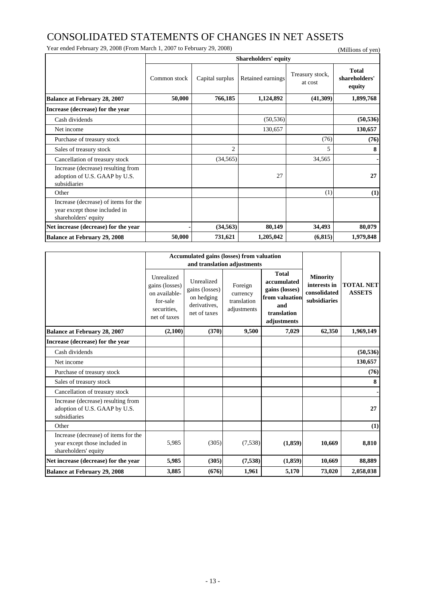### CONSOLIDATED STATEMENTS OF CHANGES IN NET ASSETS

Year ended February 29, 2008 (From March 1, 2007 to February 29, 2008) (Millions of yen)

|                                                                                               | <b>Shareholders' equity</b> |                 |                   |                            |                                         |  |  |  |  |
|-----------------------------------------------------------------------------------------------|-----------------------------|-----------------|-------------------|----------------------------|-----------------------------------------|--|--|--|--|
|                                                                                               | Common stock                | Capital surplus | Retained earnings | Treasury stock,<br>at cost | <b>Total</b><br>shareholders'<br>equity |  |  |  |  |
| <b>Balance at February 28, 2007</b>                                                           | 50,000                      | 766,185         | 1,124,892         | (41,309)                   | 1,899,768                               |  |  |  |  |
| Increase (decrease) for the year                                                              |                             |                 |                   |                            |                                         |  |  |  |  |
| Cash dividends                                                                                |                             |                 | (50, 536)         |                            | (50, 536)                               |  |  |  |  |
| Net income                                                                                    |                             |                 | 130,657           |                            | 130,657                                 |  |  |  |  |
| Purchase of treasury stock                                                                    |                             |                 |                   | (76)                       | (76)                                    |  |  |  |  |
| Sales of treasury stock                                                                       |                             | $\overline{2}$  |                   | 5                          | 8                                       |  |  |  |  |
| Cancellation of treasury stock                                                                |                             | (34, 565)       |                   | 34,565                     | ۰                                       |  |  |  |  |
| Increase (decrease) resulting from<br>adoption of U.S. GAAP by U.S.<br>subsidiaries           |                             |                 | 27                |                            | 27                                      |  |  |  |  |
| Other                                                                                         |                             |                 |                   | (1)                        | (1)                                     |  |  |  |  |
| Increase (decrease) of items for the<br>year except those included in<br>shareholders' equity |                             |                 |                   |                            |                                         |  |  |  |  |
| Net increase (decrease) for the year                                                          |                             | (34, 563)       | 80,149            | 34,493                     | 80,079                                  |  |  |  |  |
| <b>Balance at February 29, 2008</b>                                                           | 50,000                      | 731,621         | 1,205,042         | (6, 815)                   | 1,979,848                               |  |  |  |  |

|                                                                                               |                                                                                          | <b>Accumulated gains (losses) from valuation</b>                           |                                                   |                                                                                                      |                                                                 |                                   |
|-----------------------------------------------------------------------------------------------|------------------------------------------------------------------------------------------|----------------------------------------------------------------------------|---------------------------------------------------|------------------------------------------------------------------------------------------------------|-----------------------------------------------------------------|-----------------------------------|
|                                                                                               |                                                                                          |                                                                            | and translation adjustments                       |                                                                                                      |                                                                 |                                   |
|                                                                                               | Unrealized<br>gains (losses)<br>on available-<br>for-sale<br>securities.<br>net of taxes | Unrealized<br>gains (losses)<br>on hedging<br>derivatives.<br>net of taxes | Foreign<br>currency<br>translation<br>adjustments | <b>Total</b><br>accumulated<br>gains (losses)<br>from valuation<br>and<br>translation<br>adjustments | <b>Minority</b><br>interests in<br>consolidated<br>subsidiaries | <b>TOTAL NET</b><br><b>ASSETS</b> |
| <b>Balance at February 28, 2007</b>                                                           | (2,100)                                                                                  | (370)                                                                      | 9,500                                             | 7,029                                                                                                | 62,350                                                          | 1,969,149                         |
| Increase (decrease) for the year                                                              |                                                                                          |                                                                            |                                                   |                                                                                                      |                                                                 |                                   |
| Cash dividends                                                                                |                                                                                          |                                                                            |                                                   |                                                                                                      |                                                                 | (50, 536)                         |
| Net income                                                                                    |                                                                                          |                                                                            |                                                   |                                                                                                      |                                                                 | 130,657                           |
| Purchase of treasury stock                                                                    |                                                                                          |                                                                            |                                                   |                                                                                                      |                                                                 | (76)                              |
| Sales of treasury stock                                                                       |                                                                                          |                                                                            |                                                   |                                                                                                      |                                                                 | 8                                 |
| Cancellation of treasury stock                                                                |                                                                                          |                                                                            |                                                   |                                                                                                      |                                                                 |                                   |
| Increase (decrease) resulting from<br>adoption of U.S. GAAP by U.S.<br>subsidiaries           |                                                                                          |                                                                            |                                                   |                                                                                                      |                                                                 | 27                                |
| Other                                                                                         |                                                                                          |                                                                            |                                                   |                                                                                                      |                                                                 | (1)                               |
| Increase (decrease) of items for the<br>year except those included in<br>shareholders' equity | 5,985                                                                                    | (305)                                                                      | (7,538)                                           | (1,859)                                                                                              | 10,669                                                          | 8,810                             |
| Net increase (decrease) for the year                                                          | 5,985                                                                                    | (305)                                                                      | (7,538)                                           | (1,859)                                                                                              | 10,669                                                          | 88,889                            |
| <b>Balance at February 29, 2008</b>                                                           | 3,885                                                                                    | (676)                                                                      | 1,961                                             | 5,170                                                                                                | 73,020                                                          | 2,058,038                         |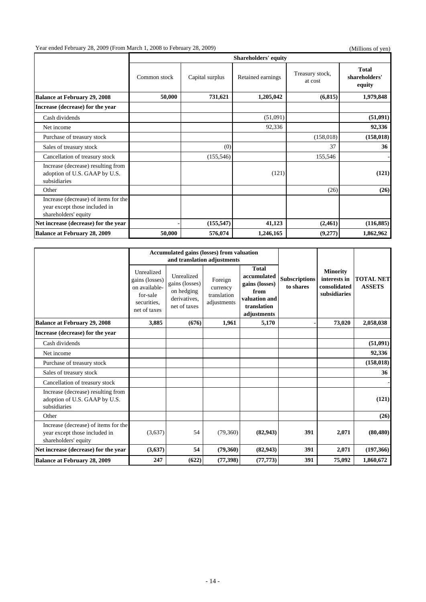# Year ended February 28, 2009 (From March 1, 2008 to February 28, 2009) (Millions of yen)

|                                                                                               |              | <b>Shareholders' equity</b> |                   |                            |                                         |  |  |  |
|-----------------------------------------------------------------------------------------------|--------------|-----------------------------|-------------------|----------------------------|-----------------------------------------|--|--|--|
|                                                                                               | Common stock | Capital surplus             | Retained earnings | Treasury stock,<br>at cost | <b>Total</b><br>shareholders'<br>equity |  |  |  |
| <b>Balance at February 29, 2008</b>                                                           | 50,000       | 731,621                     | 1,205,042         | (6, 815)                   | 1,979,848                               |  |  |  |
| Increase (decrease) for the year                                                              |              |                             |                   |                            |                                         |  |  |  |
| Cash dividends                                                                                |              |                             | (51,091)          |                            | (51,091)                                |  |  |  |
| Net income                                                                                    |              |                             | 92,336            |                            | 92,336                                  |  |  |  |
| Purchase of treasury stock                                                                    |              |                             |                   | (158, 018)                 | (158, 018)                              |  |  |  |
| Sales of treasury stock                                                                       |              | (0)                         |                   | 37                         | 36                                      |  |  |  |
| Cancellation of treasury stock                                                                |              | (155, 546)                  |                   | 155,546                    |                                         |  |  |  |
| Increase (decrease) resulting from<br>adoption of U.S. GAAP by U.S.<br>subsidiaries           |              |                             | (121)             |                            | (121)                                   |  |  |  |
| Other                                                                                         |              |                             |                   | (26)                       | (26)                                    |  |  |  |
| Increase (decrease) of items for the<br>year except those included in<br>shareholders' equity |              |                             |                   |                            |                                         |  |  |  |
| Net increase (decrease) for the year                                                          |              | (155, 547)                  | 41,123            | (2,461)                    | (116, 885)                              |  |  |  |
| <b>Balance at February 28, 2009</b>                                                           | 50,000       | 576,074                     | 1,246,165         | (9,277)                    | 1,862,962                               |  |  |  |

|                                                                                               |                                                                                          | <b>Accumulated gains (losses) from valuation</b>                           |                                                   |                                                                                                      |                                   |                                                                 |                                   |
|-----------------------------------------------------------------------------------------------|------------------------------------------------------------------------------------------|----------------------------------------------------------------------------|---------------------------------------------------|------------------------------------------------------------------------------------------------------|-----------------------------------|-----------------------------------------------------------------|-----------------------------------|
|                                                                                               |                                                                                          |                                                                            | and translation adjustments                       |                                                                                                      |                                   |                                                                 |                                   |
|                                                                                               | Unrealized<br>gains (losses)<br>on available-<br>for-sale<br>securities.<br>net of taxes | Unrealized<br>gains (losses)<br>on hedging<br>derivatives.<br>net of taxes | Foreign<br>currency<br>translation<br>adjustments | <b>Total</b><br>accumulated<br>gains (losses)<br>from<br>valuation and<br>translation<br>adjustments | <b>Subscriptions</b><br>to shares | <b>Minority</b><br>interests in<br>consolidated<br>subsidiaries | <b>TOTAL NET</b><br><b>ASSETS</b> |
| <b>Balance at February 29, 2008</b>                                                           | 3,885                                                                                    | (676)                                                                      | 1,961                                             | 5,170                                                                                                |                                   | 73,020                                                          | 2,058,038                         |
| Increase (decrease) for the year                                                              |                                                                                          |                                                                            |                                                   |                                                                                                      |                                   |                                                                 |                                   |
| Cash dividends                                                                                |                                                                                          |                                                                            |                                                   |                                                                                                      |                                   |                                                                 | (51,091)                          |
| Net income                                                                                    |                                                                                          |                                                                            |                                                   |                                                                                                      |                                   |                                                                 | 92,336                            |
| Purchase of treasury stock                                                                    |                                                                                          |                                                                            |                                                   |                                                                                                      |                                   |                                                                 | (158, 018)                        |
| Sales of treasury stock                                                                       |                                                                                          |                                                                            |                                                   |                                                                                                      |                                   |                                                                 | 36                                |
| Cancellation of treasury stock                                                                |                                                                                          |                                                                            |                                                   |                                                                                                      |                                   |                                                                 |                                   |
| Increase (decrease) resulting from<br>adoption of U.S. GAAP by U.S.<br>subsidiaries           |                                                                                          |                                                                            |                                                   |                                                                                                      |                                   |                                                                 | (121)                             |
| Other                                                                                         |                                                                                          |                                                                            |                                                   |                                                                                                      |                                   |                                                                 | (26)                              |
| Increase (decrease) of items for the<br>year except those included in<br>shareholders' equity | (3,637)                                                                                  | 54                                                                         | (79,360)                                          | (82, 943)                                                                                            | 391                               | 2,071                                                           | (80, 480)                         |
| Net increase (decrease) for the year                                                          | (3,637)                                                                                  | 54                                                                         | (79,360)                                          | (82, 943)                                                                                            | 391                               | 2,071                                                           | (197, 366)                        |
| <b>Balance at February 28, 2009</b>                                                           | 247                                                                                      | (622)                                                                      | (77, 398)                                         | (77, 773)                                                                                            | 391                               | 75,092                                                          | 1,860,672                         |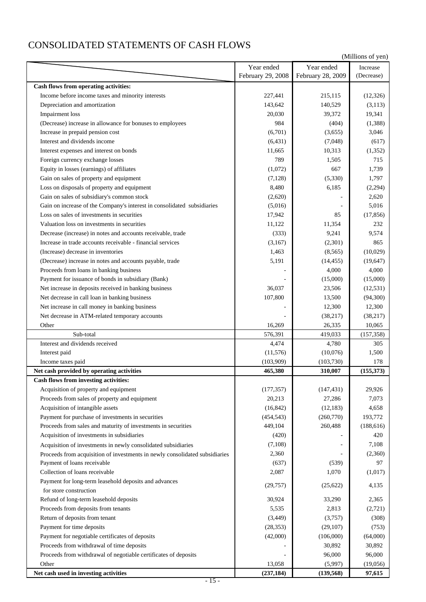## CONSOLIDATED STATEMENTS OF CASH FLOWS

|                                                                             |                   |                   | (Millions of yen) |
|-----------------------------------------------------------------------------|-------------------|-------------------|-------------------|
|                                                                             | Year ended        | Year ended        | Increase          |
|                                                                             | February 29, 2008 | February 28, 2009 | (Decrease)        |
| Cash flows from operating activities:                                       |                   |                   |                   |
| Income before income taxes and minority interests                           | 227,441           | 215,115           | (12, 326)         |
| Depreciation and amortization                                               | 143,642           | 140,529           | (3, 113)          |
| <b>Impairment</b> loss                                                      | 20,030            | 39,372            | 19,341            |
| (Decrease) increase in allowance for bonuses to employees                   | 984               | (404)             | (1,388)           |
| Increase in prepaid pension cost                                            | (6,701)           | (3,655)           | 3,046             |
| Interest and dividends income                                               | (6, 431)          | (7,048)           | (617)             |
| Interest expenses and interest on bonds                                     | 11,665            | 10,313            | (1,352)           |
| Foreign currency exchange losses                                            | 789               | 1,505             | 715               |
| Equity in losses (earnings) of affiliates                                   | (1,072)           | 667               | 1,739             |
| Gain on sales of property and equipment                                     | (7,128)           | (5,330)           | 1,797             |
| Loss on disposals of property and equipment                                 | 8,480             | 6,185             | (2,294)           |
| Gain on sales of subsidiary's common stock                                  | (2,620)           |                   | 2,620             |
| Gain on increase of the Company's interest in consolidated subsidiaries     | (5,016)           |                   | 5,016             |
| Loss on sales of investments in securities                                  | 17,942            | 85                | (17, 856)         |
| Valuation loss on investments in securities                                 | 11,122            | 11,354            | 232               |
| Decrease (increase) in notes and accounts receivable, trade                 | (333)             | 9,241             | 9,574             |
| Increase in trade accounts receivable - financial services                  | (3,167)           | (2,301)           | 865               |
| (Increase) decrease in inventories                                          | 1,463             | (8, 565)          | (10,029)          |
| (Decrease) increase in notes and accounts payable, trade                    | 5,191             | (14, 455)         | (19, 647)         |
| Proceeds from loans in banking business                                     |                   | 4,000             | 4,000             |
| Payment for issuance of bonds in subsidiary (Bank)                          |                   | (15,000)          | (15,000)          |
| Net increase in deposits received in banking business                       | 36,037            | 23,506            | (12, 531)         |
| Net decrease in call loan in banking business                               | 107,800           | 13,500            | (94, 300)         |
| Net increase in call money in banking business                              |                   | 12,300            | 12,300            |
| Net decrease in ATM-related temporary accounts                              |                   | (38, 217)         | (38, 217)         |
| Other                                                                       | 16,269            | 26,335            | 10,065            |
| Sub-total                                                                   | 576,391           | 419,033           | (157, 358)        |
| Interest and dividends received                                             | 4,474             | 4,780             | 305               |
| Interest paid                                                               | (11, 576)         | (10,076)          | 1,500             |
| Income taxes paid                                                           | (103,909)         | (103, 730)        | 178               |
| Net cash provided by operating activities                                   | 465,380           | 310,007           | (155,373)         |
| Cash flows from investing activities:                                       |                   |                   |                   |
| Acquisition of property and equipment                                       | (177, 357)        | (147, 431)        | 29,926            |
| Proceeds from sales of property and equipment                               | 20,213            | 27,286            | 7,073             |
| Acquisition of intangible assets                                            | (16, 842)         | (12, 183)         | 4,658             |
| Payment for purchase of investments in securities                           | (454, 543)        | (260, 770)        | 193,772           |
| Proceeds from sales and maturity of investments in securities               | 449,104           | 260,488           | (188, 616)        |
| Acquisition of investments in subsidiaries                                  | (420)             |                   | 420               |
| Acquisition of investments in newly consolidated subsidiaries               | (7,108)           |                   | 7,108             |
| Proceeds from acquisition of investments in newly consolidated subsidiaries | 2,360             |                   | (2,360)           |
| Payment of loans receivable                                                 | (637)             | (539)             | 97                |
| Collection of loans receivable                                              | 2,087             | 1,070             | (1,017)           |
| Payment for long-term leasehold deposits and advances                       |                   |                   |                   |
| for store construction                                                      | (29, 757)         | (25, 622)         | 4,135             |
| Refund of long-term leasehold deposits                                      | 30,924            | 33,290            | 2,365             |
| Proceeds from deposits from tenants                                         | 5,535             | 2,813             | (2,721)           |
| Return of deposits from tenant                                              | (3, 449)          | (3,757)           | (308)             |
| Payment for time deposits                                                   | (28, 353)         | (29, 107)         | (753)             |
| Payment for negotiable certificates of deposits                             | (42,000)          | (106,000)         | (64,000)          |
| Proceeds from withdrawal of time deposits                                   |                   | 30,892            | 30,892            |
| Proceeds from withdrawal of negotiable certificates of deposits             |                   | 96,000            | 96,000            |
| Other                                                                       | 13,058            | (5,997)           | (19,056)          |
| Net cash used in investing activities                                       | (237, 184)        | (139, 568)        | 97,615            |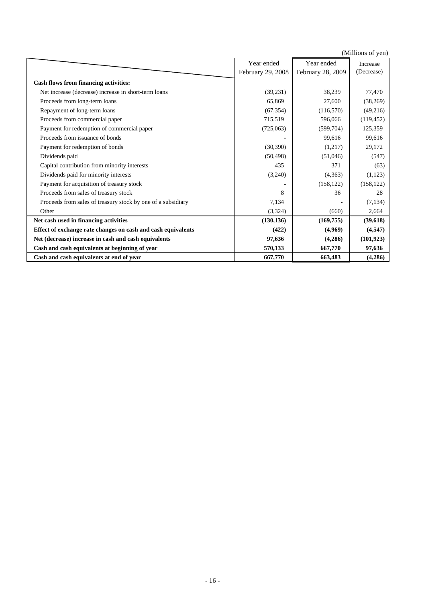(Millions of yen) **Cash flows from financing activities:** Net increase (decrease) increase in short-term loans (39,231) 38,239 77,470 Proceeds from long-term loans 65,869 27,600 (38,269) Repayment of long-term loans (67,354) (116,570) (49,216) Proceeds from commercial paper 715,519 596,066 (119,452) Payment for redemption of commercial paper (725,063) (599,704) 125,359 Proceeds from issuance of bonds 6 199,616 99,616 99,616 99,616 99,616 99,616 99,616 Payment for redemption of bonds (30,390) (1,217) 29,172 Dividends paid (50,498) (51,046) (547) Capital contribution from minority interests (63) 435 435 371 (63) Dividends paid for minority interests (3,240) (4,363) (1,123) Payment for acquisition of treasury stock (158,122) (158,122) (158,122) Proceeds from sales of treasury stock 8 36 36 28 Proceeds from sales of treasury stock by one of a subsidiary 7,134  $(7,134)$  (7,134) Other (3,324) (660) 2,664 Net cash used in financing activities (130,136) (169,755) (39,618) **Effect of exchange rate changes on cash and cash equivalents (422) (4,969) (4,547)** (4,547) Net (decrease) increase in cash and cash equivalents **97,636** (4,286) (101,923) Cash and cash equivalents at beginning of year 570,133 667,770 97,636 **Cash and cash equivalents at end of year 667,770 663,483** (4,286) Year ended February 29, 2008 Year ended February 28, 2009 Increase (Decrease)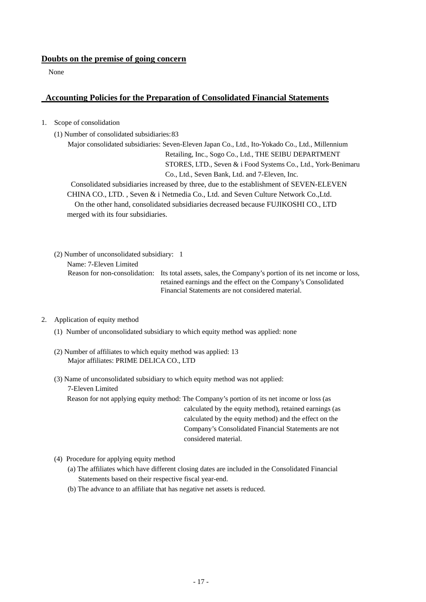#### **Doubts on the premise of going concern**

None

### **Accounting Policies for the Preparation of Consolidated Financial Statements**

1. Scope of consolidation

(1) Number of consolidated subsidiaries: 83

Major consolidated subsidiaries: Seven-Eleven Japan Co., Ltd., Ito-Yokado Co., Ltd., Millennium Retailing, Inc., Sogo Co., Ltd., THE SEIBU DEPARTMENT STORES, LTD., Seven & i Food Systems Co., Ltd., York-Benimaru Co., Ltd., Seven Bank, Ltd. and 7-Eleven, Inc.

Consolidated subsidiaries increased by three, due to the establishment of SEVEN-ELEVEN CHINA CO., LTD. , Seven & i Netmedia Co., Ltd. and Seven Culture Network Co.,Ltd. On the other hand, consolidated subsidiaries decreased because FUJIKOSHI CO., LTD merged with its four subsidiaries.

(2) Number of unconsolidated subsidiary: 1

Name: 7-Eleven Limited

Reason for non-consolidation: Its total assets, sales, the Company's portion of its net income or loss, retained earnings and the effect on the Company's Consolidated Financial Statements are not considered material.

#### 2. Application of equity method

- (1) Number of unconsolidated subsidiary to which equity method was applied: none
- (2) Number of affiliates to which equity method was applied: 13 Major affiliates: PRIME DELICA CO., LTD
- (3) Name of unconsolidated subsidiary to which equity method was not applied:
	- 7-Eleven Limited

Reason for not applying equity method: The Company's portion of its net income or loss (as calculated by the equity method), retained earnings (as calculated by the equity method) and the effect on the Company's Consolidated Financial Statements are not considered material.

- (4) Procedure for applying equity method
	- (a) The affiliates which have different closing dates are included in the Consolidated Financial Statements based on their respective fiscal year-end.
	- (b) The advance to an affiliate that has negative net assets is reduced.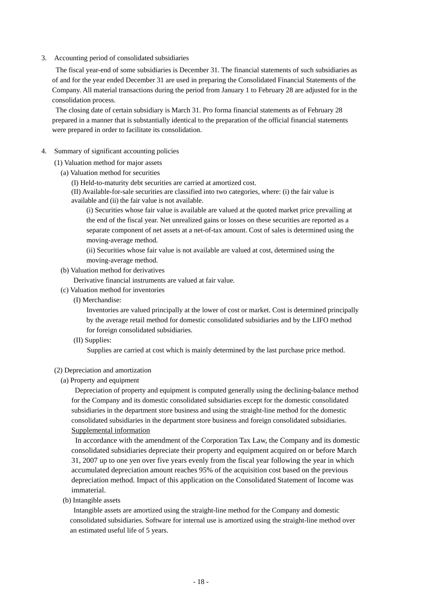3. Accounting period of consolidated subsidiaries

The fiscal year-end of some subsidiaries is December 31. The financial statements of such subsidiaries as of and for the year ended December 31 are used in preparing the Consolidated Financial Statements of the Company. All material transactions during the period from January 1 to February 28 are adjusted for in the consolidation process.

The closing date of certain subsidiary is March 31. Pro forma financial statements as of February 28 prepared in a manner that is substantially identical to the preparation of the official financial statements were prepared in order to facilitate its consolidation.

- 4. Summary of significant accounting policies
	- (1) Valuation method for major assets
		- (a) Valuation method for securities
			- (I) Held-to-maturity debt securities are carried at amortized cost.

 (II) Available-for-sale securities are classified into two categories, where: (i) the fair value is available and (ii) the fair value is not available.

(i) Securities whose fair value is available are valued at the quoted market price prevailing at the end of the fiscal year. Net unrealized gains or losses on these securities are reported as a separate component of net assets at a net-of-tax amount. Cost of sales is determined using the moving-average method.

(ii) Securities whose fair value is not available are valued at cost, determined using the moving-average method.

(b) Valuation method for derivatives

Derivative financial instruments are valued at fair value.

- (c) Valuation method for inventories
	- (I) Merchandise:

Inventories are valued principally at the lower of cost or market. Cost is determined principally by the average retail method for domestic consolidated subsidiaries and by the LIFO method for foreign consolidated subsidiaries.

(II) Supplies:

Supplies are carried at cost which is mainly determined by the last purchase price method.

#### (2) Depreciation and amortization

(a) Property and equipment

Depreciation of property and equipment is computed generally using the declining-balance method for the Company and its domestic consolidated subsidiaries except for the domestic consolidated subsidiaries in the department store business and using the straight-line method for the domestic consolidated subsidiaries in the department store business and foreign consolidated subsidiaries. Supplemental information

In accordance with the amendment of the Corporation Tax Law, the Company and its domestic consolidated subsidiaries depreciate their property and equipment acquired on or before March 31, 2007 up to one yen over five years evenly from the fiscal year following the year in which accumulated depreciation amount reaches 95% of the acquisition cost based on the previous depreciation method. Impact of this application on the Consolidated Statement of Income was immaterial.

(b) Intangible assets

Intangible assets are amortized using the straight-line method for the Company and domestic consolidated subsidiaries. Software for internal use is amortized using the straight-line method over an estimated useful life of 5 years.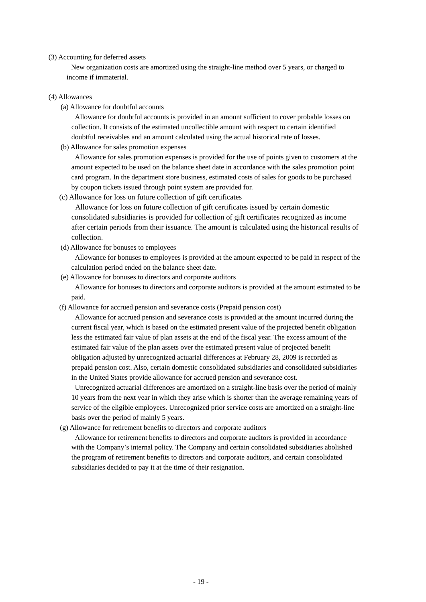#### (3) Accounting for deferred assets

New organization costs are amortized using the straight-line method over 5 years, or charged to income if immaterial.

#### (4) Allowances

(a) Allowance for doubtful accounts

Allowance for doubtful accounts is provided in an amount sufficient to cover probable losses on collection. It consists of the estimated uncollectible amount with respect to certain identified doubtful receivables and an amount calculated using the actual historical rate of losses.

(b) Allowance for sales promotion expenses

Allowance for sales promotion expenses is provided for the use of points given to customers at the amount expected to be used on the balance sheet date in accordance with the sales promotion point card program. In the department store business, estimated costs of sales for goods to be purchased by coupon tickets issued through point system are provided for.

(c) Allowance for loss on future collection of gift certificates

Allowance for loss on future collection of gift certificates issued by certain domestic consolidated subsidiaries is provided for collection of gift certificates recognized as income after certain periods from their issuance. The amount is calculated using the historical results of collection.

(d) Allowance for bonuses to employees

Allowance for bonuses to employees is provided at the amount expected to be paid in respect of the calculation period ended on the balance sheet date.

(e) Allowance for bonuses to directors and corporate auditors

Allowance for bonuses to directors and corporate auditors is provided at the amount estimated to be paid.

(f) Allowance for accrued pension and severance costs (Prepaid pension cost)

Allowance for accrued pension and severance costs is provided at the amount incurred during the current fiscal year, which is based on the estimated present value of the projected benefit obligation less the estimated fair value of plan assets at the end of the fiscal year. The excess amount of the estimated fair value of the plan assets over the estimated present value of projected benefit obligation adjusted by unrecognized actuarial differences at February 28, 2009 is recorded as prepaid pension cost. Also, certain domestic consolidated subsidiaries and consolidated subsidiaries in the United States provide allowance for accrued pension and severance cost.

Unrecognized actuarial differences are amortized on a straight-line basis over the period of mainly 10 years from the next year in which they arise which is shorter than the average remaining years of service of the eligible employees. Unrecognized prior service costs are amortized on a straight-line basis over the period of mainly 5 years.

(g) Allowance for retirement benefits to directors and corporate auditors

Allowance for retirement benefits to directors and corporate auditors is provided in accordance with the Company's internal policy. The Company and certain consolidated subsidiaries abolished the program of retirement benefits to directors and corporate auditors, and certain consolidated subsidiaries decided to pay it at the time of their resignation.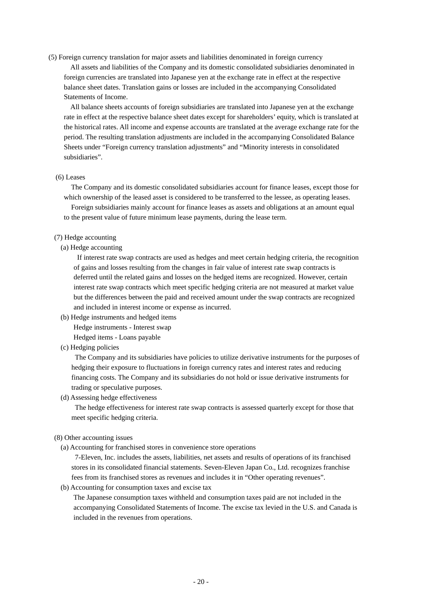(5) Foreign currency translation for major assets and liabilities denominated in foreign currency

All assets and liabilities of the Company and its domestic consolidated subsidiaries denominated in foreign currencies are translated into Japanese yen at the exchange rate in effect at the respective balance sheet dates. Translation gains or losses are included in the accompanying Consolidated Statements of Income.

All balance sheets accounts of foreign subsidiaries are translated into Japanese yen at the exchange rate in effect at the respective balance sheet dates except for shareholders' equity, which is translated at the historical rates. All income and expense accounts are translated at the average exchange rate for the period. The resulting translation adjustments are included in the accompanying Consolidated Balance Sheets under "Foreign currency translation adjustments" and "Minority interests in consolidated subsidiaries".

#### (6) Leases

The Company and its domestic consolidated subsidiaries account for finance leases, except those for which ownership of the leased asset is considered to be transferred to the lessee, as operating leases. Foreign subsidiaries mainly account for finance leases as assets and obligations at an amount equal

to the present value of future minimum lease payments, during the lease term.

#### (7) Hedge accounting

(a) Hedge accounting

If interest rate swap contracts are used as hedges and meet certain hedging criteria, the recognition of gains and losses resulting from the changes in fair value of interest rate swap contracts is deferred until the related gains and losses on the hedged items are recognized. However, certain interest rate swap contracts which meet specific hedging criteria are not measured at market value but the differences between the paid and received amount under the swap contracts are recognized and included in interest income or expense as incurred.

(b) Hedge instruments and hedged items

Hedge instruments - Interest swap Hedged items - Loans payable

- 
- (c) Hedging policies

The Company and its subsidiaries have policies to utilize derivative instruments for the purposes of hedging their exposure to fluctuations in foreign currency rates and interest rates and reducing financing costs. The Company and its subsidiaries do not hold or issue derivative instruments for trading or speculative purposes.

(d) Assessing hedge effectiveness

The hedge effectiveness for interest rate swap contracts is assessed quarterly except for those that meet specific hedging criteria.

#### (8) Other accounting issues

(a) Accounting for franchised stores in convenience store operations

7-Eleven, Inc. includes the assets, liabilities, net assets and results of operations of its franchised stores in its consolidated financial statements. Seven-Eleven Japan Co., Ltd. recognizes franchise fees from its franchised stores as revenues and includes it in "Other operating revenues".

(b) Accounting for consumption taxes and excise tax

The Japanese consumption taxes withheld and consumption taxes paid are not included in the accompanying Consolidated Statements of Income. The excise tax levied in the U.S. and Canada is included in the revenues from operations.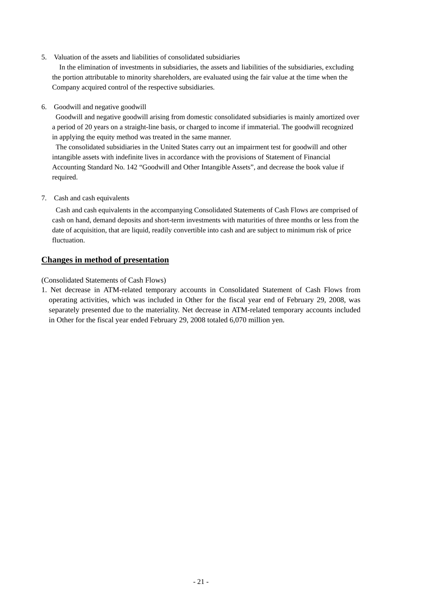5. Valuation of the assets and liabilities of consolidated subsidiaries

In the elimination of investments in subsidiaries, the assets and liabilities of the subsidiaries, excluding the portion attributable to minority shareholders, are evaluated using the fair value at the time when the Company acquired control of the respective subsidiaries.

6. Goodwill and negative goodwill

Goodwill and negative goodwill arising from domestic consolidated subsidiaries is mainly amortized over a period of 20 years on a straight-line basis, or charged to income if immaterial. The goodwill recognized in applying the equity method was treated in the same manner.

The consolidated subsidiaries in the United States carry out an impairment test for goodwill and other intangible assets with indefinite lives in accordance with the provisions of Statement of Financial Accounting Standard No. 142 "Goodwill and Other Intangible Assets", and decrease the book value if required.

7. Cash and cash equivalents

Cash and cash equivalents in the accompanying Consolidated Statements of Cash Flows are comprised of cash on hand, demand deposits and short-term investments with maturities of three months or less from the date of acquisition, that are liquid, readily convertible into cash and are subject to minimum risk of price fluctuation.

### **Changes in method of presentation**

(Consolidated Statements of Cash Flows)

1. Net decrease in ATM-related temporary accounts in Consolidated Statement of Cash Flows from operating activities, which was included in Other for the fiscal year end of February 29, 2008, was separately presented due to the materiality. Net decrease in ATM-related temporary accounts included in Other for the fiscal year ended February 29, 2008 totaled 6,070 million yen.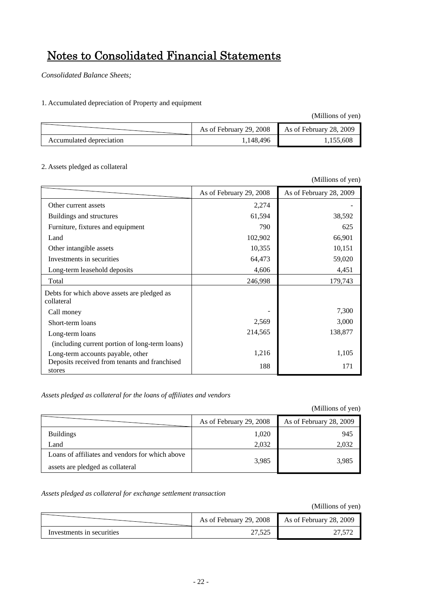# Notes to Consolidated Financial Statements

*Consolidated Balance Sheets;*

1. Accumulated depreciation of Property and equipment

(Millions of yen)

|                          | As of February 29, 2008 | As of February 28, 2009 |
|--------------------------|-------------------------|-------------------------|
| Accumulated depreciation | 1,148,496               | 155.608                 |

#### 2. Assets pledged as collateral

|                                                           |                         | (Millions of yen)       |
|-----------------------------------------------------------|-------------------------|-------------------------|
|                                                           | As of February 29, 2008 | As of February 28, 2009 |
| Other current assets                                      | 2,274                   |                         |
| Buildings and structures                                  | 61,594                  | 38,592                  |
| Furniture, fixtures and equipment                         | 790                     | 625                     |
| Land                                                      | 102,902                 | 66,901                  |
| Other intangible assets                                   | 10,355                  | 10,151                  |
| Investments in securities                                 | 64,473                  | 59,020                  |
| Long-term leasehold deposits                              | 4,606                   | 4,451                   |
| Total                                                     | 246,998                 | 179,743                 |
| Debts for which above assets are pledged as<br>collateral |                         |                         |
| Call money                                                |                         | 7,300                   |
| Short-term loans                                          | 2,569                   | 3,000                   |
| Long-term loans                                           | 214,565                 | 138,877                 |
| (including current portion of long-term loans)            |                         |                         |
| Long-term accounts payable, other                         | 1,216                   | 1,105                   |
| Deposits received from tenants and franchised<br>stores   | 188                     | 171                     |

*Assets pledged as collateral for the loans of affiliates and vendors* 

(Millions of yen)

|                                                 | As of February 29, 2008 | As of February 28, 2009 |
|-------------------------------------------------|-------------------------|-------------------------|
| <b>Buildings</b>                                | 1,020                   | 945                     |
| Land                                            | 2,032                   | 2,032                   |
| Loans of affiliates and vendors for which above | 3,985                   | 3,985                   |
| assets are pledged as collateral                |                         |                         |

*Assets pledged as collateral for exchange settlement transaction* 

(Millions of yen)

|                           | As of February 29, 2008 As of February 28, 2009 |  |
|---------------------------|-------------------------------------------------|--|
| Investments in securities |                                                 |  |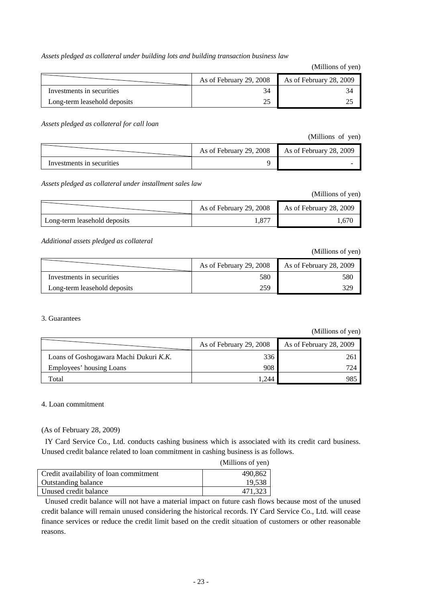*Assets pledged as collateral under building lots and building transaction business law*

(Millions of yen)

|                              | As of February 29, 2008 | As of February 28, 2009 |
|------------------------------|-------------------------|-------------------------|
| Investments in securities    |                         |                         |
| Long-term leasehold deposits |                         |                         |

*Assets pledged as collateral for call loan* 

(Millions of yen)

|                           | As of February 29, 2008 | As of February 28, 2009 |
|---------------------------|-------------------------|-------------------------|
| Investments in securities |                         |                         |

*Assets pledged as collateral under installment sales law* 

(Millions of yen)

|                              | As of February 29, 2008 | As of February 28, 2009 |
|------------------------------|-------------------------|-------------------------|
| Long-term leasehold deposits | 1.87′                   | .670                    |

*Additional assets pledged as collateral* 

(Millions of yen)

|                              | As of February 29, 2008 | As of February 28, 2009 |
|------------------------------|-------------------------|-------------------------|
| Investments in securities    | 580                     | 580                     |
| Long-term leasehold deposits | 259                     | 329                     |

#### 3. Guarantees

(Millions of yen)

|                                        | As of February 29, 2008 | As of February 28, 2009 |
|----------------------------------------|-------------------------|-------------------------|
| Loans of Goshogawara Machi Dukuri K.K. | 336                     | 261                     |
| Employees' housing Loans               | 908                     | 724                     |
| Total                                  | .244                    | 985                     |

#### 4. Loan commitment

(As of February 28, 2009)

IY Card Service Co., Ltd. conducts cashing business which is associated with its credit card business. Unused credit balance related to loan commitment in cashing business is as follows.

|                                        | (Millions of yen) |
|----------------------------------------|-------------------|
| Credit availability of loan commitment | 490,862           |
| <b>Outstanding balance</b>             | 19,538            |
| Unused credit balance                  | 471,323           |

Unused credit balance will not have a material impact on future cash flows because most of the unused credit balance will remain unused considering the historical records. IY Card Service Co., Ltd. will cease finance services or reduce the credit limit based on the credit situation of customers or other reasonable reasons.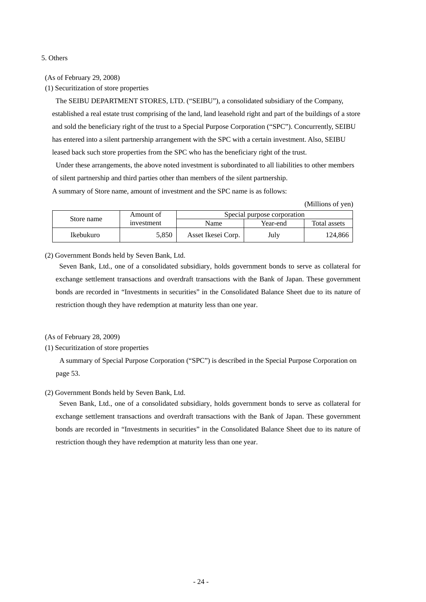#### 5. Others

(As of February 29, 2008)

(1) Securitization of store properties

 The SEIBU DEPARTMENT STORES, LTD. ("SEIBU"), a consolidated subsidiary of the Company, established a real estate trust comprising of the land, land leasehold right and part of the buildings of a store and sold the beneficiary right of the trust to a Special Purpose Corporation ("SPC"). Concurrently, SEIBU has entered into a silent partnership arrangement with the SPC with a certain investment. Also, SEIBU leased back such store properties from the SPC who has the beneficiary right of the trust.

Under these arrangements, the above noted investment is subordinated to all liabilities to other members of silent partnership and third parties other than members of the silent partnership.

A summary of Store name, amount of investment and the SPC name is as follows:

(Millions of yen)

| Store name | Amount of  | Special purpose corporation |          |              |
|------------|------------|-----------------------------|----------|--------------|
|            | investment | Name                        | Year-end | Total assets |
| Ikebukuro  | 5.850      | Asset Ikesei Corp.          | July     | 124.866      |

(2) Government Bonds held by Seven Bank, Ltd.

 Seven Bank, Ltd., one of a consolidated subsidiary, holds government bonds to serve as collateral for exchange settlement transactions and overdraft transactions with the Bank of Japan. These government bonds are recorded in "Investments in securities" in the Consolidated Balance Sheet due to its nature of restriction though they have redemption at maturity less than one year.

(As of February 28, 2009)

(1) Securitization of store properties

 A summary of Special Purpose Corporation ("SPC") is described in the Special Purpose Corporation on page 53.

#### (2) Government Bonds held by Seven Bank, Ltd.

 Seven Bank, Ltd., one of a consolidated subsidiary, holds government bonds to serve as collateral for exchange settlement transactions and overdraft transactions with the Bank of Japan. These government bonds are recorded in "Investments in securities" in the Consolidated Balance Sheet due to its nature of restriction though they have redemption at maturity less than one year.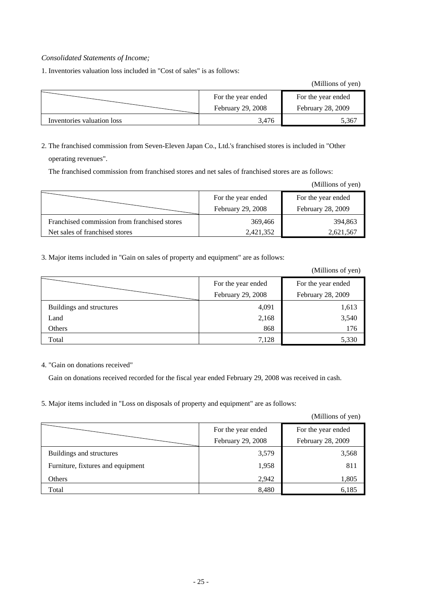#### *Consolidated Statements of Income;*

1. Inventories valuation loss included in "Cost of sales" is as follows:

(Millions of yen)

|                            | For the year ended<br><b>February 29, 2008</b> | For the year ended<br>February 28, 2009 |
|----------------------------|------------------------------------------------|-----------------------------------------|
| Inventories valuation loss | 3.476                                          | .361                                    |

2. The franchised commission from Seven-Eleven Japan Co., Ltd.'s franchised stores is included in "Other operating revenues".

The franchised commission from franchised stores and net sales of franchised stores are as follows:

|                                              |                    | (Millions of yen)  |
|----------------------------------------------|--------------------|--------------------|
|                                              | For the year ended | For the year ended |
|                                              | February 29, 2008  | February 28, 2009  |
| Franchised commission from franchised stores | 369,466            | 394,863            |
| Net sales of franchised stores               | 2,421,352          | 2,621,567          |

3. Major items included in "Gain on sales of property and equipment" are as follows:

(Millions of yen)

|                          | For the year ended | For the year ended |  |
|--------------------------|--------------------|--------------------|--|
|                          | February 29, 2008  | February 28, 2009  |  |
| Buildings and structures | 4,091              | 1,613              |  |
| Land                     | 2,168              | 3,540              |  |
| Others                   | 868                | 176                |  |
| Total                    | 7,128              | 5,330              |  |

4. "Gain on donations received"

 $=$ 

Gain on donations received recorded for the fiscal year ended February 29, 2008 was received in cash.

5. Major items included in "Loss on disposals of property and equipment" are as follows:

(Millions of yen)

|                                   | For the year ended | For the year ended |
|-----------------------------------|--------------------|--------------------|
|                                   | February 29, 2008  | February 28, 2009  |
| Buildings and structures          | 3,579              | 3,568              |
| Furniture, fixtures and equipment | 1,958              | 811                |
| Others                            | 2,942              | 1,805              |
| Total                             | 8,480              | 6,185              |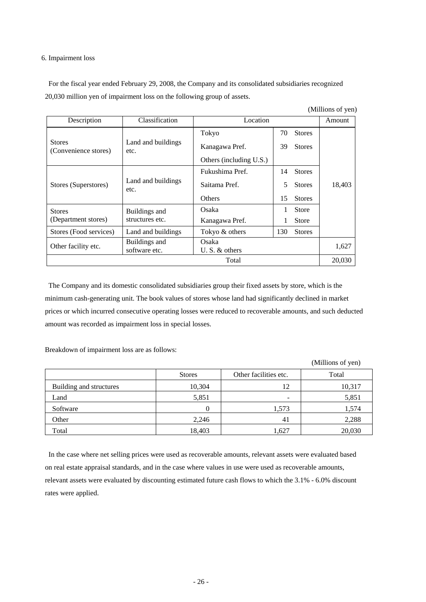#### 6. Impairment loss

For the fiscal year ended February 29, 2008, the Company and its consolidated subsidiaries recognized 20,030 million yen of impairment loss on the following group of assets.

(Millions of yen)

| Description                           | Classification                 | Location                  |    |               | Amount |
|---------------------------------------|--------------------------------|---------------------------|----|---------------|--------|
|                                       |                                | Tokyo                     | 70 | <b>Stores</b> |        |
| <b>Stores</b><br>(Convenience stores) | Land and buildings<br>etc.     | Kanagawa Pref.            | 39 | <b>Stores</b> |        |
|                                       |                                | Others (including U.S.)   |    |               |        |
|                                       |                                | Fukushima Pref.           | 14 | <b>Stores</b> |        |
| Stores (Superstores)                  | Land and buildings<br>etc.     | Saitama Pref.             | 5  | <b>Stores</b> | 18,403 |
|                                       |                                | Others                    | 15 | <b>Stores</b> |        |
| <b>Stores</b>                         | Buildings and                  | Osaka                     | 1  | <b>Store</b>  |        |
| (Department stores)                   | structures etc.                | Kanagawa Pref.            |    | Store         |        |
| Stores (Food services)                | Land and buildings             | 130<br>Tokyo & others     |    | <b>Stores</b> |        |
| Other facility etc.                   | Buildings and<br>software etc. | Osaka<br>U. S. $&$ others |    | 1,627         |        |
|                                       |                                | Total                     |    |               | 20,030 |

The Company and its domestic consolidated subsidiaries group their fixed assets by store, which is the minimum cash-generating unit. The book values of stores whose land had significantly declined in market prices or which incurred consecutive operating losses were reduced to recoverable amounts, and such deducted amount was recorded as impairment loss in special losses.

Breakdown of impairment loss are as follows:

|                         |               |                          | (Millions of yen) |
|-------------------------|---------------|--------------------------|-------------------|
|                         | <b>Stores</b> | Other facilities etc.    | Total             |
| Building and structures | 10,304        | 12                       | 10,317            |
| Land                    | 5,851         | $\overline{\phantom{a}}$ | 5,851             |
| Software                |               | 1,573                    | 1,574             |
| Other                   | 2,246         | 41                       | 2,288             |
| Total                   | 18,403        | 1,627                    | 20,030            |

In the case where net selling prices were used as recoverable amounts, relevant assets were evaluated based on real estate appraisal standards, and in the case where values in use were used as recoverable amounts, relevant assets were evaluated by discounting estimated future cash flows to which the 3.1% - 6.0% discount rates were applied.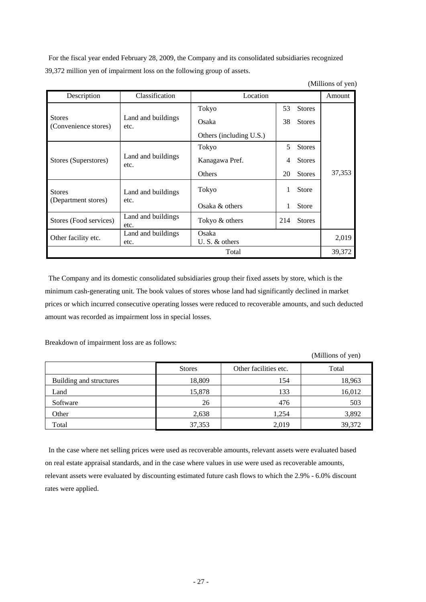For the fiscal year ended February 28, 2009, the Company and its consolidated subsidiaries recognized 39,372 million yen of impairment loss on the following group of assets.

| (Millions of yen) |  |  |
|-------------------|--|--|
|                   |  |  |

| Description                           | Classification             | Location                |    |               | Amount |
|---------------------------------------|----------------------------|-------------------------|----|---------------|--------|
|                                       |                            | Tokyo                   | 53 | <b>Stores</b> |        |
| <b>Stores</b><br>(Convenience stores) | Land and buildings<br>etc. | Osaka                   | 38 | <b>Stores</b> |        |
|                                       |                            | Others (including U.S.) |    |               |        |
|                                       |                            | Tokyo                   | 5  | <b>Stores</b> |        |
| Stores (Superstores)                  | Land and buildings<br>etc. | Kanagawa Pref.          | 4  | <b>Stores</b> |        |
|                                       |                            | <b>Others</b>           | 20 | <b>Stores</b> | 37,353 |
| <b>Stores</b>                         | Land and buildings         | Tokyo                   | 1  | <b>Store</b>  |        |
| (Department stores)                   | etc.                       | Osaka & others          | 1  | <b>Store</b>  |        |
| Stores (Food services)                | Land and buildings<br>etc. | Tokyo & others          |    | <b>Stores</b> |        |
| Other facility etc.                   | Land and buildings         | Osaka                   |    | 2,019         |        |
|                                       | etc.                       | U. S. $&$ others        |    |               |        |
|                                       |                            | Total                   |    |               | 39,372 |

The Company and its domestic consolidated subsidiaries group their fixed assets by store, which is the minimum cash-generating unit. The book values of stores whose land had significantly declined in market prices or which incurred consecutive operating losses were reduced to recoverable amounts, and such deducted amount was recorded as impairment loss in special losses.

Breakdown of impairment loss are as follows:

Stores **CE** Other facilities etc. Total Building and structures 18,809 154 18,963 Land 15,878 133 16,012 Software 26  $26$  476 503 Other 2,638 1,254 3,892 Total 39,372 39,372

In the case where net selling prices were used as recoverable amounts, relevant assets were evaluated based on real estate appraisal standards, and in the case where values in use were used as recoverable amounts, relevant assets were evaluated by discounting estimated future cash flows to which the 2.9% - 6.0% discount rates were applied.

(Millions of yen)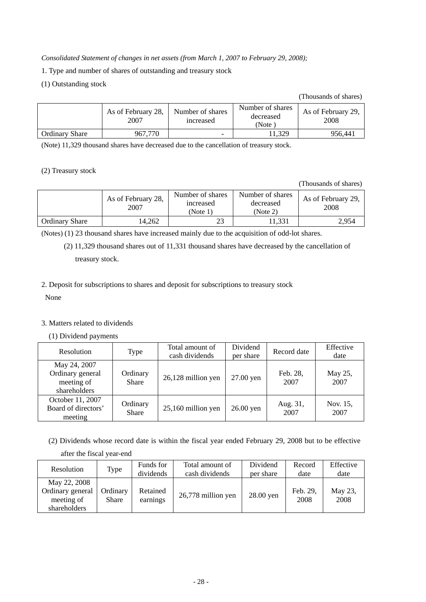*Consolidated Statement of changes in net assets (from March 1, 2007 to February 29, 2008);* 

- 1. Type and number of shares of outstanding and treasury stock
- (1) Outstanding stock

#### (Thousands of shares)

|                       | As of February 28,<br>2007 | Number of shares<br><i>ncreased</i> | Number of shares<br>decreased<br>(Note) | As of February 29,<br>2008 |
|-----------------------|----------------------------|-------------------------------------|-----------------------------------------|----------------------------|
| <b>Ordinary Share</b> | 967.770                    | $\overline{\phantom{0}}$            | 1.329                                   | 956.441                    |

(Note) 11,329 thousand shares have decreased due to the cancellation of treasury stock.

#### (2) Treasury stock

(Thousands of shares)

|                       | Number of shares<br>As of February 28,<br>2007 |    | Number of shares<br>decreased<br>(Note 2) | As of February 29,<br>2008 |
|-----------------------|------------------------------------------------|----|-------------------------------------------|----------------------------|
| <b>Ordinary Share</b> | 14.262                                         | າາ | 11.331                                    | 2.954                      |

(Notes) (1) 23 thousand shares have increased mainly due to the acquisition of odd-lot shares.

(2) 11,329 thousand shares out of 11,331 thousand shares have decreased by the cancellation of treasury stock.

#### 2. Deposit for subscriptions to shares and deposit for subscriptions to treasury stock

None

#### 3. Matters related to dividends

(1) Dividend payments

| Resolution                                                     | Type                     | Total amount of<br>cash dividends | Dividend<br>per share | Record date      | Effective<br>date |
|----------------------------------------------------------------|--------------------------|-----------------------------------|-----------------------|------------------|-------------------|
| May 24, 2007<br>Ordinary general<br>meeting of<br>shareholders | Ordinary<br><b>Share</b> | 26,128 million yen                | 27.00 yen             | Feb. 28,<br>2007 | May 25,<br>2007   |
| October 11, 2007<br>Board of directors'<br>meeting             | Ordinary<br><b>Share</b> | 25,160 million yen                | 26.00 yen             | Aug. 31,<br>2007 | Nov. 15,<br>2007  |

(2) Dividends whose record date is within the fiscal year ended February 29, 2008 but to be effective after the fiscal year-end

| Resolution                                                     | Type              | Funds for<br>dividends | Total amount of<br>cash dividends | Dividend<br>per share | Record<br>date   | Effective<br>date |
|----------------------------------------------------------------|-------------------|------------------------|-----------------------------------|-----------------------|------------------|-------------------|
| May 22, 2008<br>Ordinary general<br>meeting of<br>shareholders | Ordinary<br>Share | Retained<br>earnings   | 26,778 million yen                | 28.00 yen             | Feb. 29,<br>2008 | May 23,<br>2008   |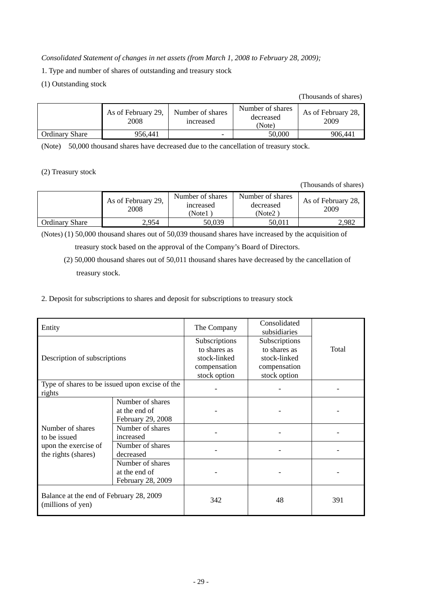*Consolidated Statement of changes in net assets (from March 1, 2008 to February 28, 2009);* 

1. Type and number of shares of outstanding and treasury stock

(1) Outstanding stock

#### (Thousands of shares)

|                       | As of February 29,<br>2008 | Number of shares<br><i>ncreased</i> | Number of shares<br>decreased<br>(Note) | As of February 28,<br>2009 |
|-----------------------|----------------------------|-------------------------------------|-----------------------------------------|----------------------------|
| <b>Ordinary Share</b> | 956.441                    | $\overline{\phantom{0}}$            | 50.000                                  | 906.441                    |

(Note) 50,000 thousand shares have decreased due to the cancellation of treasury stock.

(2) Treasury stock

(Thousands of shares)

|                       | As of February 29,<br>2008 | Number of shares<br>increased<br>(Note1 | Number of shares<br>decreased<br>(Note2) | As of February 28,<br>2009 |
|-----------------------|----------------------------|-----------------------------------------|------------------------------------------|----------------------------|
| <b>Ordinary Share</b> | 2.954                      | 50,039                                  | 50.011                                   | 2,982                      |

(Notes) (1) 50,000 thousand shares out of 50,039 thousand shares have increased by the acquisition of

treasury stock based on the approval of the Company's Board of Directors.

(2) 50,000 thousand shares out of 50,011 thousand shares have decreased by the cancellation of treasury stock.

2. Deposit for subscriptions to shares and deposit for subscriptions to treasury stock

| Entity                                                                          |                                                        | The Company                                                                   | Consolidated<br>subsidiaries                                                  |       |
|---------------------------------------------------------------------------------|--------------------------------------------------------|-------------------------------------------------------------------------------|-------------------------------------------------------------------------------|-------|
| Description of subscriptions                                                    |                                                        | Subscriptions<br>to shares as<br>stock-linked<br>compensation<br>stock option | Subscriptions<br>to shares as<br>stock-linked<br>compensation<br>stock option | Total |
| Type of shares to be issued upon excise of the<br>rights                        |                                                        |                                                                               |                                                                               |       |
|                                                                                 | Number of shares<br>at the end of<br>February 29, 2008 |                                                                               |                                                                               |       |
| Number of shares<br>to be issued<br>upon the exercise of<br>the rights (shares) | Number of shares<br>increased                          |                                                                               |                                                                               |       |
|                                                                                 | Number of shares<br>decreased                          |                                                                               |                                                                               |       |
|                                                                                 | Number of shares<br>at the end of<br>February 28, 2009 |                                                                               |                                                                               |       |
| Balance at the end of February 28, 2009<br>(millions of yen)                    |                                                        | 342                                                                           | 48                                                                            | 391   |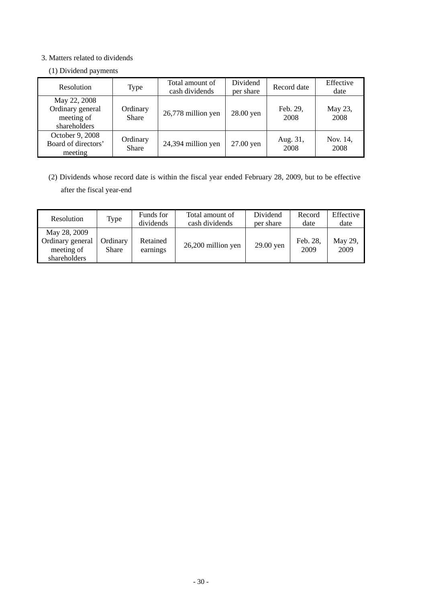#### 3. Matters related to dividends

#### (1) Dividend payments

| Resolution                                                     | Type                     | Total amount of<br>cash dividends | Dividend<br>per share | Record date      | Effective<br>date |
|----------------------------------------------------------------|--------------------------|-----------------------------------|-----------------------|------------------|-------------------|
| May 22, 2008<br>Ordinary general<br>meeting of<br>shareholders | Ordinary<br><b>Share</b> | 26,778 million yen                | 28.00 yen             | Feb. 29,<br>2008 | May 23,<br>2008   |
| October 9, 2008<br>Board of directors'<br>meeting              | Ordinary<br><b>Share</b> | 24,394 million yen                | 27.00 yen             | Aug. 31,<br>2008 | Nov. 14,<br>2008  |

(2) Dividends whose record date is within the fiscal year ended February 28, 2009, but to be effective after the fiscal year-end

| Resolution                                                     | Type                     | Funds for<br>dividends | Total amount of<br>cash dividends | Dividend<br>per share | Record<br>date   | Effective<br>date |
|----------------------------------------------------------------|--------------------------|------------------------|-----------------------------------|-----------------------|------------------|-------------------|
| May 28, 2009<br>Ordinary general<br>meeting of<br>shareholders | Ordinary<br><b>Share</b> | Retained<br>earnings   | 26,200 million yen                | 29.00 yen             | Feb. 28,<br>2009 | May 29,<br>2009   |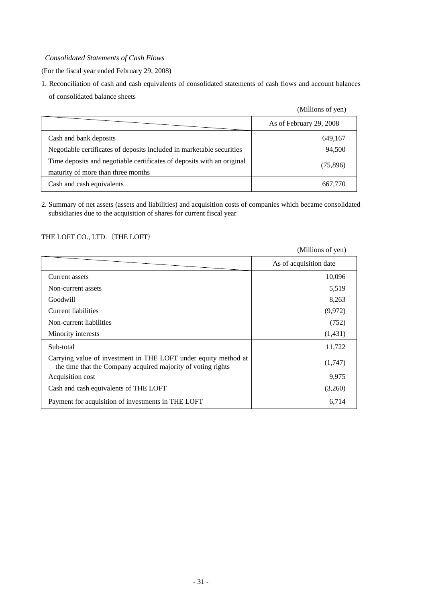#### *Consolidated Statements of Cash Flows*

(For the fiscal year ended February 29, 2008)

1. Reconciliation of cash and cash equivalents of consolidated statements of cash flows and account balances of consolidated balance sheets

|                                                                        | (Millions of yen)       |
|------------------------------------------------------------------------|-------------------------|
|                                                                        | As of February 29, 2008 |
| Cash and bank deposits                                                 | 649,167                 |
| Negotiable certificates of deposits included in marketable securities  | 94,500                  |
| Time deposits and negotiable certificates of deposits with an original | (75,896)                |
| maturity of more than three months                                     |                         |
| Cash and cash equivalents                                              | 667,770                 |

2. Summary of net assets (assets and liabilities) and acquisition costs of companies which became consolidated subsidiaries due to the acquisition of shares for current fiscal year

#### THE LOFT CO., LTD. (THE LOFT)

|                                                                                                                                 | (Millions of yen)      |
|---------------------------------------------------------------------------------------------------------------------------------|------------------------|
|                                                                                                                                 | As of acquisition date |
| Current assets                                                                                                                  | 10,096                 |
| Non-current assets                                                                                                              | 5,519                  |
| Goodwill                                                                                                                        | 8,263                  |
| Current liabilities                                                                                                             | (9,972)                |
| Non-current liabilities                                                                                                         | (752)                  |
| Minority interests                                                                                                              | (1,431)                |
| Sub-total                                                                                                                       | 11,722                 |
| Carrying value of investment in THE LOFT under equity method at<br>the time that the Company acquired majority of voting rights | (1,747)                |
| Acquisition cost                                                                                                                | 9,975                  |
| Cash and cash equivalents of THE LOFT                                                                                           | (3,260)                |
| Payment for acquisition of investments in THE LOFT                                                                              | 6,714                  |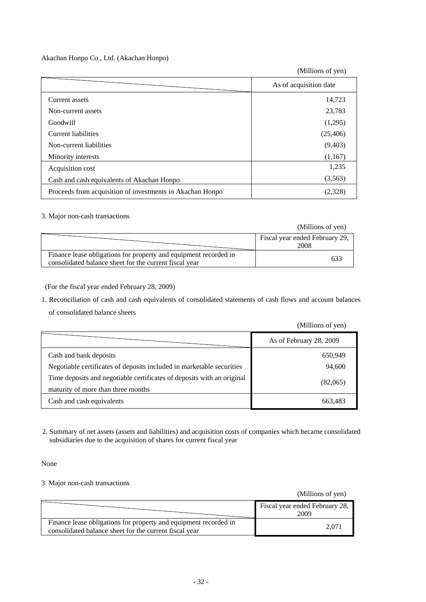#### Akachan Honpo Co., Ltd. (Akachan Honpo)

(Millions of yen)

|                                                           | As of acquisition date |
|-----------------------------------------------------------|------------------------|
| Current assets                                            | 14,723                 |
| Non-current assets                                        | 23,783                 |
| Goodwill                                                  | (1,295)                |
| Current liabilities                                       | (25, 406)              |
| Non-current liabilities                                   | (9,403)                |
| Minority interests                                        | (1,167)                |
| Acquisition cost                                          | 1,235                  |
| Cash and cash equivalents of Akachan Honpo                | (3,563)                |
| Proceeds from acquisition of investments in Akachan Honpo | (2,328)                |

#### 3. Major non-cash transactions

|                                                                                                                            | (Millions of yen)                      |
|----------------------------------------------------------------------------------------------------------------------------|----------------------------------------|
|                                                                                                                            | Fiscal year ended February 29,<br>2008 |
| Finance lease obligations for property and equipment recorded in<br>consolidated balance sheet for the current fiscal year | 63                                     |

(For the fiscal year ended February 28, 2009)

1. Reconciliation of cash and cash equivalents of consolidated statements of cash flows and account balances

of consolidated balance sheets

|                                                                                                              | (Millions of yen)       |
|--------------------------------------------------------------------------------------------------------------|-------------------------|
|                                                                                                              | As of February 28, 2009 |
| Cash and bank deposits                                                                                       | 650,949                 |
| Negotiable certificates of deposits included in marketable securities                                        | 94,600                  |
| Time deposits and negotiable certificates of deposits with an original<br>maturity of more than three months | (82,065)                |
| Cash and cash equivalents                                                                                    | 663.483                 |

2. Summary of net assets (assets and liabilities) and acquisition costs of companies which became consolidated subsidiaries due to the acquisition of shares for current fiscal year

None

#### 3. Major non-cash transactions

(Millions of yen)

|                                                                                                                            | Fiscal year ended February 28,<br>2009 |
|----------------------------------------------------------------------------------------------------------------------------|----------------------------------------|
| Finance lease obligations for property and equipment recorded in<br>consolidated balance sheet for the current fiscal year | 2.071                                  |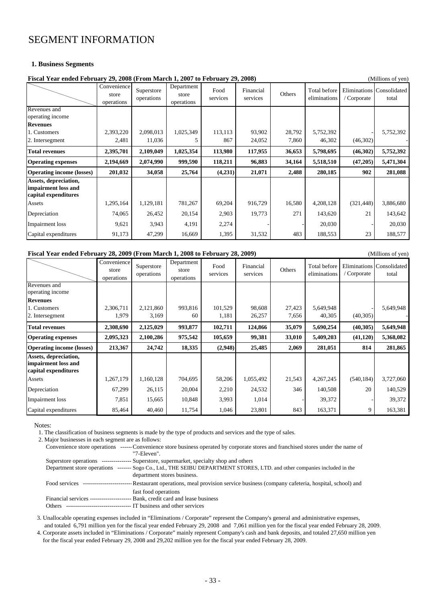### SEGMENT INFORMATION

#### **1. Business Segments**

| Fiscal Year ended February 29, 2008 (From March 1, 2007 to February 29, 2008) |                                    |                          |                                   |                  |                       | (Millions of yen) |                              |             |                                    |
|-------------------------------------------------------------------------------|------------------------------------|--------------------------|-----------------------------------|------------------|-----------------------|-------------------|------------------------------|-------------|------------------------------------|
|                                                                               | Convenience<br>store<br>operations | Superstore<br>operations | Department<br>store<br>operations | Food<br>services | Financial<br>services | Others            | Total before<br>eliminations | / Corporate | Eliminations Consolidated<br>total |
| Revenues and<br>operating income                                              |                                    |                          |                                   |                  |                       |                   |                              |             |                                    |
| <b>Revenues</b>                                                               |                                    |                          |                                   |                  |                       |                   |                              |             |                                    |
| 1. Customers                                                                  | 2,393,220                          | 2,098,013                | 1,025,349                         | 113,113          | 93,902                | 28,792            | 5,752,392                    |             | 5,752,392                          |
| 2. Intersegment                                                               | 2,481                              | 11,036                   |                                   | 867              | 24,052                | 7,860             | 46,302                       | (46,302)    |                                    |
| <b>Total revenues</b>                                                         | 2,395,701                          | 2,109,049                | 1,025,354                         | 113,980          | 117,955               | 36,653            | 5,798,695                    | (46,302)    | 5,752,392                          |
| <b>Operating expenses</b>                                                     | 2,194,669                          | 2,074,990                | 999,590                           | 118,211          | 96,883                | 34,164            | 5,518,510                    | (47,205)    | 5,471,304                          |
| <b>Operating income (losses)</b>                                              | 201,032                            | 34,058                   | 25,764                            | (4,231)          | 21,071                | 2,488             | 280,185                      | 902         | 281,088                            |
| Assets, depreciation,<br>impairment loss and<br>capital expenditures          |                                    |                          |                                   |                  |                       |                   |                              |             |                                    |
| Assets                                                                        | 1,295,164                          | 1,129,181                | 781,267                           | 69,204           | 916,729               | 16,580            | 4,208,128                    | (321, 448)  | 3,886,680                          |
| Depreciation                                                                  | 74,065                             | 26,452                   | 20,154                            | 2,903            | 19,773                | 271               | 143,620                      | 21          | 143,642                            |
| Impairment loss                                                               | 9,621                              | 3,943                    | 4,191                             | 2,274            |                       |                   | 20,030                       |             | 20,030                             |
| Capital expenditures                                                          | 91,173                             | 47,299                   | 16,669                            | 1,395            | 31,532                | 483               | 188,553                      | 23          | 188,577                            |

#### **Fiscal Year ended February 28, 2009 (From March 1, 2008 to February 28, 2009)** (Millions of yen)

|                                                                      | Convenience<br>store<br>operations | Superstore<br>operations | Department<br>store<br>operations | Food<br>services | Financial<br>services | Others | Total before<br>eliminations | / Corporate | Eliminations Consolidated<br>total |
|----------------------------------------------------------------------|------------------------------------|--------------------------|-----------------------------------|------------------|-----------------------|--------|------------------------------|-------------|------------------------------------|
| Revenues and<br>operating income                                     |                                    |                          |                                   |                  |                       |        |                              |             |                                    |
| <b>Revenues</b>                                                      |                                    |                          |                                   |                  |                       |        |                              |             |                                    |
| 1. Customers                                                         | 2,306,711                          | 2,121,860                | 993,816                           | 101,529          | 98,608                | 27,423 | 5,649,948                    |             | 5,649,948                          |
| 2. Intersegment                                                      | 1,979                              | 3,169                    | 60                                | 1,181            | 26,257                | 7,656  | 40,305                       | (40, 305)   |                                    |
| <b>Total revenues</b>                                                | 2,308,690                          | 2,125,029                | 993,877                           | 102,711          | 124,866               | 35,079 | 5,690,254                    | (40, 305)   | 5,649,948                          |
| <b>Operating expenses</b>                                            | 2,095,323                          | 2,100,286                | 975,542                           | 105,659          | 99,381                | 33,010 | 5,409,203                    | (41, 120)   | 5,368,082                          |
| <b>Operating income (losses)</b>                                     | 213,367                            | 24,742                   | 18,335                            | (2,948)          | 25,485                | 2,069  | 281,051                      | 814         | 281,865                            |
| Assets, depreciation,<br>impairment loss and<br>capital expenditures |                                    |                          |                                   |                  |                       |        |                              |             |                                    |
| Assets                                                               | 1,267,179                          | 1,160,128                | 704,695                           | 58,206           | 1,055,492             | 21,543 | 4,267,245                    | (540, 184)  | 3,727,060                          |
| Depreciation                                                         | 67,299                             | 26,115                   | 20,004                            | 2,210            | 24,532                | 346    | 140,508                      | 20          | 140,529                            |
| Impairment loss                                                      | 7,851                              | 15,665                   | 10,848                            | 3,993            | 1,014                 |        | 39,372                       |             | 39,372                             |
| Capital expenditures                                                 | 85,464                             | 40,460                   | 11,754                            | 1,046            | 23,801                | 843    | 163,371                      | 9           | 163,381                            |

Notes:

1. The classification of business segments is made by the type of products and services and the type of sales.

2. Major businesses in each segment are as follows:

|               | Convenience store operations ------ Convenience store business operated by corporate stores and franchised stores under the name of |
|---------------|-------------------------------------------------------------------------------------------------------------------------------------|
|               | "7-Eleven".                                                                                                                         |
|               | Superstore operations --------------- Superstore, supermarket, specialty shop and others                                            |
|               | Department store operations ------- Sogo Co., Ltd., THE SEIBU DEPARTMENT STORES, LTD. and other companies included in the           |
|               | department stores business.                                                                                                         |
| Food services | ------------------------------- Restaurant operations, meal provision service business (company cafeteria, hospital, school) and    |
|               | fast food operations                                                                                                                |
|               | Financial services ------------------------ Bank, credit card and lease business                                                    |
| Others        | - IT business and other services                                                                                                    |

 3. Unallocable operating expenses included in "Eliminations / Corporate" represent the Company's general and administrative expenses, and totaled 6,791 million yen for the fiscal year ended February 29, 2008 and 7,061 million yen for the fiscal year ended February 28, 2009.

 4. Corporate assets included in "Eliminations / Corporate" mainly represent Company's cash and bank deposits, and totaled 27,650 million yen for the fiscal year ended February 29, 2008 and 29,202 million yen for the fiscal year ended February 28, 2009.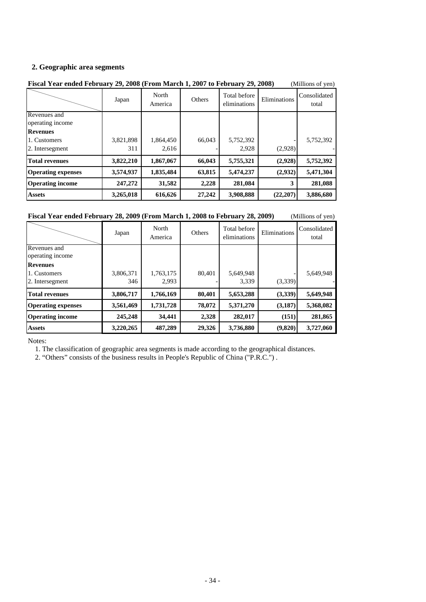#### **2. Geographic area segments**

| Fiscal Year ended February 29, 2008 (From March 1, 2007 to February 29, 2008)<br>(Millions of yen) |                  |                    |        |                              |              |                       |
|----------------------------------------------------------------------------------------------------|------------------|--------------------|--------|------------------------------|--------------|-----------------------|
|                                                                                                    | Japan            | North<br>America   | Others | Total before<br>eliminations | Eliminations | Consolidated<br>total |
| Revenues and<br>operating income                                                                   |                  |                    |        |                              |              |                       |
| <b>Revenues</b><br>1. Customers<br>2. Intersegment                                                 | 3,821,898<br>311 | 1,864,450<br>2,616 | 66,043 | 5,752,392<br>2,928           | (2,928)      | 5,752,392             |
| <b>Total revenues</b>                                                                              | 3,822,210        | 1,867,067          | 66,043 | 5,755,321                    | (2,928)      | 5,752,392             |
| <b>Operating expenses</b>                                                                          | 3,574,937        | 1,835,484          | 63,815 | 5,474,237                    | (2,932)      | 5,471,304             |
| <b>Operating income</b>                                                                            | 247,272          | 31,582             | 2,228  | 281,084                      | 3            | 281,088               |
| <b>Assets</b>                                                                                      | 3,265,018        | 616,626            | 27,242 | 3,908,888                    | (22, 207)    | 3,886,680             |

#### **Fiscal Year ended February 28, 2009 (From March 1, 2008 to February 28, 2009)** (Millions of yen)

|                                                    | Japan            | North<br>America   | Others | Total before<br>eliminations | Eliminations | Consolidated<br>total |
|----------------------------------------------------|------------------|--------------------|--------|------------------------------|--------------|-----------------------|
| Revenues and<br>operating income                   |                  |                    |        |                              |              |                       |
| <b>Revenues</b><br>1. Customers<br>2. Intersegment | 3,806,371<br>346 | 1,763,175<br>2,993 | 80,401 | 5,649,948<br>3,339           | (3,339)      | 5,649,948             |
| <b>Total revenues</b>                              | 3,806,717        | 1,766,169          | 80,401 | 5,653,288                    | (3,339)      | 5,649,948             |
| <b>Operating expenses</b>                          | 3,561,469        | 1,731,728          | 78,072 | 5,371,270                    | (3,187)      | 5,368,082             |
| <b>Operating income</b>                            | 245,248          | 34,441             | 2,328  | 282,017                      | (151)        | 281,865               |
| <b>Assets</b>                                      | 3,220,265        | 487,289            | 29,326 | 3,736,880                    | (9,820)      | 3,727,060             |

Notes:

1. The classification of geographic area segments is made according to the geographical distances.

2. "Others" consists of the business results in People's Republic of China ("P.R.C.") .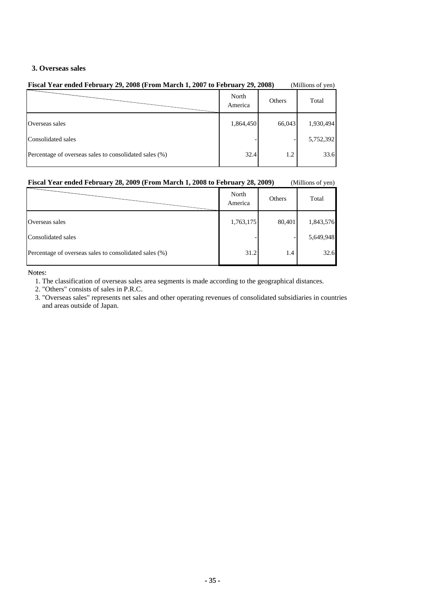#### **3. Overseas sales**

| Fiscal Year ended February 29, 2008 (From March 1, 2007 to February 29, 2008) |                  |               | (Millions of yen) |
|-------------------------------------------------------------------------------|------------------|---------------|-------------------|
|                                                                               | North<br>America | <b>Others</b> | Total             |
| Overseas sales                                                                | 1,864,450        | 66,043        | 1,930,494         |
| Consolidated sales                                                            |                  |               | 5,752,392         |
| Percentage of overseas sales to consolidated sales (%)                        | 32.4             | 1.2           | 33.6              |

#### **Fiscal Year ended February 28, 2009 (From March 1, 2008 to February 28, 2009)** (Millions of yen)

|                                                        | North<br>America | Others | Total     |
|--------------------------------------------------------|------------------|--------|-----------|
| Overseas sales                                         | 1,763,175        | 80,401 | 1,843,576 |
| Consolidated sales                                     |                  |        | 5,649,948 |
| Percentage of overseas sales to consolidated sales (%) | 31.2             | 1.4    | 32.6      |

Notes:

- 1. The classification of overseas sales area segments is made according to the geographical distances.
- 2. "Others" consists of sales in P.R.C.
- 3. "Overseas sales" represents net sales and other operating revenues of consolidated subsidiaries in countries and areas outside of Japan.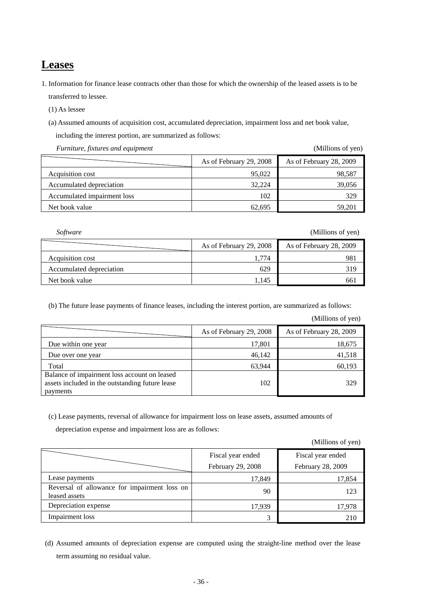### **Leases**

- 1. Information for finance lease contracts other than those for which the ownership of the leased assets is to be transferred to lessee.
	- (1) As lessee
	- (a) Assumed amounts of acquisition cost, accumulated depreciation, impairment loss and net book value,

including the interest portion, are summarized as follows:

*Furniture, fixtures and equipment* (Millions of yen)

|                             | As of February 29, 2008 | As of February 28, 2009 |
|-----------------------------|-------------------------|-------------------------|
| Acquisition cost            | 95,022                  | 98,587                  |
| Accumulated depreciation    | 32.224                  | 39,056                  |
| Accumulated impairment loss | 102                     | 329                     |
| Net book value              | 62.695                  | 59.201                  |

*Software* (Millions of yen)

|                          | As of February 29, 2008 | As of February 28, 2009 |
|--------------------------|-------------------------|-------------------------|
| Acquisition cost         | 1.774                   | 981                     |
| Accumulated depreciation | 629                     | 319                     |
| Net book value           | 1.145                   | 661                     |

(b) The future lease payments of finance leases, including the interest portion, are summarized as follows:

(Millions of yen)

|                                                                                                             | As of February 29, 2008 | As of February 28, 2009 |
|-------------------------------------------------------------------------------------------------------------|-------------------------|-------------------------|
| Due within one year                                                                                         | 17,801                  | 18,675                  |
| Due over one year                                                                                           | 46,142                  | 41,518                  |
| Total                                                                                                       | 63.944                  | 60,193                  |
| Balance of impairment loss account on leased<br>assets included in the outstanding future lease<br>payments | 102                     | 329                     |

(c) Lease payments, reversal of allowance for impairment loss on lease assets, assumed amounts of

depreciation expense and impairment loss are as follows:

(Millions of yen)

|                                                               | Fiscal year ended<br>February 29, 2008 | Fiscal year ended<br>February 28, 2009 |
|---------------------------------------------------------------|----------------------------------------|----------------------------------------|
| Lease payments                                                | 17,849                                 | 17,854                                 |
| Reversal of allowance for impairment loss on<br>leased assets | 90                                     | 123                                    |
| Depreciation expense                                          | 17,939                                 | 17,978                                 |
| <b>Impairment</b> loss                                        |                                        | 210                                    |

 (d) Assumed amounts of depreciation expense are computed using the straight-line method over the lease term assuming no residual value.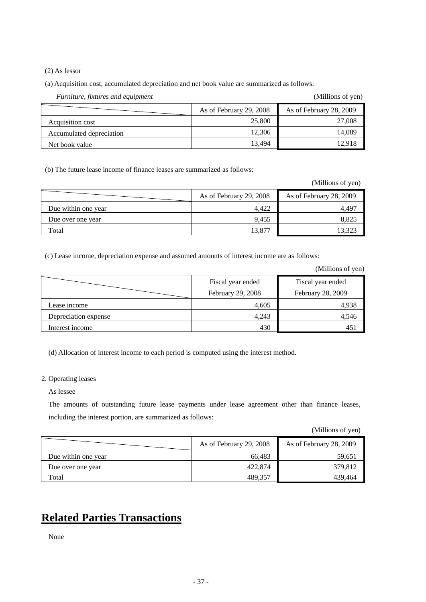(2) As lessor

(a) Acquisition cost, accumulated depreciation and net book value are summarized as follows:

| Furniture, fixtures and equipment | (Millions of yen)       |                         |
|-----------------------------------|-------------------------|-------------------------|
|                                   | As of February 29, 2008 | As of February 28, 2009 |
| Acquisition cost                  | 25,800                  | 27,008                  |
| Accumulated depreciation          | 12,306                  | 14,089                  |
| Net book value                    | 13.494                  | 12.918                  |

(b) The future lease income of finance leases are summarized as follows:

(Millions of yen)

|                     | As of February 29, 2008 | As of February 28, 2009 |
|---------------------|-------------------------|-------------------------|
| Due within one year | 4.422                   | 4.497                   |
| Due over one year   | 9,455                   | 8,825                   |
| Total               | 13,877                  | 13.323                  |

(c) Lease income, depreciation expense and assumed amounts of interest income are as follows:

(Millions of yen)

|                      | Fiscal year ended<br>February 29, 2008 | Fiscal year ended<br>February 28, 2009 |  |
|----------------------|----------------------------------------|----------------------------------------|--|
| Lease income         | 4,605                                  | 4,938                                  |  |
| Depreciation expense | 4,243                                  | 4,546                                  |  |
| Interest income      | 430                                    | 451                                    |  |

(d) Allocation of interest income to each period is computed using the interest method.

2. Operating leases

As lessee

The amounts of outstanding future lease payments under lease agreement other than finance leases, including the interest portion, are summarized as follows:

(Millions of yen)

|                     | As of February 29, 2008 | As of February 28, 2009 |
|---------------------|-------------------------|-------------------------|
| Due within one year | 66.483                  | 59.651                  |
| Due over one year   | 422,874                 | 379,812                 |
| Total               | 489,357                 | 439,464                 |

# **Related Parties Transactions**

None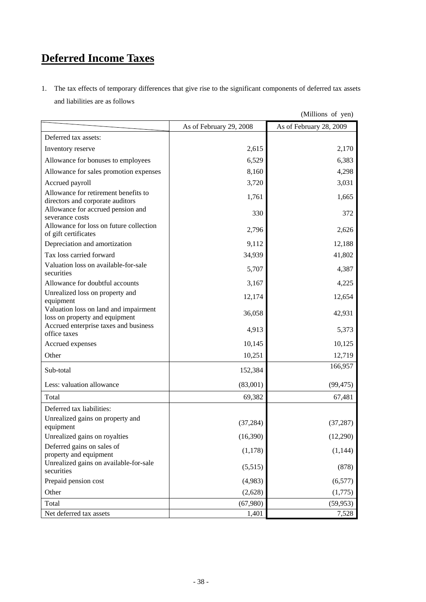# **Deferred Income Taxes**

1. The tax effects of temporary differences that give rise to the significant components of deferred tax assets and liabilities are as follows

|                                                                                |                         | $($ winnono or $\sqrt{2}$ |
|--------------------------------------------------------------------------------|-------------------------|---------------------------|
|                                                                                | As of February 29, 2008 | As of February 28, 2009   |
| Deferred tax assets:                                                           |                         |                           |
| Inventory reserve                                                              | 2,615                   | 2,170                     |
| Allowance for bonuses to employees                                             | 6,529                   | 6,383                     |
| Allowance for sales promotion expenses                                         | 8,160                   | 4,298                     |
| Accrued payroll                                                                | 3,720                   | 3,031                     |
| Allowance for retirement benefits to<br>directors and corporate auditors       | 1,761                   | 1,665                     |
| Allowance for accrued pension and<br>severance costs                           | 330                     | 372                       |
| Allowance for loss on future collection<br>of gift certificates                | 2,796                   | 2,626                     |
| Depreciation and amortization                                                  | 9,112                   | 12,188                    |
| Tax loss carried forward                                                       | 34,939                  | 41,802                    |
| Valuation loss on available-for-sale<br>securities                             | 5,707                   | 4,387                     |
| Allowance for doubtful accounts                                                | 3,167                   | 4,225                     |
| Unrealized loss on property and<br>equipment                                   | 12,174                  | 12,654                    |
| Valuation loss on land and impairment<br>loss on property and equipment        | 36,058                  | 42,931                    |
| Accrued enterprise taxes and business<br>office taxes                          | 4,913                   | 5,373                     |
| Accrued expenses                                                               | 10,145                  | 10,125                    |
| Other                                                                          | 10,251                  | 12,719                    |
| Sub-total                                                                      | 152,384                 | 166,957                   |
| Less: valuation allowance                                                      | (83,001)                | (99, 475)                 |
| Total                                                                          | 69,382                  | 67,481                    |
| Deferred tax liabilities:                                                      |                         |                           |
| Unrealized gains on property and<br>equipment                                  | (37, 284)               | (37, 287)                 |
| Unrealized gains on royalties                                                  | (16,390)                | (12,290)                  |
| Deferred gains on sales of                                                     | (1,178)                 | (1,144)                   |
| property and equipment<br>Unrealized gains on available-for-sale<br>securities | (5,515)                 | (878)                     |
| Prepaid pension cost                                                           | (4,983)                 | (6, 577)                  |
| Other                                                                          | (2,628)                 | (1,775)                   |
| Total                                                                          | (67,980)                | (59, 953)                 |
| Net deferred tax assets                                                        | 1,401                   | 7,528                     |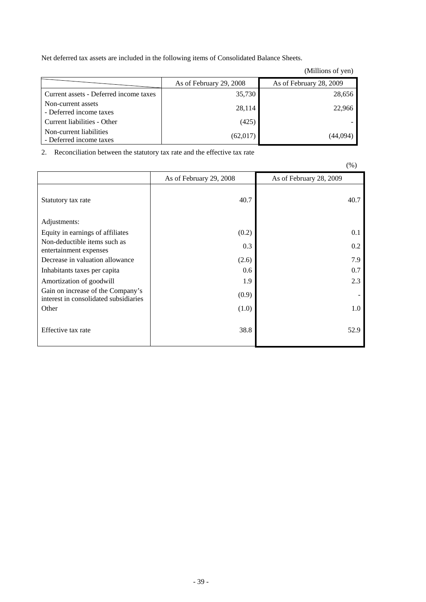Net deferred tax assets are included in the following items of Consolidated Balance Sheets.

|                                                    |                         | (Millions of yen)       |
|----------------------------------------------------|-------------------------|-------------------------|
|                                                    | As of February 29, 2008 | As of February 28, 2009 |
| Current assets - Deferred income taxes             | 35,730                  | 28,656                  |
| Non-current assets<br>- Deferred income taxes      | 28,114                  | 22,966                  |
| Current liabilities - Other                        | (425)                   |                         |
| Non-current liabilities<br>- Deferred income taxes | (62,017)                | (44,094)                |

2. Reconciliation between the statutory tax rate and the effective tax rate

|                                                                            |                         | $\cdots$                |
|----------------------------------------------------------------------------|-------------------------|-------------------------|
|                                                                            | As of February 29, 2008 | As of February 28, 2009 |
| Statutory tax rate                                                         | 40.7                    | 40.7                    |
| Adjustments:                                                               |                         |                         |
| Equity in earnings of affiliates                                           | (0.2)                   | 0.1                     |
| Non-deductible items such as<br>entertainment expenses                     | 0.3                     | 0.2                     |
| Decrease in valuation allowance                                            | (2.6)                   | 7.9                     |
| Inhabitants taxes per capita                                               | 0.6                     | 0.7                     |
| Amortization of goodwill                                                   | 1.9                     | 2.3                     |
| Gain on increase of the Company's<br>interest in consolidated subsidiaries | (0.9)                   |                         |
| Other                                                                      | (1.0)                   | 1.0                     |
| Effective tax rate                                                         | 38.8                    | 52.9                    |

 $(% )$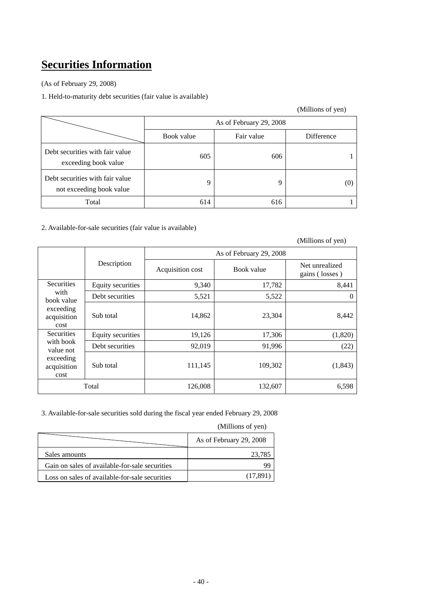# **Securities Information**

(As of February 29, 2008)

1. Held-to-maturity debt securities (fair value is available)

### (Millions of yen)

|                                                             | As of February 29, 2008 |            |            |
|-------------------------------------------------------------|-------------------------|------------|------------|
|                                                             | Book value              | Fair value | Difference |
| Debt securities with fair value<br>exceeding book value     | 605                     | 606        |            |
| Debt securities with fair value<br>not exceeding book value | 9                       | q          | O.         |
| Total                                                       | 614                     | 616        |            |

### 2. Available-for-sale securities (fair value is available)

|                                               |                          |                         |            | (Millions of yen)                |  |
|-----------------------------------------------|--------------------------|-------------------------|------------|----------------------------------|--|
|                                               |                          | As of February 29, 2008 |            |                                  |  |
|                                               | Description              | Acquisition cost        | Book value | Net unrealized<br>gains (losses) |  |
| <b>Securities</b>                             | Equity securities        | 9,340                   | 17,782     | 8,441                            |  |
| with<br>book value                            | Debt securities          | 5,521                   | 5,522      | $\theta$                         |  |
| exceeding<br>Sub total<br>acquisition<br>cost |                          | 14,862                  | 23,304     | 8,442                            |  |
| <b>Securities</b>                             | <b>Equity securities</b> | 19,126                  | 17,306     | (1,820)                          |  |
| with book<br>value not                        | Debt securities          | 92,019                  | 91,996     | (22)                             |  |
| exceeding<br>acquisition<br>cost              | Sub total                | 111,145                 | 109,302    | (1, 843)                         |  |
|                                               | Total                    | 126,008                 | 132,607    | 6,598                            |  |

3. Available-for-sale securities sold during the fiscal year ended February 29, 2008

|                                                | As of February 29, 2008 |
|------------------------------------------------|-------------------------|
| Sales amounts                                  | 23.785                  |
| Gain on sales of available-for-sale securities | 99                      |
| Loss on sales of available-for-sale securities | (17.891)                |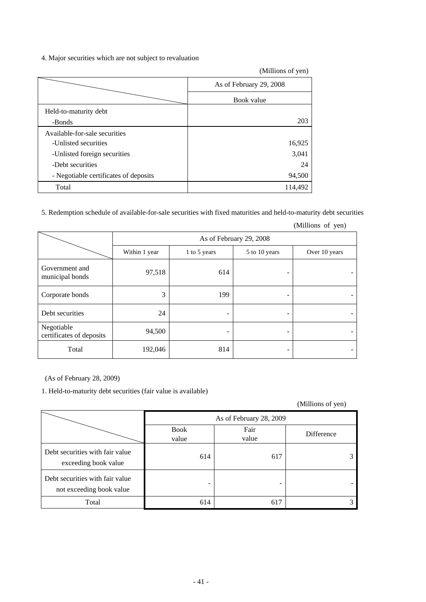#### 4. Major securities which are not subject to revaluation

|                                       | (Millions of yen)       |
|---------------------------------------|-------------------------|
|                                       | As of February 29, 2008 |
|                                       | Book value              |
| Held-to-maturity debt                 |                         |
| -Bonds                                | 203                     |
| Available-for-sale securities         |                         |
| -Unlisted securities                  | 16,925                  |
| -Unlisted foreign securities          | 3,041                   |
| -Debt securities                      | 24                      |
| - Negotiable certificates of deposits | 94,500                  |
| Total                                 | 114,492                 |

5. Redemption schedule of available-for-sale securities with fixed maturities and held-to-maturity debt securities

|                                        | As of February 29, 2008 |              |               |               |
|----------------------------------------|-------------------------|--------------|---------------|---------------|
|                                        | Within 1 year           | 1 to 5 years | 5 to 10 years | Over 10 years |
| Government and<br>municipal bonds      | 97,518                  | 614          |               |               |
| Corporate bonds                        | 3                       | 199          | -             |               |
| Debt securities                        | 24                      | -            | ۰             |               |
| Negotiable<br>certificates of deposits | 94,500                  | -            | -             |               |
| Total                                  | 192,046                 | 814          |               |               |

(Millions of yen)

(As of February 28, 2009)

1. Held-to-maturity debt securities (fair value is available)

|                                                             |                      | As of February 28, 2009 |            |  |  |  |
|-------------------------------------------------------------|----------------------|-------------------------|------------|--|--|--|
|                                                             | <b>Book</b><br>value | Fair<br>value           | Difference |  |  |  |
| Debt securities with fair value<br>exceeding book value     | 614                  | 617                     |            |  |  |  |
| Debt securities with fair value<br>not exceeding book value |                      | -                       |            |  |  |  |
| Total                                                       | 614                  | 617                     |            |  |  |  |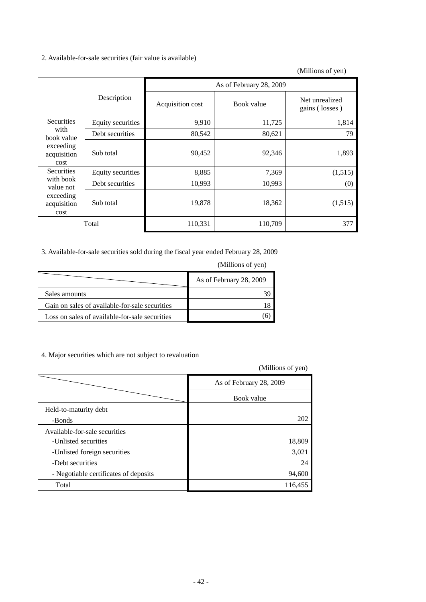#### 2. Available-for-sale securities (fair value is available)

(Millions of yen)

|                                  |                   | As of February 28, 2009 |            |                                  |  |
|----------------------------------|-------------------|-------------------------|------------|----------------------------------|--|
|                                  | Description       | Acquisition cost        | Book value | Net unrealized<br>gains (losses) |  |
| <b>Securities</b>                | Equity securities | 9,910                   | 11,725     | 1,814                            |  |
| with<br>book value               | Debt securities   | 80,542                  | 80,621     | 79                               |  |
| exceeding<br>acquisition<br>cost | Sub total         | 90,452                  | 92,346     | 1,893                            |  |
| <b>Securities</b>                | Equity securities | 8,885                   | 7,369      | (1,515)                          |  |
| with book<br>value not           | Debt securities   | 10,993                  | 10,993     | (0)                              |  |
| exceeding<br>acquisition<br>cost | Sub total         | 19,878                  | 18,362     | (1,515)                          |  |
|                                  | Total             | 110,331                 | 110,709    | 377                              |  |

3. Available-for-sale securities sold during the fiscal year ended February 28, 2009

|                                                | (Millions of yen)       |
|------------------------------------------------|-------------------------|
|                                                | As of February 28, 2009 |
| Sales amounts                                  |                         |
| Gain on sales of available-for-sale securities |                         |
| Loss on sales of available-for-sale securities |                         |

4. Major securities which are not subject to revaluation

|                                       | As of February 28, 2009 |
|---------------------------------------|-------------------------|
|                                       | Book value              |
| Held-to-maturity debt                 |                         |
| -Bonds                                | 202                     |
| Available-for-sale securities         |                         |
| -Unlisted securities                  | 18,809                  |
| -Unlisted foreign securities          | 3,021                   |
| -Debt securities                      | 24                      |
| - Negotiable certificates of deposits | 94,600                  |
| Total                                 | 116,455                 |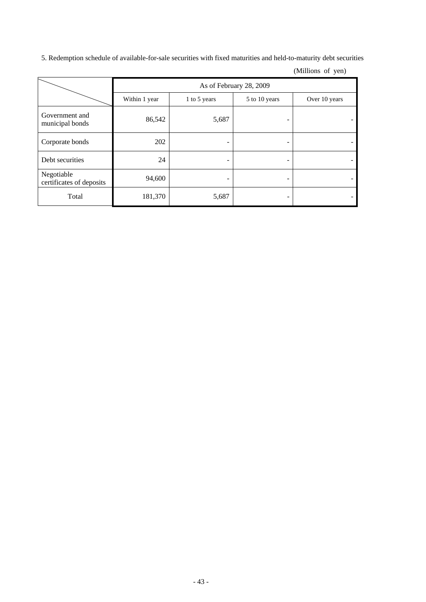5. Redemption schedule of available-for-sale securities with fixed maturities and held-to-maturity debt securities

|                                        | As of February 28, 2009 |              |               |               |  |  |
|----------------------------------------|-------------------------|--------------|---------------|---------------|--|--|
|                                        | Within 1 year           | 1 to 5 years | 5 to 10 years | Over 10 years |  |  |
| Government and<br>municipal bonds      | 86,542                  | 5,687        |               |               |  |  |
| Corporate bonds                        | 202                     | -            |               |               |  |  |
| Debt securities                        | 24                      | -            | -             |               |  |  |
| Negotiable<br>certificates of deposits | 94,600                  |              |               |               |  |  |
| Total                                  | 181,370                 | 5,687        | -             |               |  |  |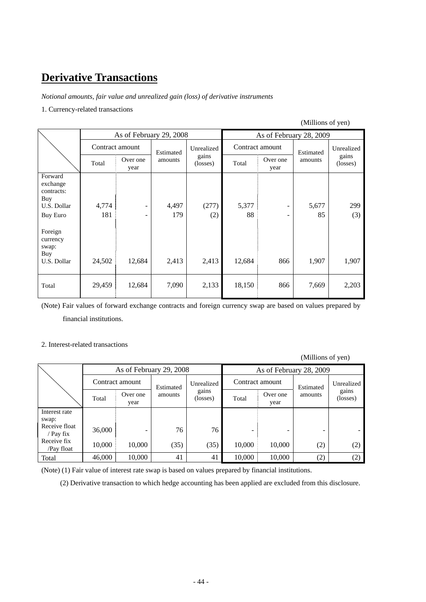# **Derivative Transactions**

*Notional amounts, fair value and unrealized gain (loss) of derivative instruments* 

#### 1. Currency-related transactions

### (Millions of yen)

|                                                                            | As of February 29, 2008 |                  |              | As of February 28, 2009 |             |                  |                      |                   |
|----------------------------------------------------------------------------|-------------------------|------------------|--------------|-------------------------|-------------|------------------|----------------------|-------------------|
| Contract amount                                                            | Estimated               | Unrealized       |              | Contract amount         |             | Unrealized       |                      |                   |
|                                                                            | Total                   | Over one<br>year | amounts      | gains<br>(losses)       | Total       | Over one<br>year | Estimated<br>amounts | gains<br>(losses) |
| Forward<br>exchange<br>contracts:<br>Buy<br>U.S. Dollar<br><b>Buy Euro</b> | 4,774<br>181            |                  | 4,497<br>179 | (277)<br>(2)            | 5,377<br>88 | -                | 5,677<br>85          | 299<br>(3)        |
| Foreign<br>currency<br>swap:<br>Buy<br>U.S. Dollar                         | 24,502                  | 12,684           | 2,413        | 2,413                   | 12,684      | 866              | 1,907                | 1,907             |
| Total                                                                      | 29,459                  | 12,684           | 7,090        | 2,133                   | 18,150      | 866              | 7,669                | 2,203             |

(Note) Fair values of forward exchange contracts and foreign currency swap are based on values prepared by financial institutions.

#### 2. Interest-related transactions

(Millions of yen)

| As of February 29, 2008      |        |                  |                         |                   |                 | As of February 28, 2009 |           |                   |
|------------------------------|--------|------------------|-------------------------|-------------------|-----------------|-------------------------|-----------|-------------------|
|                              |        | Contract amount  | Unrealized<br>Estimated |                   | Contract amount |                         | Estimated | Unrealized        |
|                              | Total  | Over one<br>year | amounts                 | gains<br>(losses) | Total           | Over one<br>year        | amounts   | gains<br>(losses) |
| Interest rate                |        |                  |                         |                   |                 |                         |           |                   |
| swap:                        |        |                  |                         |                   |                 |                         |           |                   |
| Receive float<br>/ Pay $fix$ | 36,000 |                  | 76                      | 76                |                 |                         |           |                   |
| Receive fix<br>/Pay float    | 10,000 | 10,000           | (35)                    | (35)              | 10,000          | 10,000                  | (2)       | (2)               |
| Total                        | 46,000 | 10,000           | 41                      | 41                | 10,000          | 10,000                  | (2)       | (2)               |

(Note) (1) Fair value of interest rate swap is based on values prepared by financial institutions.

(2) Derivative transaction to which hedge accounting has been applied are excluded from this disclosure.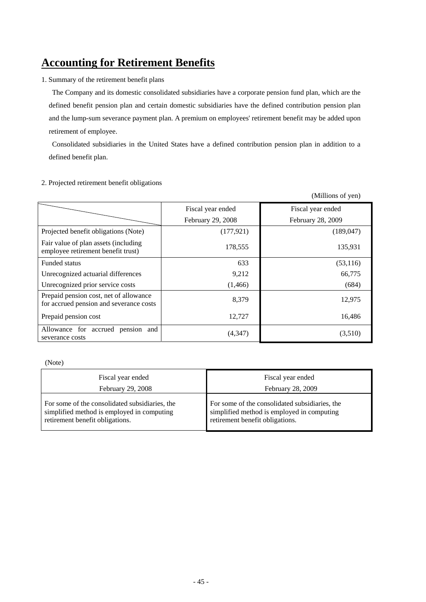# **Accounting for Retirement Benefits**

1. Summary of the retirement benefit plans

 The Company and its domestic consolidated subsidiaries have a corporate pension fund plan, which are the defined benefit pension plan and certain domestic subsidiaries have the defined contribution pension plan and the lump-sum severance payment plan. A premium on employees' retirement benefit may be added upon retirement of employee.

 Consolidated subsidiaries in the United States have a defined contribution pension plan in addition to a defined benefit plan.

(Millions of yen)

|                                                                                   | Fiscal year ended | Fiscal year ended |
|-----------------------------------------------------------------------------------|-------------------|-------------------|
|                                                                                   | February 29, 2008 | February 28, 2009 |
| Projected benefit obligations (Note)                                              | (177, 921)        | (189, 047)        |
| Fair value of plan assets (including<br>employee retirement benefit trust)        | 178,555           | 135,931           |
| Funded status                                                                     | 633               | (53, 116)         |
| Unrecognized actuarial differences                                                | 9,212             | 66,775            |
| Unrecognized prior service costs                                                  | (1,466)           | (684)             |
| Prepaid pension cost, net of allowance<br>for accrued pension and severance costs | 8,379             | 12,975            |
| Prepaid pension cost                                                              | 12,727            | 16,486            |
| Allowance for accrued pension<br>and<br>severance costs                           | (4, 347)          | (3,510)           |

#### 2. Projected retirement benefit obligations

(Note)

| Fiscal year ended                              | Fiscal year ended                              |
|------------------------------------------------|------------------------------------------------|
| <b>February 29, 2008</b>                       | February 28, 2009                              |
| For some of the consolidated subsidiaries, the | For some of the consolidated subsidiaries, the |
| simplified method is employed in computing     | simplified method is employed in computing     |
| retirement benefit obligations.                | retirement benefit obligations.                |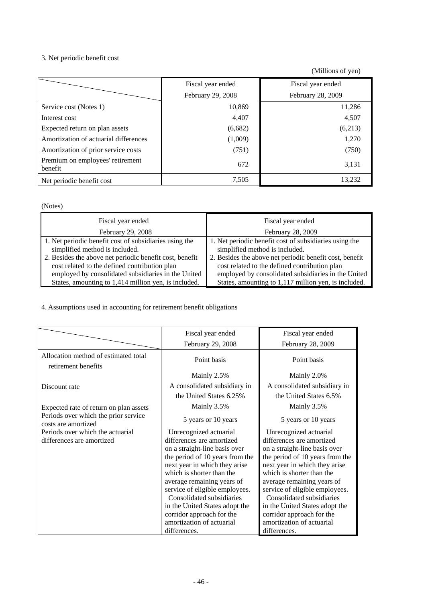### 3. Net periodic benefit cost

(Millions of yen)

|                                                    | Fiscal year ended<br>February 29, 2008 | Fiscal year ended<br>February 28, 2009 |
|----------------------------------------------------|----------------------------------------|----------------------------------------|
| Service cost (Notes 1)                             | 10,869                                 | 11,286                                 |
| Interest cost                                      | 4,407                                  | 4,507                                  |
| Expected return on plan assets                     | (6,682)                                | (6,213)                                |
| Amortization of actuarial differences              | (1,009)                                | 1,270                                  |
| Amortization of prior service costs                | (751)                                  | (750)                                  |
| Premium on employees' retirement<br><b>benefit</b> | 672                                    | 3,131                                  |
| Net periodic benefit cost                          | 7,505                                  | 13.232                                 |

### (Notes)

| Fiscal year ended                                                                                                                                                                                                                                           | Fiscal year ended                                                                                                                                                                                                                                           |
|-------------------------------------------------------------------------------------------------------------------------------------------------------------------------------------------------------------------------------------------------------------|-------------------------------------------------------------------------------------------------------------------------------------------------------------------------------------------------------------------------------------------------------------|
| February 29, 2008                                                                                                                                                                                                                                           | February 28, 2009                                                                                                                                                                                                                                           |
| 1. Net periodic benefit cost of subsidiaries using the<br>simplified method is included.<br>2. Besides the above net periodic benefit cost, benefit<br>cost related to the defined contribution plan<br>employed by consolidated subsidiaries in the United | 1. Net periodic benefit cost of subsidiaries using the<br>simplified method is included.<br>2. Besides the above net periodic benefit cost, benefit<br>cost related to the defined contribution plan<br>employed by consolidated subsidiaries in the United |
| States, amounting to 1,414 million yen, is included.                                                                                                                                                                                                        | States, amounting to 1,117 million yen, is included.                                                                                                                                                                                                        |

4. Assumptions used in accounting for retirement benefit obligations

|                                                             | Fiscal year ended                                          | Fiscal year ended                                          |
|-------------------------------------------------------------|------------------------------------------------------------|------------------------------------------------------------|
|                                                             | February 29, 2008                                          | February 28, 2009                                          |
| Allocation method of estimated total<br>retirement benefits | Point basis                                                | Point basis                                                |
|                                                             | Mainly 2.5%                                                | Mainly 2.0%                                                |
| Discount rate                                               | A consolidated subsidiary in                               | A consolidated subsidiary in                               |
|                                                             | the United States 6.25%                                    | the United States 6.5%                                     |
| Expected rate of return on plan assets                      | Mainly 3.5%                                                | Mainly 3.5%                                                |
| Periods over which the prior service<br>costs are amortized | 5 years or 10 years                                        | 5 years or 10 years                                        |
| Periods over which the actuarial                            | Unrecognized actuarial                                     | Unrecognized actuarial                                     |
| differences are amortized                                   | differences are amortized                                  | differences are amortized                                  |
|                                                             | on a straight-line basis over                              | on a straight-line basis over                              |
|                                                             | the period of 10 years from the                            | the period of 10 years from the                            |
|                                                             | next year in which they arise<br>which is shorter than the | next year in which they arise<br>which is shorter than the |
|                                                             | average remaining years of                                 | average remaining years of                                 |
|                                                             | service of eligible employees.                             | service of eligible employees.                             |
|                                                             | Consolidated subsidiaries                                  | Consolidated subsidiaries                                  |
|                                                             | in the United States adopt the                             | in the United States adopt the                             |
|                                                             | corridor approach for the                                  | corridor approach for the                                  |
|                                                             | amortization of actuarial                                  | amortization of actuarial                                  |
|                                                             | differences.                                               | differences.                                               |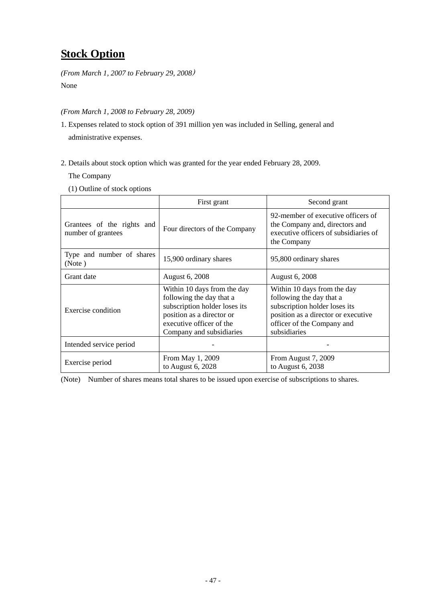# **Stock Option**

*(From March 1, 2007 to February 29, 2008*)

None

*(From March 1, 2008 to February 28, 2009)* 

- 1. Expenses related to stock option of 391 million yen was included in Selling, general and administrative expenses.
- 2. Details about stock option which was granted for the year ended February 28, 2009.

The Company

(1) Outline of stock options

|                                                  | First grant                                                                                                                                                                   | Second grant                                                                                                                                                                  |
|--------------------------------------------------|-------------------------------------------------------------------------------------------------------------------------------------------------------------------------------|-------------------------------------------------------------------------------------------------------------------------------------------------------------------------------|
| Grantees of the rights and<br>number of grantees | Four directors of the Company                                                                                                                                                 | 92-member of executive officers of<br>the Company and, directors and<br>executive officers of subsidiaries of<br>the Company                                                  |
| Type and number of shares<br>(Note)              | 15,900 ordinary shares                                                                                                                                                        | 95,800 ordinary shares                                                                                                                                                        |
| Grant date                                       | August 6, 2008                                                                                                                                                                | August 6, 2008                                                                                                                                                                |
| Exercise condition                               | Within 10 days from the day<br>following the day that a<br>subscription holder loses its<br>position as a director or<br>executive officer of the<br>Company and subsidiaries | Within 10 days from the day<br>following the day that a<br>subscription holder loses its<br>position as a director or executive<br>officer of the Company and<br>subsidiaries |
| Intended service period                          |                                                                                                                                                                               |                                                                                                                                                                               |
| Exercise period                                  | From May 1, 2009<br>to August 6, 2028                                                                                                                                         | From August 7, 2009<br>to August 6, 2038                                                                                                                                      |

(Note) Number of shares means total shares to be issued upon exercise of subscriptions to shares.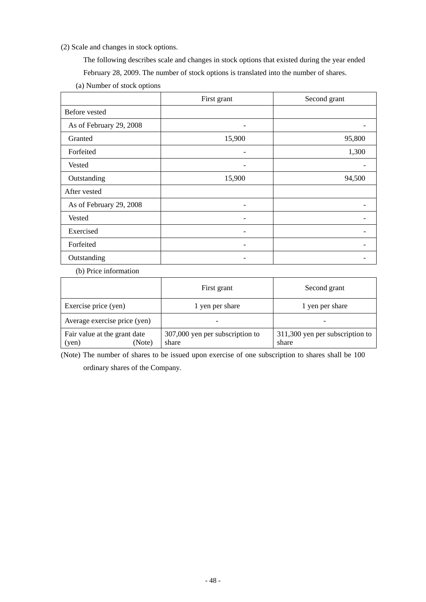(2) Scale and changes in stock options.

The following describes scale and changes in stock options that existed during the year ended

February 28, 2009. The number of stock options is translated into the number of shares.

| (a) Number of stock options |  |  |
|-----------------------------|--|--|
|-----------------------------|--|--|

|                         | First grant | Second grant |
|-------------------------|-------------|--------------|
| Before vested           |             |              |
| As of February 29, 2008 |             |              |
| Granted                 | 15,900      | 95,800       |
| Forfeited               |             | 1,300        |
| <b>Vested</b>           |             |              |
| Outstanding             | 15,900      | 94,500       |
| After vested            |             |              |
| As of February 29, 2008 |             |              |
| Vested                  |             |              |
| Exercised               |             |              |
| Forfeited               |             |              |
| Outstanding             |             |              |

(b) Price information

|                                                 | First grant                              | Second grant                             |
|-------------------------------------------------|------------------------------------------|------------------------------------------|
| Exercise price (yen)                            | 1 yen per share                          | 1 yen per share                          |
| Average exercise price (yen)                    |                                          | -                                        |
| Fair value at the grant date<br>(Note)<br>(yen) | 307,000 yen per subscription to<br>share | 311,300 yen per subscription to<br>share |

(Note) The number of shares to be issued upon exercise of one subscription to shares shall be 100 ordinary shares of the Company.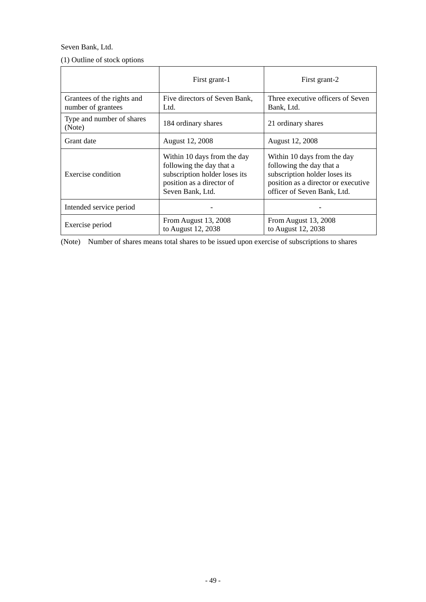### Seven Bank, Ltd.

|  |  |  |  | (1) Outline of stock options |
|--|--|--|--|------------------------------|
|--|--|--|--|------------------------------|

|                                                  | First grant-1                                                                                                                             | First grant-2                                                                                                                                                  |
|--------------------------------------------------|-------------------------------------------------------------------------------------------------------------------------------------------|----------------------------------------------------------------------------------------------------------------------------------------------------------------|
| Grantees of the rights and<br>number of grantees | Five directors of Seven Bank,<br>Ltd.                                                                                                     | Three executive officers of Seven<br>Bank, Ltd.                                                                                                                |
| Type and number of shares<br>(Note)              | 184 ordinary shares                                                                                                                       | 21 ordinary shares                                                                                                                                             |
| Grant date                                       | August 12, 2008                                                                                                                           | August 12, 2008                                                                                                                                                |
| Exercise condition                               | Within 10 days from the day<br>following the day that a<br>subscription holder loses its<br>position as a director of<br>Seven Bank, Ltd. | Within 10 days from the day<br>following the day that a<br>subscription holder loses its<br>position as a director or executive<br>officer of Seven Bank, Ltd. |
| Intended service period                          |                                                                                                                                           |                                                                                                                                                                |
| Exercise period                                  | From August 13, 2008<br>to August 12, 2038                                                                                                | From August 13, 2008<br>to August 12, 2038                                                                                                                     |

(Note) Number of shares means total shares to be issued upon exercise of subscriptions to shares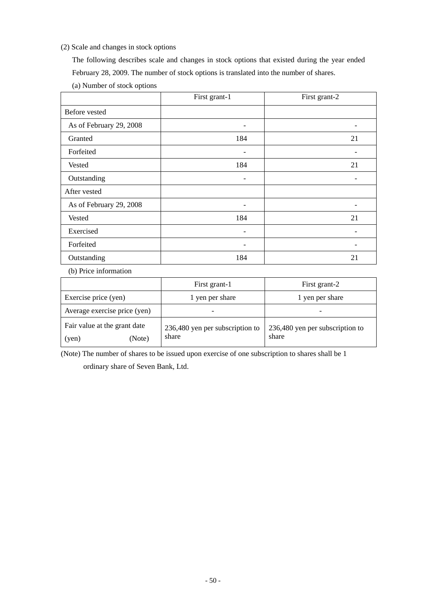### (2) Scale and changes in stock options

The following describes scale and changes in stock options that existed during the year ended February 28, 2009. The number of stock options is translated into the number of shares.

| (a) Number of stock options |  |
|-----------------------------|--|
|-----------------------------|--|

|                         | First grant-1 | First grant-2 |
|-------------------------|---------------|---------------|
| Before vested           |               |               |
| As of February 29, 2008 | ۰             |               |
| Granted                 | 184           | 21            |
| Forfeited               |               |               |
| Vested                  | 184           | 21            |
| Outstanding             | ۰             |               |
| After vested            |               |               |
| As of February 29, 2008 |               |               |
| Vested                  | 184           | 21            |
| Exercised               |               |               |
| Forfeited               |               |               |
| Outstanding             | 184           | 21            |

(b) Price information

|                                                 | First grant-1                            | First grant-2                            |  |
|-------------------------------------------------|------------------------------------------|------------------------------------------|--|
| Exercise price (yen)                            | 1 yen per share                          | 1 yen per share                          |  |
| Average exercise price (yen)                    |                                          |                                          |  |
| Fair value at the grant date<br>(Note)<br>(yen) | 236,480 yen per subscription to<br>share | 236,480 yen per subscription to<br>share |  |

(Note) The number of shares to be issued upon exercise of one subscription to shares shall be 1 ordinary share of Seven Bank, Ltd.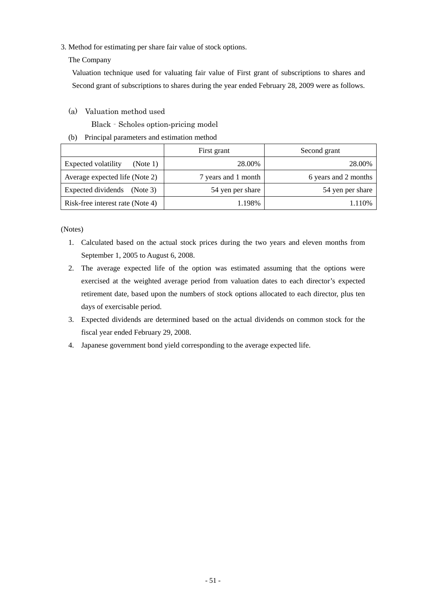3. Method for estimating per share fair value of stock options.

### The Company

 Valuation technique used for valuating fair value of First grant of subscriptions to shares and Second grant of subscriptions to shares during the year ended February 28, 2009 were as follows.

### (a) Valuation method used

Black‐Scholes option-pricing model

(b) Principal parameters and estimation method

|                                        | First grant         | Second grant         |
|----------------------------------------|---------------------|----------------------|
| <b>Expected volatility</b><br>(Note 1) | 28.00%              | 28.00%               |
| Average expected life (Note 2)         | 7 years and 1 month | 6 years and 2 months |
| Expected dividends<br>(Note 3)         | 54 yen per share    | 54 yen per share     |
| Risk-free interest rate (Note 4)       | 1.198%              | 1.110%               |

(Notes)

- 1. Calculated based on the actual stock prices during the two years and eleven months from September 1, 2005 to August 6, 2008.
- 2. The average expected life of the option was estimated assuming that the options were exercised at the weighted average period from valuation dates to each director's expected retirement date, based upon the numbers of stock options allocated to each director, plus ten days of exercisable period.
- 3. Expected dividends are determined based on the actual dividends on common stock for the fiscal year ended February 29, 2008.
- 4. Japanese government bond yield corresponding to the average expected life.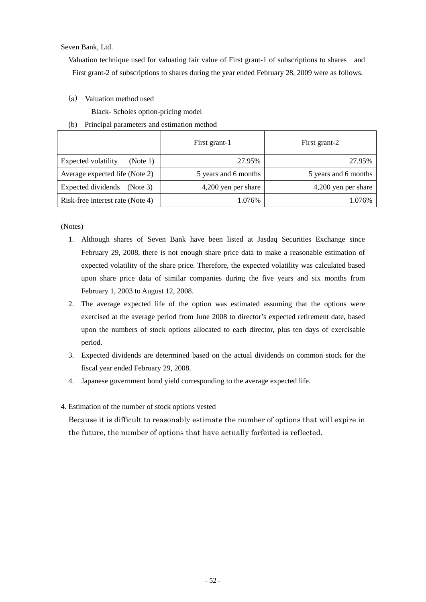Seven Bank, Ltd.

Valuation technique used for valuating fair value of First grant-1 of subscriptions to shares and First grant-2 of subscriptions to shares during the year ended February 28, 2009 were as follows.

(a) Valuation method used

Black- Scholes option-pricing model

(b) Principal parameters and estimation method

|                                        | First grant-1        | First grant-2        |
|----------------------------------------|----------------------|----------------------|
| <b>Expected volatility</b><br>(Note 1) | 27.95%               | 27.95%               |
| Average expected life (Note 2)         | 5 years and 6 months | 5 years and 6 months |
| Expected dividends<br>(Note 3)         | 4,200 yen per share  | 4,200 yen per share  |
| Risk-free interest rate (Note 4)       | 1.076%               | 1.076%               |

(Notes)

- 1. Although shares of Seven Bank have been listed at Jasdaq Securities Exchange since February 29, 2008, there is not enough share price data to make a reasonable estimation of expected volatility of the share price. Therefore, the expected volatility was calculated based upon share price data of similar companies during the five years and six months from February 1, 2003 to August 12, 2008.
- 2. The average expected life of the option was estimated assuming that the options were exercised at the average period from June 2008 to director's expected retirement date, based upon the numbers of stock options allocated to each director, plus ten days of exercisable period.
- 3. Expected dividends are determined based on the actual dividends on common stock for the fiscal year ended February 29, 2008.
- 4. Japanese government bond yield corresponding to the average expected life.

### 4. Estimation of the number of stock options vested

 Because it is difficult to reasonably estimate the number of options that will expire in the future, the number of options that have actually forfeited is reflected.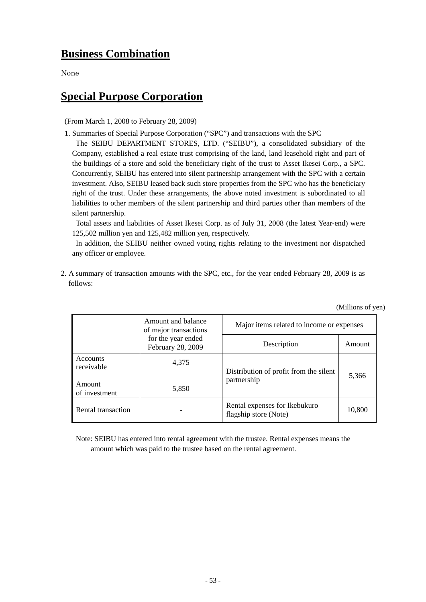## **Business Combination**

None

# **Special Purpose Corporation**

(From March 1, 2008 to February 28, 2009)

1. Summaries of Special Purpose Corporation ("SPC") and transactions with the SPC

The SEIBU DEPARTMENT STORES, LTD. ("SEIBU"), a consolidated subsidiary of the Company, established a real estate trust comprising of the land, land leasehold right and part of the buildings of a store and sold the beneficiary right of the trust to Asset Ikesei Corp., a SPC. Concurrently, SEIBU has entered into silent partnership arrangement with the SPC with a certain investment. Also, SEIBU leased back such store properties from the SPC who has the beneficiary right of the trust. Under these arrangements, the above noted investment is subordinated to all liabilities to other members of the silent partnership and third parties other than members of the silent partnership.

 Total assets and liabilities of Asset Ikesei Corp. as of July 31, 2008 (the latest Year-end) were 125,502 million yen and 125,482 million yen, respectively.

In addition, the SEIBU neither owned voting rights relating to the investment nor dispatched any officer or employee.

2. A summary of transaction amounts with the SPC, etc., for the year ended February 28, 2009 is as follows:

|                         | Amount and balance<br>of major transactions | Major items related to income or expenses              |        |
|-------------------------|---------------------------------------------|--------------------------------------------------------|--------|
|                         | for the year ended<br>February 28, 2009     | Description                                            | Amount |
| Accounts<br>receivable  | 4,375                                       | Distribution of profit from the silent                 | 5,366  |
| Amount<br>of investment | 5,850                                       | partnership                                            |        |
| Rental transaction      |                                             | Rental expenses for Ikebukuro<br>flagship store (Note) | 10,800 |

(Millions of yen)

Note: SEIBU has entered into rental agreement with the trustee. Rental expenses means the amount which was paid to the trustee based on the rental agreement.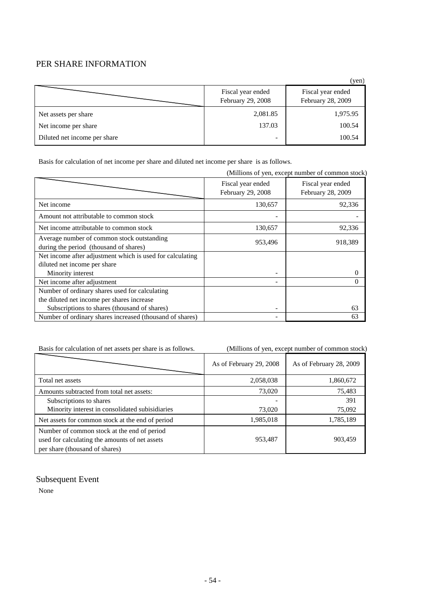### PER SHARE INFORMATION

|                              |                                        | (yen)                                  |
|------------------------------|----------------------------------------|----------------------------------------|
|                              | Fiscal year ended<br>February 29, 2008 | Fiscal year ended<br>February 28, 2009 |
| Net assets per share         | 2,081.85                               | 1,975.95                               |
| Net income per share         | 137.03                                 | 100.54                                 |
| Diluted net income per share | -                                      | 100.54                                 |

Basis for calculation of net income per share and diluted net income per share is as follows.

|                                                                                      |                                        | (Millions of yen, except number of common stock) |
|--------------------------------------------------------------------------------------|----------------------------------------|--------------------------------------------------|
|                                                                                      | Fiscal year ended<br>February 29, 2008 | Fiscal year ended<br>February 28, 2009           |
| Net income                                                                           | 130,657                                | 92,336                                           |
| Amount not attributable to common stock                                              |                                        |                                                  |
| Net income attributable to common stock                                              | 130,657                                | 92,336                                           |
| Average number of common stock outstanding<br>during the period (thousand of shares) | 953,496                                | 918,389                                          |
| Net income after adjustment which is used for calculating                            |                                        |                                                  |
| diluted net income per share                                                         |                                        |                                                  |
| Minority interest                                                                    | ۰                                      | $\Omega$                                         |
| Net income after adjustment                                                          |                                        | 0                                                |
| Number of ordinary shares used for calculating                                       |                                        |                                                  |
| the diluted net income per shares increase                                           |                                        |                                                  |
| Subscriptions to shares (thousand of shares)                                         | ۰                                      | 63                                               |
| Number of ordinary shares increased (thousand of shares)                             |                                        | 63                                               |

Basis for calculation of net assets per share is as follows. (Millions of yen, except number of common stock)

|                                                                                                                                 | As of February 29, 2008 | As of February 28, 2009 |
|---------------------------------------------------------------------------------------------------------------------------------|-------------------------|-------------------------|
| Total net assets                                                                                                                | 2,058,038               | 1,860,672               |
| Amounts subtracted from total net assets:                                                                                       | 73,020                  | 75,483                  |
| Subscriptions to shares                                                                                                         |                         | 391                     |
| Minority interest in consolidated subisidiaries                                                                                 | 73,020                  | 75,092                  |
| Net assets for common stock at the end of period                                                                                | 1,985,018               | 1,785,189               |
| Number of common stock at the end of period<br>used for calculating the amounts of net assets<br>per share (thousand of shares) | 953,487                 | 903,459                 |

### Subsequent Event

None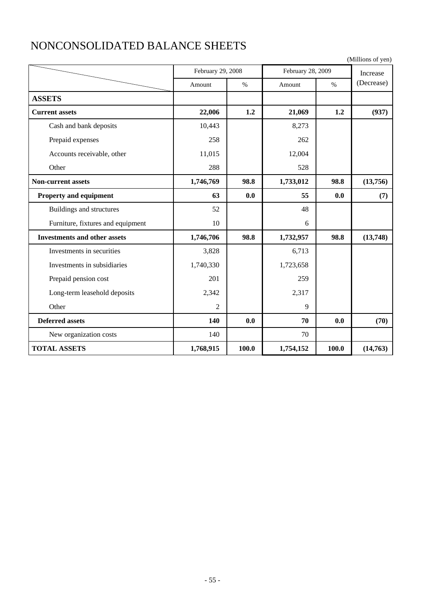|                                     |                |                   |           |                   | (Millions of yen) |
|-------------------------------------|----------------|-------------------|-----------|-------------------|-------------------|
|                                     |                | February 29, 2008 |           | February 28, 2009 | Increase          |
|                                     | Amount         | $\frac{0}{0}$     | Amount    | $\%$              | (Decrease)        |
| <b>ASSETS</b>                       |                |                   |           |                   |                   |
| <b>Current assets</b>               | 22,006         | 1.2               | 21,069    | 1.2               | (937)             |
| Cash and bank deposits              | 10,443         |                   | 8,273     |                   |                   |
| Prepaid expenses                    | 258            |                   | 262       |                   |                   |
| Accounts receivable, other          | 11,015         |                   | 12,004    |                   |                   |
| Other                               | 288            |                   | 528       |                   |                   |
| <b>Non-current assets</b>           | 1,746,769      | 98.8              | 1,733,012 | 98.8              | (13,756)          |
| Property and equipment              | 63             | 0.0               | 55        | 0.0               | (7)               |
| Buildings and structures            | 52             |                   | 48        |                   |                   |
| Furniture, fixtures and equipment   | 10             |                   | 6         |                   |                   |
| <b>Investments and other assets</b> | 1,746,706      | 98.8              | 1,732,957 | 98.8              | (13,748)          |
| Investments in securities           | 3,828          |                   | 6,713     |                   |                   |
| Investments in subsidiaries         | 1,740,330      |                   | 1,723,658 |                   |                   |
| Prepaid pension cost                | 201            |                   | 259       |                   |                   |
| Long-term leasehold deposits        | 2,342          |                   | 2,317     |                   |                   |
| Other                               | $\overline{2}$ |                   | 9         |                   |                   |
| <b>Deferred assets</b>              | 140            | 0.0               | 70        | 0.0               | (70)              |
| New organization costs              | 140            |                   | 70        |                   |                   |
| <b>TOTAL ASSETS</b>                 | 1,768,915      | 100.0             | 1,754,152 | 100.0             | (14,763)          |

# NONCONSOLIDATED BALANCE SHEETS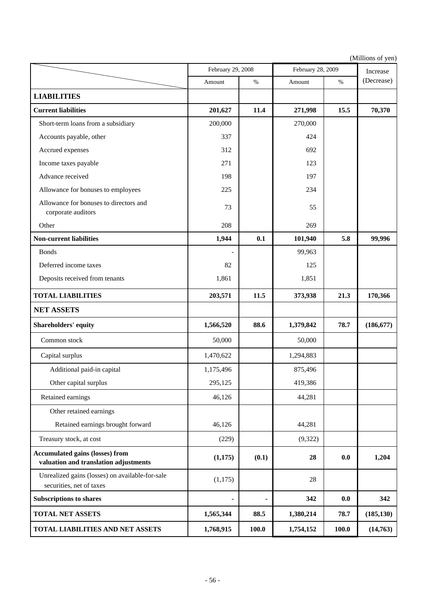|                                                                                 | February 29, 2008 |       | February 28, 2009 | Increase |            |
|---------------------------------------------------------------------------------|-------------------|-------|-------------------|----------|------------|
|                                                                                 | Amount            | $\%$  | Amount            | $\%$     | (Decrease) |
| <b>LIABILITIES</b>                                                              |                   |       |                   |          |            |
| <b>Current liabilities</b>                                                      | 201,627           | 11.4  | 271,998           | 15.5     | 70,370     |
| Short-term loans from a subsidiary                                              | 200,000           |       | 270,000           |          |            |
| Accounts payable, other                                                         | 337               |       | 424               |          |            |
| Accrued expenses                                                                | 312               |       | 692               |          |            |
| Income taxes payable                                                            | 271               |       | 123               |          |            |
| Advance received                                                                | 198               |       | 197               |          |            |
| Allowance for bonuses to employees                                              | 225               |       | 234               |          |            |
| Allowance for bonuses to directors and<br>corporate auditors                    | 73                |       | 55                |          |            |
| Other                                                                           | 208               |       | 269               |          |            |
| <b>Non-current liabilities</b>                                                  | 1,944             | 0.1   | 101,940           | 5.8      | 99,996     |
| <b>Bonds</b>                                                                    |                   |       | 99,963            |          |            |
| Deferred income taxes                                                           | 82                |       | 125               |          |            |
| Deposits received from tenants                                                  | 1,861             |       | 1,851             |          |            |
| <b>TOTAL LIABILITIES</b>                                                        | 203,571           | 11.5  | 373,938           | 21.3     | 170,366    |
| <b>NET ASSETS</b>                                                               |                   |       |                   |          |            |
| Shareholders' equity                                                            | 1,566,520         | 88.6  | 1,379,842         | 78.7     | (186, 677) |
| Common stock                                                                    | 50,000            |       | 50,000            |          |            |
| Capital surplus                                                                 | 1,470,622         |       | 1,294,883         |          |            |
| Additional paid-in capital                                                      | 1,175,496         |       | 875,496           |          |            |
| Other capital surplus                                                           | 295,125           |       | 419,386           |          |            |
| Retained earnings                                                               | 46,126            |       | 44,281            |          |            |
| Other retained earnings                                                         |                   |       |                   |          |            |
| Retained earnings brought forward                                               | 46,126            |       | 44,281            |          |            |
| Treasury stock, at cost                                                         | (229)             |       | (9,322)           |          |            |
| <b>Accumulated gains (losses) from</b><br>valuation and translation adjustments | (1,175)           | (0.1) | 28                | 0.0      | 1,204      |
| Unrealized gains (losses) on available-for-sale<br>securities, net of taxes     | (1,175)           |       | 28                |          |            |
| <b>Subscriptions to shares</b>                                                  | $\blacksquare$    |       | 342               | 0.0      | 342        |
| <b>TOTAL NET ASSETS</b>                                                         | 1,565,344         | 88.5  | 1,380,214         | 78.7     | (185, 130) |
| TOTAL LIABILITIES AND NET ASSETS                                                | 1,768,915         | 100.0 | 1,754,152         | 100.0    | (14, 763)  |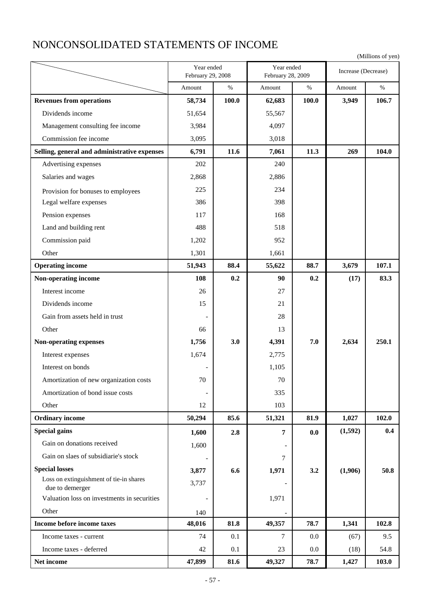# NONCONSOLIDATED STATEMENTS OF INCOME

| (Millions of yen) |  |  |
|-------------------|--|--|
|-------------------|--|--|

|                                                            | Year ended<br>February 29, 2008 |       | Year ended<br>February 28, 2009 |         | Increase (Decrease) |       |
|------------------------------------------------------------|---------------------------------|-------|---------------------------------|---------|---------------------|-------|
|                                                            | Amount                          | $\%$  | $\%$<br>Amount                  |         | Amount              | $\%$  |
| <b>Revenues from operations</b>                            | 58,734                          | 100.0 | 62,683                          | 100.0   | 3,949               | 106.7 |
| Dividends income                                           | 51,654                          |       | 55,567                          |         |                     |       |
| Management consulting fee income                           | 3,984                           |       | 4,097                           |         |                     |       |
| Commission fee income                                      | 3,095                           |       | 3,018                           |         |                     |       |
| Selling, general and administrative expenses               | 6,791                           | 11.6  | 7,061                           | 11.3    | 269                 | 104.0 |
| Advertising expenses                                       | 202                             |       | 240                             |         |                     |       |
| Salaries and wages                                         | 2,868                           |       | 2,886                           |         |                     |       |
| Provision for bonuses to employees                         | 225                             |       | 234                             |         |                     |       |
| Legal welfare expenses                                     | 386                             |       | 398                             |         |                     |       |
| Pension expenses                                           | 117                             |       | 168                             |         |                     |       |
| Land and building rent                                     | 488                             |       | 518                             |         |                     |       |
| Commission paid                                            | 1,202                           |       | 952                             |         |                     |       |
| Other                                                      | 1,301                           |       | 1,661                           |         |                     |       |
| <b>Operating income</b>                                    | 51,943                          | 88.4  | 55,622                          | 88.7    | 3,679               | 107.1 |
| Non-operating income                                       | 108                             | 0.2   | 90                              | 0.2     | (17)                | 83.3  |
| Interest income                                            | 26                              |       | 27                              |         |                     |       |
| Dividends income                                           | 15                              |       | 21                              |         |                     |       |
| Gain from assets held in trust                             |                                 |       | 28                              |         |                     |       |
| Other                                                      | 66                              |       | 13                              |         |                     |       |
| <b>Non-operating expenses</b>                              | 1,756                           | 3.0   | 4,391                           | 7.0     | 2,634               | 250.1 |
| Interest expenses                                          | 1,674                           |       | 2,775                           |         |                     |       |
| Interest on bonds                                          |                                 |       | 1,105                           |         |                     |       |
| Amortization of new organization costs                     | 70                              |       | $70\,$                          |         |                     |       |
| Amortization of bond issue costs                           |                                 |       | 335                             |         |                     |       |
| Other                                                      | 12                              |       | 103                             |         |                     |       |
| <b>Ordinary income</b>                                     | 50,294                          | 85.6  | 51,321                          | 81.9    | 1,027               | 102.0 |
| <b>Special gains</b>                                       | 1,600                           | 2.8   | $\overline{7}$                  | 0.0     | (1,592)             | 0.4   |
| Gain on donations received                                 | 1,600                           |       |                                 |         |                     |       |
| Gain on slaes of subsidiarie's stock                       |                                 |       | $\tau$                          |         |                     |       |
| <b>Special losses</b>                                      | 3,877                           | 6.6   | 1,971                           | 3.2     | (1,906)             | 50.8  |
| Loss on extinguishment of tie-in shares<br>due to demerger | 3,737                           |       |                                 |         |                     |       |
| Valuation loss on investments in securities                |                                 |       | 1,971                           |         |                     |       |
| Other                                                      | 140                             |       |                                 |         |                     |       |
| Income before income taxes                                 | 48,016                          | 81.8  | 49,357                          | 78.7    | 1,341               | 102.8 |
| Income taxes - current                                     | 74                              | 0.1   | 7                               | $0.0\,$ | (67)                | 9.5   |
| Income taxes - deferred                                    | 42                              | 0.1   | 23                              | 0.0     | (18)                | 54.8  |
| Net income                                                 | 47,899                          | 81.6  | 49,327                          | 78.7    | 1,427               | 103.0 |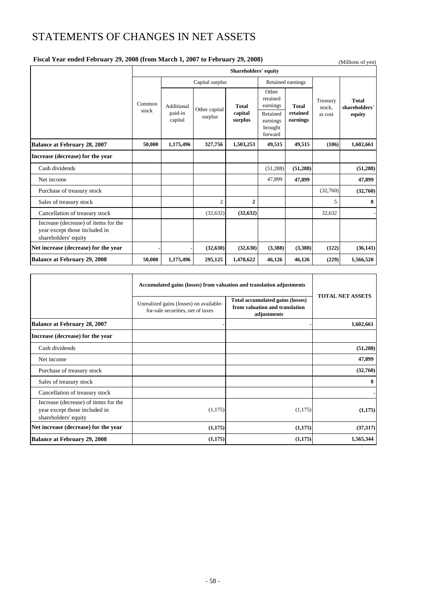# STATEMENTS OF CHANGES IN NET ASSETS

### **Fiscal Year ended February 29, 2008 (from March 1, 2007 to February 29, 2008)** (Millions of yen)

|                                                                                               | <b>Shareholders' equity</b> |                    |                |                    |                                            |                      |                    |                               |
|-----------------------------------------------------------------------------------------------|-----------------------------|--------------------|----------------|--------------------|--------------------------------------------|----------------------|--------------------|-------------------------------|
|                                                                                               |                             | Capital surplus    |                |                    | Retained earnings                          |                      |                    |                               |
|                                                                                               | Common                      | Additional         | Other capital  | <b>Total</b>       | Other<br>retained<br>earnings              | <b>Total</b>         | Treasury<br>stock. | <b>Total</b><br>shareholders' |
|                                                                                               | stock                       | paid-in<br>capital | surplus        | capital<br>surplus | Retained<br>earnings<br>brought<br>forward | retained<br>earnings | at cost            | equity                        |
| Balance at February 28, 2007                                                                  | 50,000                      | 1,175,496          | 327,756        | 1,503,253          | 49,515                                     | 49,515               | (106)              | 1,602,661                     |
| Increase (decrease) for the year                                                              |                             |                    |                |                    |                                            |                      |                    |                               |
| Cash dividends                                                                                |                             |                    |                |                    | (51, 288)                                  | (51, 288)            |                    | (51, 288)                     |
| Net income                                                                                    |                             |                    |                |                    | 47,899                                     | 47,899               |                    | 47,899                        |
| Purchase of treasury stock                                                                    |                             |                    |                |                    |                                            |                      | (32,760)           | (32,760)                      |
| Sales of treasury stock                                                                       |                             |                    | $\overline{2}$ | $\mathbf{2}$       |                                            |                      | 5                  | 8                             |
| Cancellation of treasury stock                                                                |                             |                    | (32, 632)      | (32, 632)          |                                            |                      | 32,632             |                               |
| Increase (decrease) of items for the<br>year except those included in<br>shareholders' equity |                             |                    |                |                    |                                            |                      |                    |                               |
| Net increase (decrease) for the year                                                          |                             |                    | (32, 630)      | (32, 630)          | (3,388)                                    | (3,388)              | (122)              | (36, 141)                     |
| <b>Balance at February 29, 2008</b>                                                           | 50,000                      | 1,175,496          | 295,125        | 1,470,622          | 46,126                                     | 46,126               | (229)              | 1,566,520                     |

|                                                                                               | Accumulated gains (losses) from valuation and translation adjustments        |                                                                                   |                         |
|-----------------------------------------------------------------------------------------------|------------------------------------------------------------------------------|-----------------------------------------------------------------------------------|-------------------------|
|                                                                                               | Unrealized gains (losses) on available-<br>for-sale securities, net of taxes | Total accumulated gains (losses)<br>from valuation and translation<br>adjustments | <b>TOTAL NET ASSETS</b> |
| <b>Balance at February 28, 2007</b>                                                           |                                                                              |                                                                                   | 1,602,661               |
| Increase (decrease) for the year                                                              |                                                                              |                                                                                   |                         |
| Cash dividends                                                                                |                                                                              |                                                                                   | (51, 288)               |
| Net income                                                                                    |                                                                              |                                                                                   | 47,899                  |
| Purchase of treasury stock                                                                    |                                                                              |                                                                                   | (32,760)                |
| Sales of treasury stock                                                                       |                                                                              |                                                                                   | 8                       |
| Cancellation of treasury stock                                                                |                                                                              |                                                                                   |                         |
| Increase (decrease) of items for the<br>year except those included in<br>shareholders' equity | (1,175)                                                                      | (1,175)                                                                           | (1,175)                 |
| Net increase (decrease) for the year                                                          | (1,175)                                                                      | (1,175)                                                                           | (37, 317)               |
| <b>Balance at February 29, 2008</b>                                                           | (1,175)                                                                      | (1,175)                                                                           | 1,565,344               |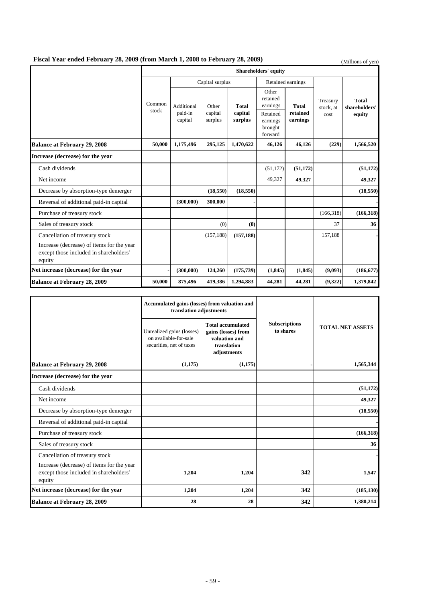### **Fiscal Year ended February 28, 2009 (from March 1, 2008 to February 28, 2009)** (Millions of yen)

|                                                                                               | <b>Shareholders' equity</b> |                    |                    |                    |                                            |                      |                       |                               |
|-----------------------------------------------------------------------------------------------|-----------------------------|--------------------|--------------------|--------------------|--------------------------------------------|----------------------|-----------------------|-------------------------------|
|                                                                                               |                             | Capital surplus    |                    |                    | Retained earnings                          |                      |                       |                               |
|                                                                                               | Common<br>stock             | Additional         | Other              | <b>Total</b>       | Other<br>retained<br>earnings              | <b>Total</b>         | Treasury<br>stock, at | <b>Total</b><br>shareholders' |
|                                                                                               |                             | paid-in<br>capital | capital<br>surplus | capital<br>surplus | Retained<br>earnings<br>brought<br>forward | retained<br>earnings | cost                  | equity                        |
| <b>Balance at February 29, 2008</b>                                                           | 50,000                      | 1,175,496          | 295,125            | 1,470,622          | 46,126                                     | 46,126               | (229)                 | 1,566,520                     |
| Increase (decrease) for the year                                                              |                             |                    |                    |                    |                                            |                      |                       |                               |
| Cash dividends                                                                                |                             |                    |                    |                    | (51, 172)                                  | (51, 172)            |                       | (51, 172)                     |
| Net income                                                                                    |                             |                    |                    |                    | 49,327                                     | 49,327               |                       | 49,327                        |
| Decrease by absorption-type demerger                                                          |                             |                    | (18, 550)          | (18, 550)          |                                            |                      |                       | (18,550)                      |
| Reversal of additional paid-in capital                                                        |                             | (300,000)          | 300,000            |                    |                                            |                      |                       |                               |
| Purchase of treasury stock                                                                    |                             |                    |                    |                    |                                            |                      | (166,318)             | (166,318)                     |
| Sales of treasury stock                                                                       |                             |                    | (0)                | (0)                |                                            |                      | 37                    | 36                            |
| Cancellation of treasury stock                                                                |                             |                    | (157, 188)         | (157, 188)         |                                            |                      | 157,188               |                               |
| Increase (decrease) of items for the year<br>except those included in shareholders'<br>equity |                             |                    |                    |                    |                                            |                      |                       |                               |
| Net increase (decrease) for the year                                                          |                             | (300,000)          | 124,260            | (175, 739)         | (1, 845)                                   | (1, 845)             | (9,093)               | (186, 677)                    |
| <b>Balance at February 28, 2009</b>                                                           | 50,000                      | 875,496            | 419,386            | 1,294,883          | 44,281                                     | 44,281               | (9,322)               | 1,379,842                     |

|                                                                                               | translation adjustments                                                        | Accumulated gains (losses) from valuation and                                                  |                                   |                         |
|-----------------------------------------------------------------------------------------------|--------------------------------------------------------------------------------|------------------------------------------------------------------------------------------------|-----------------------------------|-------------------------|
|                                                                                               | Unrealized gains (losses)<br>on available-for-sale<br>securities, net of taxes | <b>Total accumulated</b><br>gains (losses) from<br>valuation and<br>translation<br>adjustments | <b>Subscriptions</b><br>to shares | <b>TOTAL NET ASSETS</b> |
| <b>Balance at February 29, 2008</b>                                                           | (1,175)                                                                        | (1, 175)                                                                                       |                                   | 1,565,344               |
| Increase (decrease) for the year                                                              |                                                                                |                                                                                                |                                   |                         |
| Cash dividends                                                                                |                                                                                |                                                                                                |                                   | (51, 172)               |
| Net income                                                                                    |                                                                                |                                                                                                |                                   | 49,327                  |
| Decrease by absorption-type demerger                                                          |                                                                                |                                                                                                |                                   | (18, 550)               |
| Reversal of additional paid-in capital                                                        |                                                                                |                                                                                                |                                   |                         |
| Purchase of treasury stock                                                                    |                                                                                |                                                                                                |                                   | (166, 318)              |
| Sales of treasury stock                                                                       |                                                                                |                                                                                                |                                   | 36                      |
| Cancellation of treasury stock                                                                |                                                                                |                                                                                                |                                   |                         |
| Increase (decrease) of items for the year<br>except those included in shareholders'<br>equity | 1,204                                                                          | 1,204                                                                                          | 342                               | 1,547                   |
| Net increase (decrease) for the year                                                          | 1,204                                                                          | 1,204                                                                                          | 342                               | (185, 130)              |
| <b>Balance at February 28, 2009</b>                                                           | 28                                                                             | 28                                                                                             | 342                               | 1,380,214               |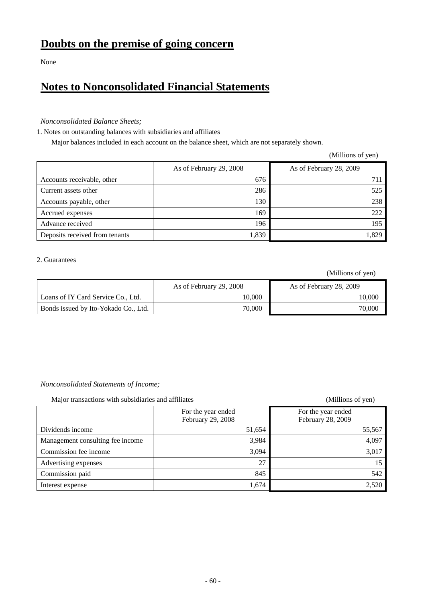None

# **Notes to Nonconsolidated Financial Statements**

### *Nonconsolidated Balance Sheets;*

1. Notes on outstanding balances with subsidiaries and affiliates

Major balances included in each account on the balance sheet, which are not separately shown.

|                                |                         | (Millions of yen)       |
|--------------------------------|-------------------------|-------------------------|
|                                | As of February 29, 2008 | As of February 28, 2009 |
| Accounts receivable, other     | 676                     | 711                     |
| Current assets other           | 286                     | 525                     |
| Accounts payable, other        | 130                     | 238                     |
| Accrued expenses               | 169                     | 222                     |
| Advance received               | 196                     | 195                     |
| Deposits received from tenants | 1,839                   | 1,829                   |

### 2. Guarantees

(Millions of yen)

|                                      | As of February 29, 2008 | As of February 28, 2009 |
|--------------------------------------|-------------------------|-------------------------|
| Loans of IY Card Service Co., Ltd.   | 10.000                  | 10.000                  |
| Bonds issued by Ito-Yokado Co., Ltd. | 70,000                  | 70,000                  |

### *Nonconsolidated Statements of Income;*

Major transactions with subsidiaries and affiliates (Millions of yen)

|                                  | For the year ended<br>February 29, 2008 | For the year ended<br>February 28, 2009 |
|----------------------------------|-----------------------------------------|-----------------------------------------|
| Dividends income                 | 51,654                                  | 55,567                                  |
| Management consulting fee income | 3,984                                   | 4,097                                   |
| Commission fee income            | 3,094                                   | 3,017                                   |
| Advertising expenses             | 27                                      | 15                                      |
| Commission paid                  | 845                                     | 542                                     |
| Interest expense                 | 1,674                                   | 2,520                                   |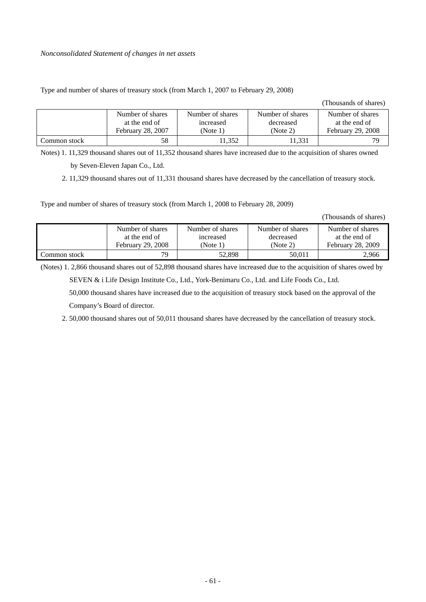### Type and number of shares of treasury stock (from March 1, 2007 to February 29, 2008)

(Thousands of shares)

|               | Number of shares  | Number of shares | Number of shares | Number of shares  |
|---------------|-------------------|------------------|------------------|-------------------|
|               | at the end of     | increased        | decreased        | at the end of     |
|               | February 28, 2007 | (Note 1)         | (Note 2)         | February 29, 2008 |
| Common stock- | 58                | 1.352            | !1,331           | 79                |

Notes) 1. 11,329 thousand shares out of 11,352 thousand shares have increased due to the acquisition of shares owned

by Seven-Eleven Japan Co., Ltd.

2. 11,329 thousand shares out of 11,331 thousand shares have decreased by the cancellation of treasury stock.

Type and number of shares of treasury stock (from March 1, 2008 to February 28, 2009)

(Thousands of shares)

|              | Number of shares  | Number of shares | Number of shares | Number of shares  |
|--------------|-------------------|------------------|------------------|-------------------|
|              | at the end of     | increased        | decreased        | at the end of     |
|              | February 29, 2008 | (Note 1)         | (Note 2)         | February 28, 2009 |
| Common stock | 79                | 52.898           | 50.011           | 2,966             |

(Notes) 1. 2,866 thousand shares out of 52,898 thousand shares have increased due to the acquisition of shares owed by

SEVEN & i Life Design Institute Co., Ltd., York-Benimaru Co., Ltd. and Life Foods Co., Ltd.

50,000 thousand shares have increased due to the acquisition of treasury stock based on the approval of the Company's Board of director.

2. 50,000 thousand shares out of 50,011 thousand shares have decreased by the cancellation of treasury stock.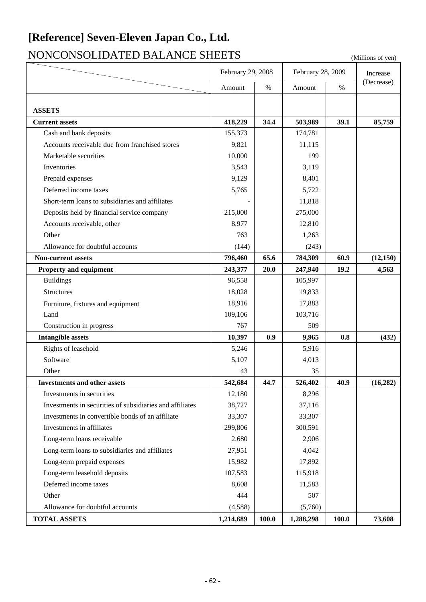# **[Reference] Seven-Eleven Japan Co., Ltd.**

# NONCONSOLIDATED BALANCE SHEETS (Millions of yen)

|                                                          | February 29, 2008 |       | February 28, 2009 | Increase |            |
|----------------------------------------------------------|-------------------|-------|-------------------|----------|------------|
|                                                          | Amount            | $\%$  | Amount            | $\%$     | (Decrease) |
|                                                          |                   |       |                   |          |            |
| <b>ASSETS</b>                                            |                   |       |                   |          |            |
| <b>Current assets</b>                                    | 418,229           | 34.4  | 503,989           | 39.1     | 85,759     |
| Cash and bank deposits                                   | 155,373           |       | 174,781           |          |            |
| Accounts receivable due from franchised stores           | 9,821             |       | 11,115            |          |            |
| Marketable securities                                    | 10,000            |       | 199               |          |            |
| Inventories                                              | 3,543             |       | 3,119             |          |            |
| Prepaid expenses                                         | 9,129             |       | 8,401             |          |            |
| Deferred income taxes                                    | 5,765             |       | 5,722             |          |            |
| Short-term loans to subsidiaries and affiliates          |                   |       | 11,818            |          |            |
| Deposits held by financial service company               | 215,000           |       | 275,000           |          |            |
| Accounts receivable, other                               | 8,977             |       | 12,810            |          |            |
| Other                                                    | 763               |       | 1,263             |          |            |
| Allowance for doubtful accounts                          | (144)             |       | (243)             |          |            |
| <b>Non-current assets</b>                                | 796,460           | 65.6  | 784,309           | 60.9     | (12, 150)  |
| <b>Property and equipment</b>                            | 243,377           | 20.0  | 247,940           | 19.2     | 4,563      |
| <b>Buildings</b>                                         | 96,558            |       | 105,997           |          |            |
| Structures                                               | 18,028            |       | 19,833            |          |            |
| Furniture, fixtures and equipment                        | 18,916            |       | 17,883            |          |            |
| Land                                                     | 109,106           |       | 103,716           |          |            |
| Construction in progress                                 | 767               |       | 509               |          |            |
| <b>Intangible assets</b>                                 | 10,397            | 0.9   | 9,965             | 0.8      | (432)      |
| Rights of leasehold                                      | 5,246             |       | 5,916             |          |            |
| Software                                                 | 5,107             |       | 4,013             |          |            |
| Other                                                    | 43                |       | 35                |          |            |
| <b>Investments and other assets</b>                      | 542,684           | 44.7  | 526,402           | 40.9     | (16, 282)  |
| Investments in securities                                | 12,180            |       | 8,296             |          |            |
| Investments in securities of subsidiaries and affiliates | 38,727            |       | 37,116            |          |            |
| Investments in convertible bonds of an affiliate         | 33,307            |       | 33,307            |          |            |
| Investments in affiliates                                | 299,806           |       | 300,591           |          |            |
| Long-term loans receivable                               | 2,680             |       | 2,906             |          |            |
| Long-term loans to subsidiaries and affiliates           | 27,951            |       | 4,042             |          |            |
| Long-term prepaid expenses                               | 15,982            |       | 17,892            |          |            |
| Long-term leasehold deposits                             | 107,583           |       | 115,918           |          |            |
| Deferred income taxes                                    | 8,608             |       | 11,583            |          |            |
| Other                                                    | 444               |       | 507               |          |            |
| Allowance for doubtful accounts                          | (4,588)           |       | (5,760)           |          |            |
| <b>TOTAL ASSETS</b>                                      | 1,214,689         | 100.0 | 1,288,298         | 100.0    | 73,608     |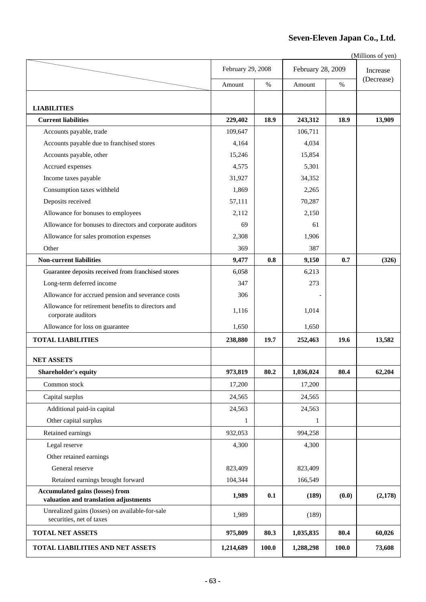### **Seven-Eleven Japan Co., Ltd.**

|                                                                                 | February 29, 2008 |       | February 28, 2009 | Increase |            |
|---------------------------------------------------------------------------------|-------------------|-------|-------------------|----------|------------|
|                                                                                 | Amount            | $\%$  | Amount            | $\%$     | (Decrease) |
|                                                                                 |                   |       |                   |          |            |
| <b>LIABILITIES</b>                                                              |                   |       |                   |          |            |
| <b>Current liabilities</b>                                                      | 229,402           | 18.9  | 243,312           | 18.9     | 13,909     |
| Accounts payable, trade                                                         | 109,647           |       | 106,711           |          |            |
| Accounts payable due to franchised stores                                       | 4,164             |       | 4,034             |          |            |
| Accounts payable, other                                                         | 15,246            |       | 15,854            |          |            |
| Accrued expenses                                                                | 4,575             |       | 5,301             |          |            |
| Income taxes payable                                                            | 31,927            |       | 34,352            |          |            |
| Consumption taxes withheld                                                      | 1,869             |       | 2,265             |          |            |
| Deposits received                                                               | 57,111            |       | 70,287            |          |            |
| Allowance for bonuses to employees                                              | 2,112             |       | 2,150             |          |            |
| Allowance for bonuses to directors and corporate auditors                       | 69                |       | 61                |          |            |
| Allowance for sales promotion expenses                                          | 2,308             |       | 1,906             |          |            |
| Other                                                                           | 369               |       | 387               |          |            |
| <b>Non-current liabilities</b>                                                  | 9,477             | 0.8   | 9,150             | 0.7      | (326)      |
| Guarantee deposits received from franchised stores                              | 6,058             |       | 6,213             |          |            |
| Long-term deferred income                                                       | 347               |       | 273               |          |            |
| Allowance for accrued pension and severance costs                               | 306               |       |                   |          |            |
| Allowance for retirement benefits to directors and<br>corporate auditors        | 1,116             |       | 1,014             |          |            |
| Allowance for loss on guarantee                                                 | 1,650             |       | 1,650             |          |            |
| <b>TOTAL LIABILITIES</b>                                                        | 238,880           | 19.7  | 252,463           | 19.6     | 13,582     |
| <b>NET ASSETS</b>                                                               |                   |       |                   |          |            |
| Shareholder's equity                                                            | 973,819           | 80.2  | 1,036,024         | 80.4     | 62,204     |
| Common stock                                                                    | 17,200            |       | 17,200            |          |            |
| Capital surplus                                                                 | 24,565            |       | 24,565            |          |            |
| Additional paid-in capital                                                      | 24,563            |       | 24,563            |          |            |
| Other capital surplus                                                           | 1                 |       | 1                 |          |            |
| Retained earnings                                                               | 932,053           |       | 994,258           |          |            |
| Legal reserve                                                                   | 4,300             |       | 4,300             |          |            |
| Other retained earnings                                                         |                   |       |                   |          |            |
| General reserve                                                                 | 823,409           |       | 823,409           |          |            |
| Retained earnings brought forward                                               | 104,344           |       | 166,549           |          |            |
| <b>Accumulated gains (losses) from</b><br>valuation and translation adjustments | 1,989             | 0.1   | (189)             | (0.0)    | (2,178)    |
| Unrealized gains (losses) on available-for-sale<br>securities, net of taxes     | 1,989             |       | (189)             |          |            |
| <b>TOTAL NET ASSETS</b>                                                         | 975,809           | 80.3  | 1,035,835         | 80.4     | 60,026     |
| TOTAL LIABILITIES AND NET ASSETS                                                | 1,214,689         | 100.0 | 1,288,298         | 100.0    | 73,608     |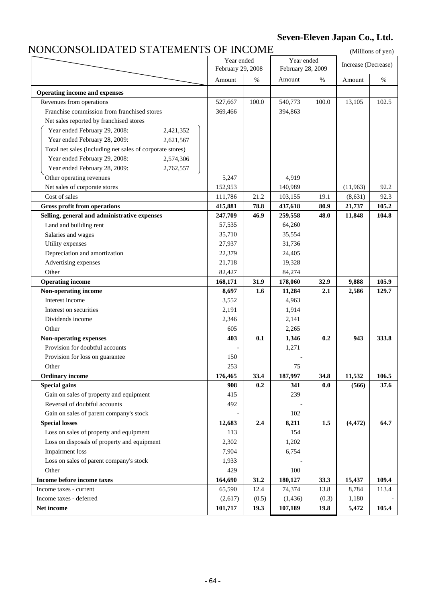## **Seven-Eleven Japan Co., Ltd.**

## NONCONSOLIDATED STATEMENTS OF INCOME

|         |                              |                                                  |                                                                        |                                                  | (MILLIONS OF YEA) |
|---------|------------------------------|--------------------------------------------------|------------------------------------------------------------------------|--------------------------------------------------|-------------------|
|         |                              |                                                  |                                                                        | Increase (Decrease)                              |                   |
|         |                              |                                                  |                                                                        |                                                  |                   |
|         |                              |                                                  |                                                                        |                                                  | $\%$              |
|         |                              |                                                  |                                                                        |                                                  |                   |
|         |                              |                                                  |                                                                        |                                                  | 102.5             |
|         |                              |                                                  |                                                                        |                                                  |                   |
|         |                              |                                                  |                                                                        |                                                  |                   |
|         |                              |                                                  |                                                                        |                                                  |                   |
|         |                              |                                                  |                                                                        |                                                  |                   |
|         |                              |                                                  |                                                                        |                                                  |                   |
|         |                              |                                                  |                                                                        |                                                  |                   |
|         |                              |                                                  |                                                                        |                                                  |                   |
| 5,247   |                              | 4,919                                            |                                                                        |                                                  |                   |
| 152,953 |                              | 140,989                                          |                                                                        | (11,963)                                         | 92.2              |
| 111,786 | 21.2                         | 103,155                                          | 19.1                                                                   | (8,631)                                          | 92.3              |
| 415,881 | 78.8                         | 437,618                                          | 80.9                                                                   | 21,737                                           | 105.2             |
| 247,709 | 46.9                         | 259,558                                          | 48.0                                                                   | 11,848                                           | 104.8             |
| 57,535  |                              | 64,260                                           |                                                                        |                                                  |                   |
| 35,710  |                              | 35,554                                           |                                                                        |                                                  |                   |
| 27,937  |                              | 31,736                                           |                                                                        |                                                  |                   |
| 22,379  |                              | 24,405                                           |                                                                        |                                                  |                   |
| 21,718  |                              | 19,328                                           |                                                                        |                                                  |                   |
| 82,427  |                              | 84,274                                           |                                                                        |                                                  |                   |
| 168,171 | 31.9                         | 178,060                                          | 32.9                                                                   | 9,888                                            | 105.9             |
| 8,697   | 1.6                          | 11,284                                           | 2.1                                                                    | 2,586                                            | 129.7             |
| 3,552   |                              | 4,963                                            |                                                                        |                                                  |                   |
| 2,191   |                              | 1,914                                            |                                                                        |                                                  |                   |
| 2,346   |                              | 2,141                                            |                                                                        |                                                  |                   |
| 605     |                              | 2,265                                            |                                                                        |                                                  |                   |
| 403     | 0.1                          | 1,346                                            | 0.2                                                                    | 943                                              | 333.8             |
|         |                              | 1,271                                            |                                                                        |                                                  |                   |
| 150     |                              |                                                  |                                                                        |                                                  |                   |
| 253     |                              | 75                                               |                                                                        |                                                  |                   |
| 176,465 | 33.4                         | 187,997                                          | 34.8                                                                   | 11,532                                           | 106.5             |
| 908     | 0.2                          | 341                                              | 0.0                                                                    | (566)                                            | 37.6              |
| 415     |                              | 239                                              |                                                                        |                                                  |                   |
| 492     |                              |                                                  |                                                                        |                                                  |                   |
|         |                              | 102                                              |                                                                        |                                                  |                   |
| 12,683  | 2.4                          | 8,211                                            | 1.5                                                                    | (4, 472)                                         | 64.7              |
| 113     |                              | 154                                              |                                                                        |                                                  |                   |
| 2,302   |                              | 1,202                                            |                                                                        |                                                  |                   |
| 7,904   |                              | 6,754                                            |                                                                        |                                                  |                   |
| 1,933   |                              |                                                  |                                                                        |                                                  |                   |
| 429     |                              | 100                                              |                                                                        |                                                  |                   |
| 164,690 | 31.2                         | 180,127                                          | 33.3                                                                   | 15,437                                           | 109.4             |
| 65,590  | 12.4                         | 74,374                                           | 13.8                                                                   | 8,784                                            | 113.4             |
| (2,617) | (0.5)                        | (1, 436)                                         | (0.3)                                                                  | 1,180                                            |                   |
| 101,717 | 19.3                         | 107,189                                          | 19.8                                                                   | 5,472                                            | 105.4             |
|         | Amount<br>527,667<br>369,466 | Year ended<br>February 29, 2008<br>$\%$<br>100.0 | NUNCUNDULIDATLD DTATLIMLIN DI TINCUMLI<br>Amount<br>540,773<br>394,863 | Year ended<br>February 28, 2009<br>$\%$<br>100.0 | Amount<br>13,105  |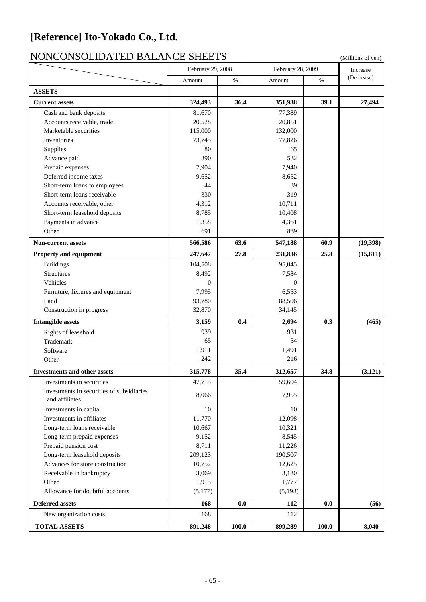# **[Reference] Ito-Yokado Co., Ltd.**

# NONCONSOLIDATED BALANCE SHEETS (Millions of yen)

|                                                             | February 29, 2008 |       | February 28, 2009<br>%<br>Amount |       | Increase   |  |
|-------------------------------------------------------------|-------------------|-------|----------------------------------|-------|------------|--|
|                                                             | Amount            | $\%$  |                                  |       | (Decrease) |  |
| <b>ASSETS</b>                                               |                   |       |                                  |       |            |  |
| <b>Current assets</b>                                       | 324,493           | 36.4  | 351,988                          | 39.1  | 27,494     |  |
| Cash and bank deposits                                      | 81,670            |       | 77,389                           |       |            |  |
| Accounts receivable, trade                                  | 20,528            |       | 20,851                           |       |            |  |
| Marketable securities                                       | 115,000           |       | 132,000                          |       |            |  |
| Inventories                                                 | 73,745            |       | 77,826                           |       |            |  |
| Supplies                                                    | 80                |       | 65                               |       |            |  |
| Advance paid                                                | 390               |       | 532                              |       |            |  |
| Prepaid expenses                                            | 7,904             |       | 7,940                            |       |            |  |
| Deferred income taxes                                       | 9,652             |       | 8,652                            |       |            |  |
| Short-term loans to employees                               | 44                |       | 39                               |       |            |  |
| Short-term loans receivable                                 | 330               |       | 319                              |       |            |  |
| Accounts receivable, other                                  | 4,312             |       | 10,711                           |       |            |  |
| Short-term leasehold deposits                               | 8,785             |       | 10,408                           |       |            |  |
| Payments in advance                                         | 1,358             |       | 4,361                            |       |            |  |
| Other                                                       | 691               |       | 889                              |       |            |  |
|                                                             |                   |       |                                  |       |            |  |
| <b>Non-current assets</b>                                   | 566,586           | 63.6  | 547,188                          | 60.9  | (19,398)   |  |
| Property and equipment                                      | 247,647           | 27.8  | 231,836                          | 25.8  | (15, 811)  |  |
| <b>Buildings</b>                                            | 104,508           |       | 95,045                           |       |            |  |
| <b>Structures</b>                                           | 8,492             |       | 7,584                            |       |            |  |
| Vehicles                                                    | $\theta$          |       | $\mathbf{0}$                     |       |            |  |
| Furniture, fixtures and equipment                           | 7,995             |       | 6,553                            |       |            |  |
| Land                                                        | 93,780            |       | 88,506                           |       |            |  |
| Construction in progress                                    | 32,870            |       | 34,145                           |       |            |  |
| <b>Intangible assets</b>                                    | 3,159             | 0.4   | 2,694                            | 0.3   | (465)      |  |
| Rights of leasehold                                         | 939               |       | 931                              |       |            |  |
| Trademark                                                   | 65                |       | 54                               |       |            |  |
| Software                                                    | 1,911             |       | 1,491                            |       |            |  |
| Other                                                       | 242               |       | 216                              |       |            |  |
| <b>Investments and other assets</b>                         | 315,778           | 35.4  | 312,657                          | 34.8  | (3, 121)   |  |
| Investments in securities                                   | 47,715            |       | 59,604                           |       |            |  |
| Investments in securities of subsidiaries<br>and affiliates | 8,066             |       | 7,955                            |       |            |  |
| Investments in capital                                      | 10                |       | 10                               |       |            |  |
| Investments in affiliates                                   | 11,770            |       | 12,098                           |       |            |  |
| Long-term loans receivable                                  | 10,667            |       | 10,321                           |       |            |  |
| Long-term prepaid expenses                                  | 9,152             |       | 8,545                            |       |            |  |
| Prepaid pension cost                                        | 8,711             |       | 11,226                           |       |            |  |
| Long-term leasehold deposits                                | 209,123           |       | 190,507                          |       |            |  |
| Advances for store construction                             | 10,752            |       | 12,625                           |       |            |  |
| Receivable in bankruptcy                                    | 3,069             |       | 3,180                            |       |            |  |
| Other                                                       | 1,915             |       | 1,777                            |       |            |  |
| Allowance for doubtful accounts                             | (5,177)           |       | (5,198)                          |       |            |  |
| <b>Deferred assets</b>                                      | 168               | 0.0   | 112                              | 0.0   | (56)       |  |
| New organization costs                                      | 168               |       | 112                              |       |            |  |
| <b>TOTAL ASSETS</b>                                         | 891,248           | 100.0 | 899,289                          | 100.0 | 8,040      |  |
|                                                             |                   |       |                                  |       |            |  |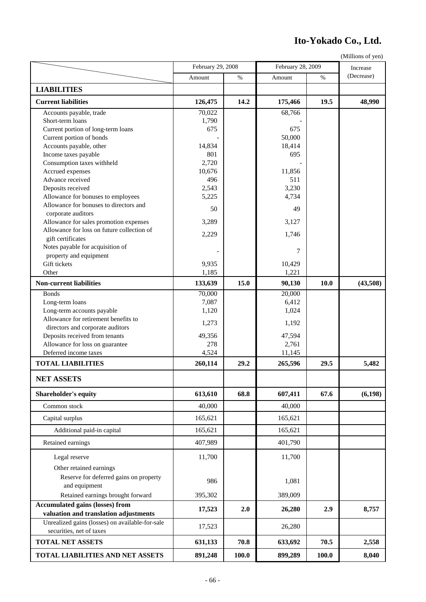# **Ito-Yokado Co., Ltd.**

|                                                                                 | February 29, 2008 |       | February 28, 2009 |             | Increase   |  |
|---------------------------------------------------------------------------------|-------------------|-------|-------------------|-------------|------------|--|
|                                                                                 | Amount            | %     | Amount            | %           | (Decrease) |  |
| <b>LIABILITIES</b>                                                              |                   |       |                   |             |            |  |
| <b>Current liabilities</b>                                                      | 126,475           | 14.2  | 175,466           | 19.5        | 48,990     |  |
| Accounts payable, trade                                                         | 70,022            |       | 68,766            |             |            |  |
| Short-term loans                                                                | 1,790             |       |                   |             |            |  |
| Current portion of long-term loans                                              | 675               |       | 675               |             |            |  |
| Current portion of bonds                                                        |                   |       | 50,000            |             |            |  |
| Accounts payable, other                                                         | 14,834            |       | 18,414            |             |            |  |
| Income taxes payable                                                            | 801               |       | 695               |             |            |  |
| Consumption taxes withheld                                                      | 2,720             |       |                   |             |            |  |
| Accrued expenses                                                                | 10,676            |       | 11,856            |             |            |  |
| Advance received                                                                | 496               |       | 511               |             |            |  |
| Deposits received                                                               | 2,543             |       | 3,230             |             |            |  |
| Allowance for bonuses to employees                                              | 5,225             |       | 4,734             |             |            |  |
| Allowance for bonuses to directors and                                          | 50                |       | 49                |             |            |  |
| corporate auditors                                                              |                   |       |                   |             |            |  |
| Allowance for sales promotion expenses                                          | 3,289             |       | 3,127             |             |            |  |
| Allowance for loss on future collection of                                      | 2,229             |       | 1,746             |             |            |  |
| gift certificates                                                               |                   |       |                   |             |            |  |
| Notes payable for acquisition of                                                |                   |       | 7                 |             |            |  |
| property and equipment                                                          |                   |       |                   |             |            |  |
| Gift tickets                                                                    | 9,935             |       | 10,429            |             |            |  |
| Other                                                                           | 1,185             |       | 1,221             |             |            |  |
| <b>Non-current liabilities</b>                                                  | 133,639           | 15.0  | 90,130            | <b>10.0</b> | (43,508)   |  |
| <b>Bonds</b>                                                                    | 70,000            |       | 20,000            |             |            |  |
| Long-term loans                                                                 | 7,087             |       | 6,412             |             |            |  |
| Long-term accounts payable                                                      | 1,120             |       | 1,024             |             |            |  |
| Allowance for retirement benefits to                                            |                   |       |                   |             |            |  |
| directors and corporate auditors                                                | 1,273             |       | 1,192             |             |            |  |
| Deposits received from tenants                                                  | 49,356            |       | 47,594            |             |            |  |
| Allowance for loss on guarantee                                                 | 278               |       | 2,761             |             |            |  |
| Deferred income taxes                                                           | 4,524             |       | 11,145            |             |            |  |
| <b>TOTAL LIABILITIES</b>                                                        | 260,114           | 29.2  | 265,596           | 29.5        | 5,482      |  |
| <b>NET ASSETS</b>                                                               |                   |       |                   |             |            |  |
| Shareholder's equity                                                            | 613,610           | 68.8  | 607,411           | 67.6        | (6, 198)   |  |
| Common stock                                                                    | 40,000            |       | 40,000            |             |            |  |
| Capital surplus                                                                 | 165,621           |       | 165,621           |             |            |  |
| Additional paid-in capital                                                      | 165,621           |       | 165,621           |             |            |  |
| Retained earnings                                                               | 407,989           |       | 401,790           |             |            |  |
| Legal reserve                                                                   | 11,700            |       | 11,700            |             |            |  |
| Other retained earnings                                                         |                   |       |                   |             |            |  |
|                                                                                 |                   |       |                   |             |            |  |
| Reserve for deferred gains on property                                          | 986               |       | 1,081             |             |            |  |
| and equipment                                                                   |                   |       |                   |             |            |  |
| Retained earnings brought forward                                               | 395,302           |       | 389,009           |             |            |  |
| <b>Accumulated gains (losses) from</b><br>valuation and translation adjustments | 17,523            | 2.0   | 26,280            | 2.9         | 8,757      |  |
| Unrealized gains (losses) on available-for-sale                                 |                   |       |                   |             |            |  |
|                                                                                 | 17,523            |       | 26,280            |             |            |  |
| securities, net of taxes<br><b>TOTAL NET ASSETS</b>                             | 631,133           | 70.8  | 633,692           | 70.5        | 2,558      |  |
|                                                                                 |                   |       |                   |             |            |  |
| TOTAL LIABILITIES AND NET ASSETS                                                | 891,248           | 100.0 | 899,289           | 100.0       | 8,040      |  |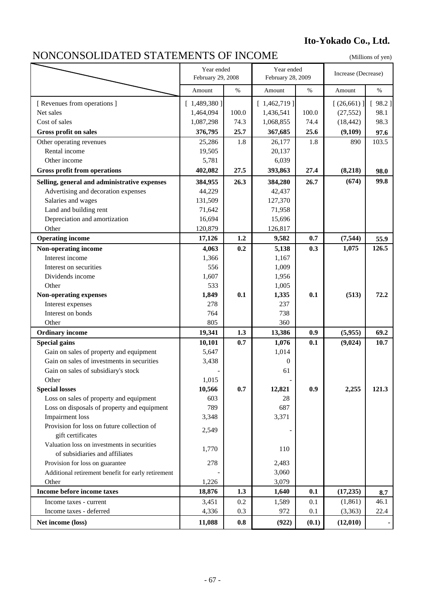# **Ito-Yokado Co., Ltd.**

# NONCONSOLIDATED STATEMENTS OF INCOME (Millions of yen)

|                                                                 | Year ended<br>February 29, 2008 |       | Year ended<br>February 28, 2009 |       | Increase (Decrease) |        |
|-----------------------------------------------------------------|---------------------------------|-------|---------------------------------|-------|---------------------|--------|
|                                                                 | Amount                          | $\%$  | Amount                          | $\%$  | Amount              | $\%$   |
| [ Revenues from operations ]                                    | [1,489,380]                     |       | [1,462,719]                     |       | [(26,661)]          | [98.2] |
| Net sales                                                       | 1,464,094                       | 100.0 | 1,436,541                       | 100.0 | (27, 552)           | 98.1   |
| Cost of sales                                                   | 1,087,298                       | 74.3  | 1,068,855                       | 74.4  | (18, 442)           | 98.3   |
| Gross profit on sales                                           | 376,795                         | 25.7  | 367,685                         | 25.6  | (9,109)             | 97.6   |
| Other operating revenues                                        | 25,286                          | 1.8   | 26,177                          | 1.8   | 890                 | 103.5  |
| Rental income                                                   | 19,505                          |       | 20,137                          |       |                     |        |
| Other income                                                    | 5,781                           |       | 6,039                           |       |                     |        |
| <b>Gross profit from operations</b>                             | 402,082                         | 27.5  | 393,863                         | 27.4  | (8,218)             | 98.0   |
| Selling, general and administrative expenses                    | 384,955                         | 26.3  | 384,280                         | 26.7  | (674)               | 99.8   |
| Advertising and decoration expenses                             | 44,229                          |       | 42,437                          |       |                     |        |
| Salaries and wages                                              | 131,509                         |       | 127,370                         |       |                     |        |
| Land and building rent                                          | 71,642                          |       | 71,958                          |       |                     |        |
| Depreciation and amortization                                   | 16,694                          |       | 15,696                          |       |                     |        |
| Other                                                           | 120,879                         |       | 126,817                         |       |                     |        |
| <b>Operating income</b>                                         | 17,126                          | 1.2   | 9,582                           | 0.7   | (7, 544)            | 55.9   |
| Non-operating income                                            | 4,063                           | 0.2   | 5,138                           | 0.3   | 1,075               | 126.5  |
| Interest income                                                 | 1,366                           |       | 1,167                           |       |                     |        |
| Interest on securities                                          | 556                             |       | 1,009                           |       |                     |        |
| Dividends income                                                | 1,607                           |       | 1,956                           |       |                     |        |
| Other                                                           | 533                             |       | 1,005                           |       |                     |        |
| Non-operating expenses                                          | 1,849                           | 0.1   | 1,335                           | 0.1   | (513)               | 72.2   |
| Interest expenses                                               | 278                             |       | 237                             |       |                     |        |
| Interest on bonds                                               | 764                             |       | 738                             |       |                     |        |
| Other                                                           | 805                             |       | 360                             |       |                     |        |
| <b>Ordinary income</b>                                          | 19,341                          | 1.3   | 13,386                          | 0.9   | (5,955)             | 69.2   |
| <b>Special gains</b>                                            | 10,101                          | 0.7   | 1,076                           | 0.1   | (9,024)             | 10.7   |
| Gain on sales of property and equipment                         | 5,647                           |       | 1,014                           |       |                     |        |
| Gain on sales of investments in securities                      | 3,438                           |       | $\theta$                        |       |                     |        |
| Gain on sales of subsidiary's stock                             |                                 |       | 61                              |       |                     |        |
| Other                                                           | 1,015                           |       |                                 |       |                     |        |
| <b>Special losses</b>                                           | 10,566                          | 0.7   | 12,821                          | 0.9   | 2,255               | 121.3  |
| Loss on sales of property and equipment                         | 603                             |       | 28                              |       |                     |        |
| Loss on disposals of property and equipment                     | 789                             |       | 687                             |       |                     |        |
| <b>Impairment</b> loss                                          | 3,348                           |       | 3,371                           |       |                     |        |
| Provision for loss on future collection of<br>gift certificates | 2,549                           |       |                                 |       |                     |        |
| Valuation loss on investments in securities                     | 1,770                           |       | 110                             |       |                     |        |
| of subsidiaries and affiliates                                  |                                 |       |                                 |       |                     |        |
| Provision for loss on guarantee                                 | 278                             |       | 2,483                           |       |                     |        |
| Additional retirement benefit for early retirement              |                                 |       | 3,060                           |       |                     |        |
| Other                                                           | 1,226                           |       | 3,079                           |       |                     |        |
| Income before income taxes                                      | 18,876                          | 1.3   | 1,640                           | 0.1   | (17, 235)           | 8.7    |
| Income taxes - current                                          | 3,451                           | 0.2   | 1,589                           | 0.1   | (1, 861)            | 46.1   |
| Income taxes - deferred                                         | 4,336                           | 0.3   | 972                             | 0.1   | (3,363)             | 22.4   |
| Net income (loss)                                               | 11,088                          | 0.8   | (922)                           | (0.1) | (12, 010)           |        |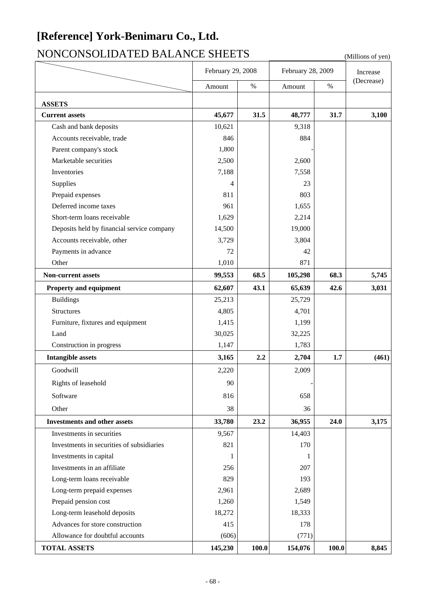# **[Reference] York-Benimaru Co., Ltd.**

# NONCONSOLIDATED BALANCE SHEETS (Millions of yen)

|                                            | February 29, 2008 |       |         | February 28, 2009 |            |
|--------------------------------------------|-------------------|-------|---------|-------------------|------------|
|                                            | Amount            | $\%$  | Amount  | $\%$              | (Decrease) |
| <b>ASSETS</b>                              |                   |       |         |                   |            |
| <b>Current assets</b>                      | 45,677            | 31.5  | 48,777  | 31.7              | 3,100      |
| Cash and bank deposits                     | 10,621            |       | 9,318   |                   |            |
| Accounts receivable, trade                 | 846               |       | 884     |                   |            |
| Parent company's stock                     | 1,800             |       |         |                   |            |
| Marketable securities                      | 2,500             |       | 2,600   |                   |            |
| Inventories                                | 7,188             |       | 7,558   |                   |            |
| Supplies                                   | 4                 |       | 23      |                   |            |
| Prepaid expenses                           | 811               |       | 803     |                   |            |
| Deferred income taxes                      | 961               |       | 1,655   |                   |            |
| Short-term loans receivable                | 1,629             |       | 2,214   |                   |            |
| Deposits held by financial service company | 14,500            |       | 19,000  |                   |            |
| Accounts receivable, other                 | 3,729             |       | 3,804   |                   |            |
| Payments in advance                        | 72                |       | 42      |                   |            |
| Other                                      | 1,010             |       | 871     |                   |            |
| <b>Non-current assets</b>                  | 99,553            | 68.5  | 105,298 | 68.3              | 5,745      |
| <b>Property and equipment</b>              | 62,607            | 43.1  | 65,639  | 42.6              | 3,031      |
| <b>Buildings</b>                           | 25,213            |       | 25,729  |                   |            |
| <b>Structures</b>                          | 4,805             |       | 4,701   |                   |            |
| Furniture, fixtures and equipment          | 1,415             |       | 1,199   |                   |            |
| Land                                       | 30,025            |       | 32,225  |                   |            |
| Construction in progress                   | 1,147             |       | 1,783   |                   |            |
| <b>Intangible assets</b>                   | 3,165             | 2.2   | 2,704   | 1.7               | (461)      |
| Goodwill                                   | 2,220             |       | 2,009   |                   |            |
| Rights of leasehold                        | $90\,$            |       |         |                   |            |
| Software                                   | 816               |       | 658     |                   |            |
| Other                                      | 38                |       | 36      |                   |            |
| <b>Investments and other assets</b>        | 33,780            | 23.2  | 36,955  | 24.0              | 3,175      |
| Investments in securities                  | 9,567             |       | 14,403  |                   |            |
| Investments in securities of subsidiaries  | 821               |       | 170     |                   |            |
| Investments in capital                     | 1                 |       | 1       |                   |            |
| Investments in an affiliate                | 256               |       | 207     |                   |            |
| Long-term loans receivable                 | 829               |       | 193     |                   |            |
| Long-term prepaid expenses                 | 2,961             |       | 2,689   |                   |            |
| Prepaid pension cost                       | 1,260             |       | 1,549   |                   |            |
| Long-term leasehold deposits               | 18,272            |       | 18,333  |                   |            |
| Advances for store construction            | 415               |       | 178     |                   |            |
| Allowance for doubtful accounts            | (606)             |       | (771)   |                   |            |
| <b>TOTAL ASSETS</b>                        | 145,230           | 100.0 | 154,076 | 100.0             | 8,845      |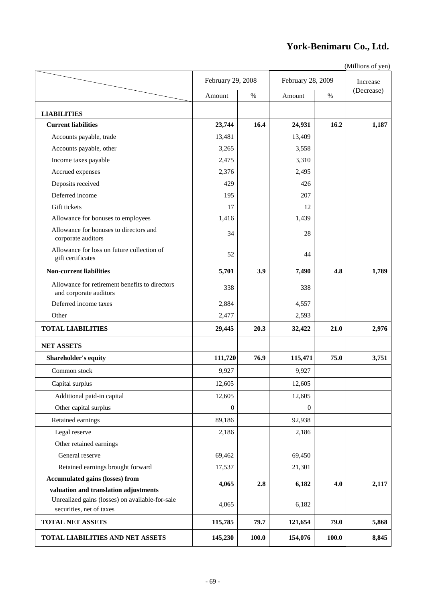# **York-Benimaru Co., Ltd.**

|                                                                             | February 29, 2008<br>Amount |       |              |                   | Increase   |  |
|-----------------------------------------------------------------------------|-----------------------------|-------|--------------|-------------------|------------|--|
|                                                                             |                             |       |              | February 28, 2009 |            |  |
|                                                                             |                             | $\%$  | Amount       | $\%$              | (Decrease) |  |
| <b>LIABILITIES</b>                                                          |                             |       |              |                   |            |  |
| <b>Current liabilities</b>                                                  | 23,744                      | 16.4  | 24,931       | 16.2              | 1,187      |  |
| Accounts payable, trade                                                     | 13,481                      |       | 13,409       |                   |            |  |
| Accounts payable, other                                                     | 3,265                       |       | 3,558        |                   |            |  |
| Income taxes payable                                                        | 2,475                       |       | 3,310        |                   |            |  |
| Accrued expenses                                                            | 2,376                       |       | 2,495        |                   |            |  |
| Deposits received                                                           | 429                         |       | 426          |                   |            |  |
| Deferred income                                                             | 195                         |       | 207          |                   |            |  |
| Gift tickets                                                                | 17                          |       | 12           |                   |            |  |
| Allowance for bonuses to employees                                          | 1,416                       |       | 1,439        |                   |            |  |
| Allowance for bonuses to directors and<br>corporate auditors                | 34                          |       | 28           |                   |            |  |
| Allowance for loss on future collection of<br>gift certificates             | 52                          |       | 44           |                   |            |  |
| <b>Non-current liabilities</b>                                              | 5,701                       | 3.9   | 7,490        | 4.8               | 1,789      |  |
| Allowance for retirement benefits to directors<br>and corporate auditors    | 338                         |       | 338          |                   |            |  |
| Deferred income taxes                                                       | 2,884                       |       | 4,557        |                   |            |  |
| Other                                                                       | 2,477                       |       | 2,593        |                   |            |  |
| <b>TOTAL LIABILITIES</b>                                                    | 29,445                      | 20.3  | 32,422       | 21.0              | 2,976      |  |
| <b>NET ASSETS</b>                                                           |                             |       |              |                   |            |  |
| <b>Shareholder's equity</b>                                                 | 111,720                     | 76.9  | 115,471      | 75.0              | 3,751      |  |
| Common stock                                                                | 9,927                       |       | 9,927        |                   |            |  |
| Capital surplus                                                             | 12,605                      |       | 12,605       |                   |            |  |
| Additional paid-in capital                                                  | 12,605                      |       | 12,605       |                   |            |  |
| Other capital surplus                                                       | $\boldsymbol{0}$            |       | $\mathbf{0}$ |                   |            |  |
| Retained earnings                                                           | 89,186                      |       | 92,938       |                   |            |  |
| Legal reserve                                                               | 2,186                       |       | 2,186        |                   |            |  |
| Other retained earnings                                                     |                             |       |              |                   |            |  |
| General reserve                                                             | 69,462                      |       | 69,450       |                   |            |  |
| Retained earnings brought forward                                           | 17,537                      |       | 21,301       |                   |            |  |
| <b>Accumulated gains (losses) from</b>                                      |                             |       |              |                   |            |  |
| valuation and translation adjustments                                       | 4,065                       | 2.8   | 6,182        | 4.0               | 2,117      |  |
| Unrealized gains (losses) on available-for-sale<br>securities, net of taxes | 4,065                       |       | 6,182        |                   |            |  |
| <b>TOTAL NET ASSETS</b>                                                     | 115,785                     | 79.7  | 121,654      | 79.0              | 5,868      |  |
| TOTAL LIABILITIES AND NET ASSETS                                            | 145,230                     | 100.0 | 154,076      | 100.0             | 8,845      |  |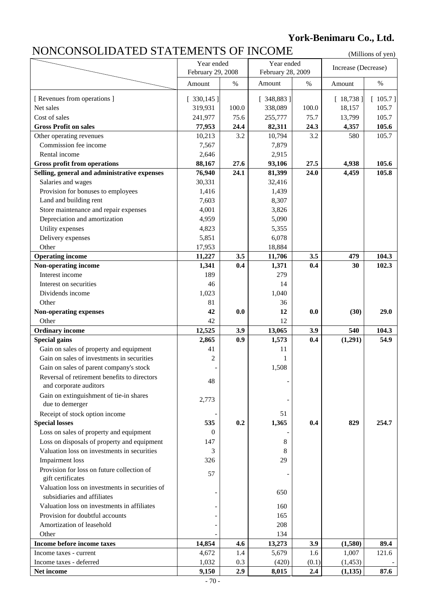# **York-Benimaru Co., Ltd.**

# NONCONSOLIDATED STATEMENTS OF INCOME (Millions of yen)

|                                                                        | Year ended                             |       | Year ended |                     |           |           |
|------------------------------------------------------------------------|----------------------------------------|-------|------------|---------------------|-----------|-----------|
|                                                                        | February 29, 2008<br>February 28, 2009 |       |            | Increase (Decrease) |           |           |
|                                                                        | Amount                                 | $\%$  | Amount     | $\%$                | Amount    | $\%$      |
| [ Revenues from operations ]                                           | [330, 145]                             |       | [348, 883] |                     | [18, 738] | $105.7$ ] |
| Net sales                                                              | 319,931                                | 100.0 | 338,089    | 100.0               | 18,157    | 105.7     |
| Cost of sales                                                          | 241,977                                | 75.6  | 255,777    | 75.7                | 13,799    | 105.7     |
| <b>Gross Profit on sales</b>                                           | 77,953                                 | 24.4  | 82,311     | 24.3                | 4,357     | 105.6     |
| Other operating revenues                                               | 10,213                                 | 3.2   | 10,794     | 3.2                 | 580       | 105.7     |
| Commission fee income                                                  | 7,567                                  |       | 7,879      |                     |           |           |
| Rental income                                                          | 2,646                                  |       | 2,915      |                     |           |           |
| <b>Gross profit from operations</b>                                    | 88,167                                 | 27.6  | 93,106     | 27.5                | 4,938     | 105.6     |
| Selling, general and administrative expenses                           | 76,940                                 | 24.1  | 81,399     | 24.0                | 4,459     | 105.8     |
| Salaries and wages                                                     | 30,331                                 |       | 32,416     |                     |           |           |
| Provision for bonuses to employees                                     | 1,416                                  |       | 1,439      |                     |           |           |
| Land and building rent                                                 | 7,603                                  |       | 8,307      |                     |           |           |
| Store maintenance and repair expenses                                  | 4,001                                  |       | 3,826      |                     |           |           |
| Depreciation and amortization                                          | 4,959                                  |       | 5,090      |                     |           |           |
| Utility expenses                                                       | 4,823                                  |       | 5,355      |                     |           |           |
| Delivery expenses                                                      | 5,851                                  |       | 6,078      |                     |           |           |
| Other                                                                  | 17,953                                 |       | 18,884     |                     |           |           |
| <b>Operating income</b>                                                | 11,227                                 | 3.5   | 11,706     | 3.5                 | 479       | 104.3     |
| Non-operating income                                                   | 1,341                                  | 0.4   | 1,371      | 0.4                 | 30        | 102.3     |
| Interest income                                                        | 189                                    |       | 279        |                     |           |           |
| Interest on securities                                                 | 46                                     |       | 14         |                     |           |           |
| Dividends income                                                       | 1,023                                  |       | 1,040      |                     |           |           |
| Other                                                                  | 81                                     |       | 36         |                     |           |           |
| <b>Non-operating expenses</b>                                          | 42                                     | 0.0   | 12         | 0.0                 | (30)      | 29.0      |
| Other                                                                  | 42                                     |       | 12         |                     |           |           |
| <b>Ordinary income</b>                                                 | 12,525                                 | 3.9   | 13,065     | 3.9                 | 540       | 104.3     |
| <b>Special gains</b>                                                   | 2,865                                  | 0.9   | 1,573      | 0.4                 | (1,291)   | 54.9      |
| Gain on sales of property and equipment                                | 41                                     |       | 11         |                     |           |           |
| Gain on sales of investments in securities                             | $\overline{c}$                         |       | 1          |                     |           |           |
| Gain on sales of parent company's stock                                |                                        |       | 1,508      |                     |           |           |
| Reversal of retirement benefits to directors<br>and corporate auditors | 48                                     |       |            |                     |           |           |
| Gain on extinguishment of tie-in shares                                |                                        |       |            |                     |           |           |
| due to demerger                                                        | 2,773                                  |       |            |                     |           |           |
| Receipt of stock option income                                         |                                        |       | 51         |                     |           |           |
| <b>Special losses</b>                                                  | 535                                    | 0.2   | 1,365      | 0.4                 | 829       | 254.7     |
| Loss on sales of property and equipment                                | $\overline{0}$                         |       |            |                     |           |           |
| Loss on disposals of property and equipment                            | 147                                    |       | 8          |                     |           |           |
| Valuation loss on investments in securities                            | 3                                      |       | 8          |                     |           |           |
| <b>Impairment</b> loss                                                 | 326                                    |       | 29         |                     |           |           |
| Provision for loss on future collection of<br>gift certificates        | 57                                     |       |            |                     |           |           |
| Valuation loss on investments in securities of                         |                                        |       |            |                     |           |           |
| subsidiaries and affiliates                                            |                                        |       | 650        |                     |           |           |
| Valuation loss on investments in affiliates                            |                                        |       | 160        |                     |           |           |
| Provision for doubtful accounts                                        |                                        |       | 165        |                     |           |           |
| Amortization of leasehold                                              |                                        |       | 208        |                     |           |           |
| Other                                                                  |                                        |       | 134        |                     |           |           |
| Income before income taxes                                             | 14,854                                 | 4.6   | 13,273     | 3.9                 | (1,580)   | 89.4      |
| Income taxes - current                                                 | 4,672                                  | 1.4   | 5,679      | 1.6                 | 1,007     | 121.6     |
| Income taxes - deferred                                                | 1,032                                  | 0.3   | (420)      | (0.1)               | (1, 453)  |           |
| Net income                                                             | 9,150                                  | 2.9   | 8,015      | 2.4                 | (1, 135)  | 87.6      |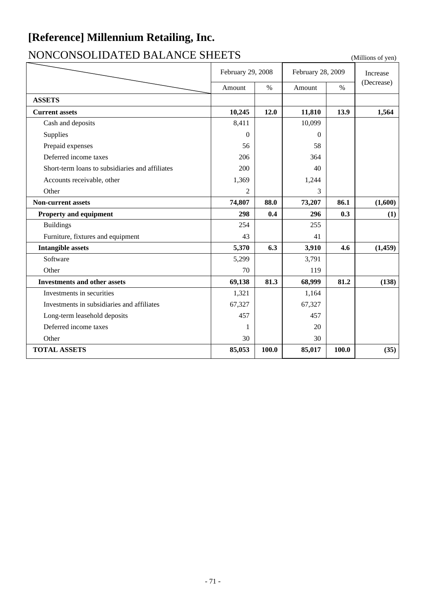# **[Reference] Millennium Retailing, Inc.**

# NONCONSOLIDATED BALANCE SHEETS (Millions of yen)

|                                                 | February 29, 2008 |       | February 28, 2009 |               | Increase   |
|-------------------------------------------------|-------------------|-------|-------------------|---------------|------------|
|                                                 | Amount            | $\%$  | Amount            | $\frac{0}{0}$ | (Decrease) |
| <b>ASSETS</b>                                   |                   |       |                   |               |            |
| <b>Current assets</b>                           | 10,245            | 12.0  | 11,810            | 13.9          | 1,564      |
| Cash and deposits                               | 8,411             |       | 10,099            |               |            |
| Supplies                                        | $\Omega$          |       | $\Omega$          |               |            |
| Prepaid expenses                                | 56                |       | 58                |               |            |
| Deferred income taxes                           | 206               |       | 364               |               |            |
| Short-term loans to subsidiaries and affiliates | 200               |       | 40                |               |            |
| Accounts receivable, other                      | 1,369             |       | 1,244             |               |            |
| Other                                           | 2                 |       | 3                 |               |            |
| <b>Non-current assets</b>                       | 74,807            | 88.0  | 73,207            | 86.1          | (1,600)    |
| <b>Property and equipment</b>                   | 298               | 0.4   | 296               | 0.3           | (1)        |
| <b>Buildings</b>                                | 254               |       | 255               |               |            |
| Furniture, fixtures and equipment               | 43                |       | 41                |               |            |
| <b>Intangible assets</b>                        | 5,370             | 6.3   | 3,910             | 4.6           | (1, 459)   |
| Software                                        | 5,299             |       | 3,791             |               |            |
| Other                                           | 70                |       | 119               |               |            |
| <b>Investments and other assets</b>             | 69,138            | 81.3  | 68,999            | 81.2          | (138)      |
| Investments in securities                       | 1,321             |       | 1,164             |               |            |
| Investments in subsidiaries and affiliates      | 67,327            |       | 67,327            |               |            |
| Long-term leasehold deposits                    | 457               |       | 457               |               |            |
| Deferred income taxes                           | 1                 |       | 20                |               |            |
| Other                                           | 30                |       | 30                |               |            |
| <b>TOTAL ASSETS</b>                             | 85,053            | 100.0 | 85,017            | 100.0         | (35)       |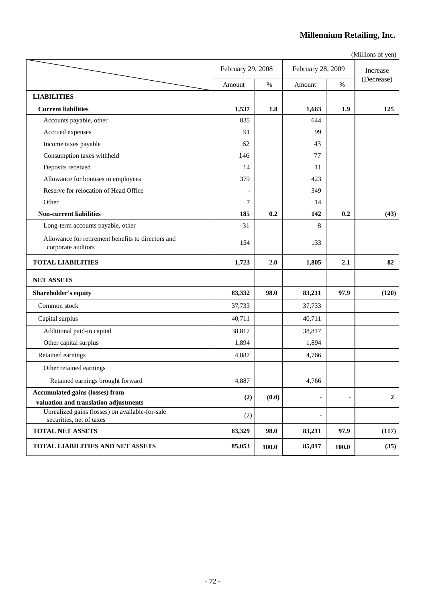### **Millennium Retailing, Inc.**

|                                                                             | February 29, 2008 |       | February 28, 2009 |                | Increase    |
|-----------------------------------------------------------------------------|-------------------|-------|-------------------|----------------|-------------|
|                                                                             | Amount            | $\%$  | Amount            | $\%$           | (Decrease)  |
| <b>LIABILITIES</b>                                                          |                   |       |                   |                |             |
| <b>Current liabilities</b>                                                  | 1,537             | 1.8   | 1,663             | 1.9            | 125         |
| Accounts payable, other                                                     | 835               |       | 644               |                |             |
| Accrued expenses                                                            | 91                |       | 99                |                |             |
| Income taxes payable                                                        | 62                |       | 43                |                |             |
| Consumption taxes withheld                                                  | 146               |       | 77                |                |             |
| Deposits received                                                           | 14                |       | 11                |                |             |
| Allowance for bonuses to employees                                          | 379               |       | 423               |                |             |
| Reserve for relocation of Head Office                                       |                   |       | 349               |                |             |
| Other                                                                       | 7                 |       | 14                |                |             |
| <b>Non-current liabilities</b>                                              | 185               | 0.2   | 142               | 0.2            | (43)        |
| Long-term accounts payable, other                                           | 31                |       | 8                 |                |             |
| Allowance for retirement benefits to directors and<br>corporate auditors    | 154               |       | 133               |                |             |
| <b>TOTAL LIABILITIES</b>                                                    | 1,723             | 2.0   | 1,805             | 2.1            | 82          |
| <b>NET ASSETS</b>                                                           |                   |       |                   |                |             |
| Shareholder's equity                                                        | 83,332            | 98.0  | 83,211            | 97.9           | (120)       |
| Common stock                                                                | 37,733            |       | 37,733            |                |             |
| Capital surplus                                                             | 40,711            |       | 40,711            |                |             |
| Additional paid-in capital                                                  | 38,817            |       | 38,817            |                |             |
| Other capital surplus                                                       | 1,894             |       | 1,894             |                |             |
| Retained earnings                                                           | 4,887             |       | 4,766             |                |             |
| Other retained earnings                                                     |                   |       |                   |                |             |
| Retained earnings brought forward                                           | 4,887             |       | 4,766             |                |             |
| <b>Accumulated gains (losses) from</b>                                      | (2)               | (0.0) | ۰                 | $\blacksquare$ | $\mathbf 2$ |
| valuation and translation adjustments                                       |                   |       |                   |                |             |
| Unrealized gains (losses) on available-for-sale<br>securities, net of taxes | (2)               |       | $\frac{1}{2}$     |                |             |
| <b>TOTAL NET ASSETS</b>                                                     | 83,329            | 98.0  | 83,211            | 97.9           | (117)       |
| TOTAL LIABILITIES AND NET ASSETS                                            | 85,053            | 100.0 | 85,017            | 100.0          | (35)        |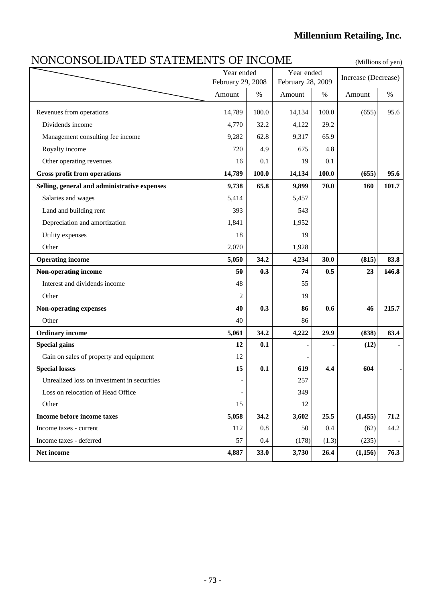### NONCONSOLIDATED STATEMENTS OF INCOME (Millions of yen)

|                                              | Year ended<br>February 29, 2008 |       | Year ended<br>February 28, 2009 |       | Increase (Decrease) |       |
|----------------------------------------------|---------------------------------|-------|---------------------------------|-------|---------------------|-------|
|                                              | Amount                          | $\%$  | Amount                          | $\%$  | Amount              | $\%$  |
|                                              |                                 |       |                                 |       |                     |       |
| Revenues from operations                     | 14,789                          | 100.0 | 14,134                          | 100.0 | (655)               | 95.6  |
| Dividends income                             | 4,770                           | 32.2  | 4,122                           | 29.2  |                     |       |
| Management consulting fee income             | 9,282                           | 62.8  | 9,317                           | 65.9  |                     |       |
| Royalty income                               | 720                             | 4.9   | 675                             | 4.8   |                     |       |
| Other operating revenues                     | 16                              | 0.1   | 19                              | 0.1   |                     |       |
| <b>Gross profit from operations</b>          | 14,789                          | 100.0 | 14,134                          | 100.0 | (655)               | 95.6  |
| Selling, general and administrative expenses | 9,738                           | 65.8  | 9,899                           | 70.0  | 160                 | 101.7 |
| Salaries and wages                           | 5,414                           |       | 5,457                           |       |                     |       |
| Land and building rent                       | 393                             |       | 543                             |       |                     |       |
| Depreciation and amortization                | 1,841                           |       | 1,952                           |       |                     |       |
| Utility expenses                             | 18                              |       | 19                              |       |                     |       |
| Other                                        | 2,070                           |       | 1,928                           |       |                     |       |
| <b>Operating income</b>                      | 5,050                           | 34.2  | 4,234                           | 30.0  | (815)               | 83.8  |
| Non-operating income                         | 50                              | 0.3   | 74                              | 0.5   | 23                  | 146.8 |
| Interest and dividends income                | 48                              |       | 55                              |       |                     |       |
| Other                                        | 2                               |       | 19                              |       |                     |       |
| Non-operating expenses                       | 40                              | 0.3   | 86                              | 0.6   | 46                  | 215.7 |
| Other                                        | 40                              |       | 86                              |       |                     |       |
| <b>Ordinary income</b>                       | 5,061                           | 34.2  | 4,222                           | 29.9  | (838)               | 83.4  |
| <b>Special gains</b>                         | 12                              | 0.1   |                                 |       | (12)                |       |
| Gain on sales of property and equipment      | 12                              |       |                                 |       |                     |       |
| <b>Special losses</b>                        | 15                              | 0.1   | 619                             | 4.4   | 604                 |       |
| Unrealized loss on investment in securities  |                                 |       | 257                             |       |                     |       |
| Loss on relocation of Head Office            | ٠                               |       | 349                             |       |                     |       |
| Other                                        | 15                              |       | 12                              |       |                     |       |
| Income before income taxes                   | 5,058                           | 34.2  | 3,602                           | 25.5  | (1, 455)            | 71.2  |
| Income taxes - current                       | 112                             | 0.8   | 50                              | 0.4   | (62)                | 44.2  |
| Income taxes - deferred                      | 57                              | 0.4   | (178)                           | (1.3) | (235)               |       |
| Net income                                   | 4,887                           | 33.0  | 3,730                           | 26.4  | (1,156)             | 76.3  |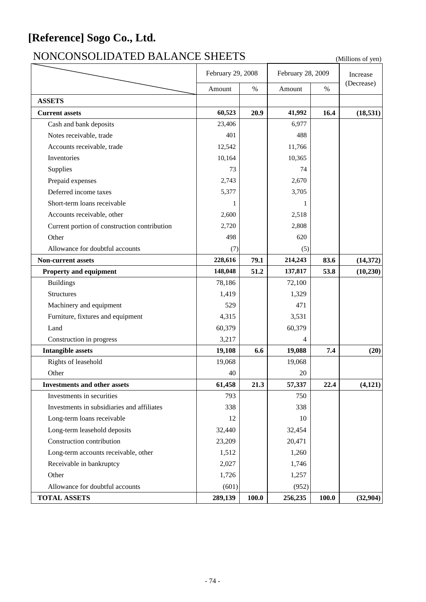# **[Reference] Sogo Co., Ltd.**

# NONCONSOLIDATED BALANCE SHEETS (Millions of yen)

|                                              | February 29, 2008 |       | February 28, 2009 | Increase |            |
|----------------------------------------------|-------------------|-------|-------------------|----------|------------|
|                                              | Amount            | $\%$  | Amount            | $\%$     | (Decrease) |
| <b>ASSETS</b>                                |                   |       |                   |          |            |
| <b>Current assets</b>                        | 60,523            | 20.9  | 41,992            | 16.4     | (18, 531)  |
| Cash and bank deposits                       | 23,406            |       | 6,977             |          |            |
| Notes receivable, trade                      | 401               |       | 488               |          |            |
| Accounts receivable, trade                   | 12,542            |       | 11,766            |          |            |
| Inventories                                  | 10,164            |       | 10,365            |          |            |
| Supplies                                     | 73                |       | 74                |          |            |
| Prepaid expenses                             | 2,743             |       | 2,670             |          |            |
| Deferred income taxes                        | 5,377             |       | 3,705             |          |            |
| Short-term loans receivable                  | 1                 |       | 1                 |          |            |
| Accounts receivable, other                   | 2,600             |       | 2,518             |          |            |
| Current portion of construction contribution | 2,720             |       | 2,808             |          |            |
| Other                                        | 498               |       | 620               |          |            |
| Allowance for doubtful accounts              | (7)               |       | (5)               |          |            |
| Non-current assets                           | 228,616           | 79.1  | 214,243           | 83.6     | (14, 372)  |
| <b>Property and equipment</b>                | 148,048           | 51.2  | 137,817           | 53.8     | (10, 230)  |
| <b>Buildings</b>                             | 78,186            |       | 72,100            |          |            |
| <b>Structures</b>                            | 1,419             |       | 1,329             |          |            |
| Machinery and equipment                      | 529               |       | 471               |          |            |
| Furniture, fixtures and equipment            | 4,315             |       | 3,531             |          |            |
| Land                                         | 60,379            |       | 60,379            |          |            |
| Construction in progress                     | 3,217             |       | 4                 |          |            |
| <b>Intangible assets</b>                     | 19,108            | 6.6   | 19,088            | 7.4      | (20)       |
| Rights of leasehold                          | 19,068            |       | 19,068            |          |            |
| Other                                        | 40                |       | 20                |          |            |
| <b>Investments and other assets</b>          | 61,458            | 21.3  | 57,337            | 22.4     | (4, 121)   |
| Investments in securities                    | 793               |       | 750               |          |            |
| Investments in subsidiaries and affiliates   | 338               |       | 338               |          |            |
| Long-term loans receivable                   | 12                |       | 10                |          |            |
| Long-term leasehold deposits                 | 32,440            |       | 32,454            |          |            |
| Construction contribution                    | 23,209            |       | 20,471            |          |            |
| Long-term accounts receivable, other         | 1,512             |       | 1,260             |          |            |
| Receivable in bankruptcy                     | 2,027             |       | 1,746             |          |            |
| Other                                        | 1,726             |       | 1,257             |          |            |
| Allowance for doubtful accounts              | (601)             |       | (952)             |          |            |
| <b>TOTAL ASSETS</b>                          | 289,139           | 100.0 | 256,235           | 100.0    | (32,904)   |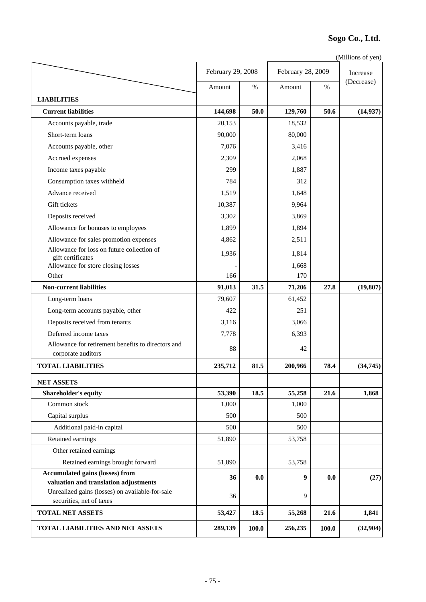#### **Sogo Co., Ltd.**

(Millions of yen)

|                                                                                          | February 29, 2008 |       | February 28, 2009 | Increase |            |
|------------------------------------------------------------------------------------------|-------------------|-------|-------------------|----------|------------|
|                                                                                          | Amount            | $\%$  | Amount            | $\%$     | (Decrease) |
| <b>LIABILITIES</b>                                                                       |                   |       |                   |          |            |
| <b>Current liabilities</b>                                                               | 144,698           | 50.0  | 129,760           | 50.6     | (14, 937)  |
| Accounts payable, trade                                                                  | 20,153            |       | 18,532            |          |            |
| Short-term loans                                                                         | 90,000            |       | 80,000            |          |            |
| Accounts payable, other                                                                  | 7,076             |       | 3,416             |          |            |
| Accrued expenses                                                                         | 2,309             |       | 2,068             |          |            |
| Income taxes payable                                                                     | 299               |       | 1,887             |          |            |
| Consumption taxes withheld                                                               | 784               |       | 312               |          |            |
| Advance received                                                                         | 1,519             |       | 1,648             |          |            |
| Gift tickets                                                                             | 10,387            |       | 9,964             |          |            |
| Deposits received                                                                        | 3,302             |       | 3,869             |          |            |
| Allowance for bonuses to employees                                                       | 1,899             |       | 1,894             |          |            |
| Allowance for sales promotion expenses                                                   | 4,862             |       | 2,511             |          |            |
| Allowance for loss on future collection of                                               | 1,936             |       | 1,814             |          |            |
| gift certificates<br>Allowance for store closing losses                                  |                   |       | 1,668             |          |            |
| Other                                                                                    | 166               |       | 170               |          |            |
| <b>Non-current liabilities</b>                                                           | 91,013            | 31.5  | 71,206            | 27.8     | (19, 807)  |
| Long-term loans                                                                          | 79,607            |       | 61,452            |          |            |
| Long-term accounts payable, other                                                        | 422               |       | 251               |          |            |
| Deposits received from tenants                                                           | 3,116             |       | 3,066             |          |            |
| Deferred income taxes                                                                    | 7,778             |       | 6,393             |          |            |
| Allowance for retirement benefits to directors and                                       |                   |       |                   |          |            |
| corporate auditors                                                                       | 88                |       | 42                |          |            |
| <b>TOTAL LIABILITIES</b>                                                                 | 235,712           | 81.5  | 200,966           | 78.4     | (34, 745)  |
| <b>NET ASSETS</b>                                                                        |                   |       |                   |          |            |
| <b>Shareholder's equity</b>                                                              | 53,390            | 18.5  | 55,258            | 21.6     | 1,868      |
| Common stock                                                                             | 1,000             |       | 1,000             |          |            |
| Capital surplus                                                                          | 500               |       | 500               |          |            |
| Additional paid-in capital                                                               | 500               |       | 500               |          |            |
| Retained earnings                                                                        | 51,890            |       | 53,758            |          |            |
| Other retained earnings                                                                  |                   |       |                   |          |            |
| Retained earnings brought forward                                                        | 51,890            |       | 53,758            |          |            |
| <b>Accumulated gains (losses) from</b>                                                   | 36                | 0.0   | 9                 | 0.0      | (27)       |
| valuation and translation adjustments<br>Unrealized gains (losses) on available-for-sale |                   |       |                   |          |            |
| securities, net of taxes                                                                 | 36                |       | 9                 |          |            |
| <b>TOTAL NET ASSETS</b>                                                                  | 53,427            | 18.5  | 55,268            | 21.6     | 1,841      |
| TOTAL LIABILITIES AND NET ASSETS                                                         | 289,139           | 100.0 | 256,235           | 100.0    | (32, 904)  |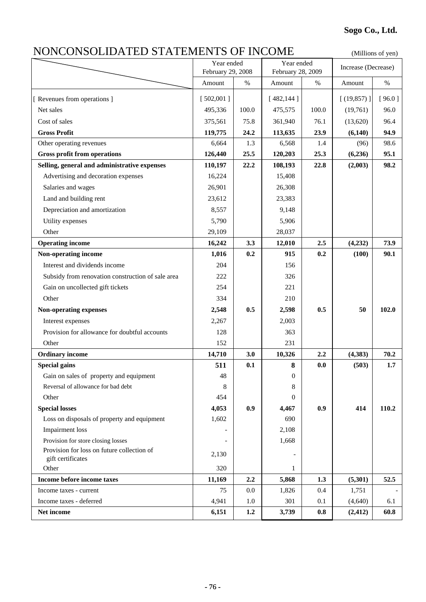## NONCONSOLIDATED STATEMENTS OF INCOME (Millions of yen)

|                                                                 | Year ended                  |       | Year ended                  |       | Increase (Decrease) |        |
|-----------------------------------------------------------------|-----------------------------|-------|-----------------------------|-------|---------------------|--------|
|                                                                 | February 29, 2008<br>Amount | $\%$  | February 28, 2009<br>Amount | $\%$  | Amount              | $\%$   |
|                                                                 |                             |       |                             |       |                     |        |
| [ Revenues from operations ]                                    | [502,001]                   |       | [482, 144]                  |       | [ (19, 857) ]       | [96.0] |
| Net sales                                                       | 495,336                     | 100.0 | 475,575                     | 100.0 | (19,761)            | 96.0   |
| Cost of sales                                                   | 375,561                     | 75.8  | 361,940                     | 76.1  | (13,620)            | 96.4   |
| <b>Gross Profit</b>                                             | 119,775                     | 24.2  | 113,635                     | 23.9  | (6,140)             | 94.9   |
| Other operating revenues                                        | 6,664                       | 1.3   | 6,568                       | 1.4   | (96)                | 98.6   |
| <b>Gross profit from operations</b>                             | 126,440                     | 25.5  | 120,203                     | 25.3  | (6,236)             | 95.1   |
| Selling, general and administrative expenses                    | 110,197                     | 22.2  | 108,193                     | 22.8  | (2,003)             | 98.2   |
| Advertising and decoration expenses                             | 16,224                      |       | 15,408                      |       |                     |        |
| Salaries and wages                                              | 26,901                      |       | 26,308                      |       |                     |        |
| Land and building rent                                          | 23,612                      |       | 23,383                      |       |                     |        |
| Depreciation and amortization                                   | 8,557                       |       | 9,148                       |       |                     |        |
| Utility expenses                                                | 5,790                       |       | 5,906                       |       |                     |        |
| Other                                                           | 29,109                      |       | 28,037                      |       |                     |        |
| <b>Operating income</b>                                         | 16,242                      | 3.3   | 12,010                      | 2.5   | (4,232)             | 73.9   |
| Non-operating income                                            | 1,016                       | 0.2   | 915                         | 0.2   | (100)               | 90.1   |
| Interest and dividends income                                   | 204                         |       | 156                         |       |                     |        |
| Subsidy from renovation construction of sale area               | 222                         |       | 326                         |       |                     |        |
| Gain on uncollected gift tickets                                | 254                         |       | 221                         |       |                     |        |
| Other                                                           | 334                         |       | 210                         |       |                     |        |
| <b>Non-operating expenses</b>                                   | 2,548                       | 0.5   | 2,598                       | 0.5   | 50                  | 102.0  |
| Interest expenses                                               | 2,267                       |       | 2,003                       |       |                     |        |
| Provision for allowance for doubtful accounts                   | 128                         |       | 363                         |       |                     |        |
| Other                                                           | 152                         |       | 231                         |       |                     |        |
| <b>Ordinary income</b>                                          | 14,710                      | 3.0   | 10,326                      | 2.2   | (4, 383)            | 70.2   |
| <b>Special gains</b>                                            | 511                         | 0.1   | 8                           | 0.0   | (503)               | 1.7    |
| Gain on sales of property and equipment                         | 48                          |       | 0                           |       |                     |        |
| Reversal of allowance for bad debt                              | 8                           |       | 8                           |       |                     |        |
| Other                                                           | 454                         |       | 0                           |       |                     |        |
| <b>Special losses</b>                                           | 4,053                       | 0.9   | 4,467                       | 0.9   | 414                 | 110.2  |
| Loss on disposals of property and equipment                     | 1,602                       |       | 690                         |       |                     |        |
| <b>Impairment</b> loss                                          |                             |       | 2,108                       |       |                     |        |
| Provision for store closing losses                              |                             |       | 1,668                       |       |                     |        |
| Provision for loss on future collection of<br>gift certificates | 2,130                       |       |                             |       |                     |        |
| Other                                                           | 320                         |       | 1                           |       |                     |        |
| Income before income taxes                                      | 11,169                      | 2.2   | 5,868                       | 1.3   | (5,301)             | 52.5   |
| Income taxes - current                                          | 75                          | 0.0   | 1,826                       | 0.4   | 1,751               |        |
| Income taxes - deferred                                         | 4,941                       | 1.0   | 301                         | 0.1   | (4,640)             | 6.1    |
| Net income                                                      | 6,151                       | 1.2   | 3,739                       | 0.8   | (2, 412)            | 60.8   |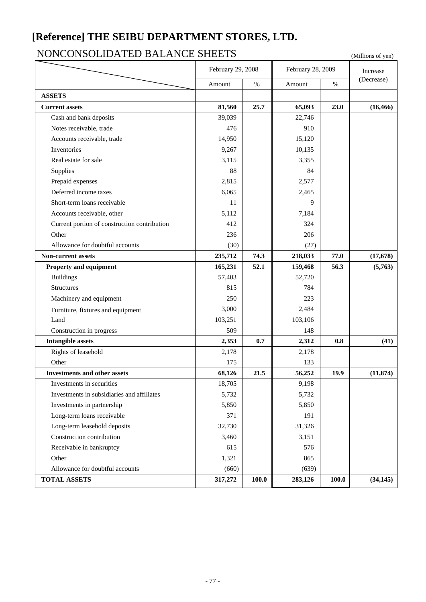### **[Reference] THE SEIBU DEPARTMENT STORES, LTD.**

### NONCONSOLIDATED BALANCE SHEETS (Millions of yen)

|                                              | February 29, 2008 |       | February 28, 2009 | Increase |            |
|----------------------------------------------|-------------------|-------|-------------------|----------|------------|
|                                              | Amount            | $\%$  | Amount            | $\%$     | (Decrease) |
| <b>ASSETS</b>                                |                   |       |                   |          |            |
| <b>Current assets</b>                        | 81,560            | 25.7  | 65,093            | 23.0     | (16, 466)  |
| Cash and bank deposits                       | 39,039            |       | 22,746            |          |            |
| Notes receivable, trade                      | 476               |       | 910               |          |            |
| Accounts receivable, trade                   | 14,950            |       | 15,120            |          |            |
| Inventories                                  | 9,267             |       | 10,135            |          |            |
| Real estate for sale                         | 3,115             |       | 3,355             |          |            |
| Supplies                                     | 88                |       | 84                |          |            |
| Prepaid expenses                             | 2,815             |       | 2,577             |          |            |
| Deferred income taxes                        | 6,065             |       | 2,465             |          |            |
| Short-term loans receivable                  | 11                |       | 9                 |          |            |
| Accounts receivable, other                   | 5,112             |       | 7,184             |          |            |
| Current portion of construction contribution | 412               |       | 324               |          |            |
| Other                                        | 236               |       | 206               |          |            |
| Allowance for doubtful accounts              | (30)              |       | (27)              |          |            |
| <b>Non-current assets</b>                    | 235,712           | 74.3  | 218,033           | 77.0     | (17, 678)  |
| Property and equipment                       | 165,231           | 52.1  | 159,468           | 56.3     | (5,763)    |
| <b>Buildings</b>                             | 57,403            |       | 52,720            |          |            |
| <b>Structures</b>                            | 815               |       | 784               |          |            |
| Machinery and equipment                      | 250               |       | 223               |          |            |
| Furniture, fixtures and equipment            | 3,000             |       | 2,484             |          |            |
| Land                                         | 103,251           |       | 103,106           |          |            |
| Construction in progress                     | 509               |       | 148               |          |            |
| <b>Intangible assets</b>                     | 2,353             | 0.7   | 2,312             | 0.8      | (41)       |
| Rights of leasehold                          | 2,178             |       | 2,178             |          |            |
| Other                                        | 175               |       | 133               |          |            |
| <b>Investments and other assets</b>          | 68,126            | 21.5  | 56,252            | 19.9     | (11, 874)  |
| Investments in securities                    | 18,705            |       | 9,198             |          |            |
| Investments in subsidiaries and affiliates   | 5,732             |       | 5,732             |          |            |
| Investments in partnership                   | 5,850             |       | 5,850             |          |            |
| Long-term loans receivable                   | 371               |       | 191               |          |            |
| Long-term leasehold deposits                 | 32,730            |       | 31,326            |          |            |
| Construction contribution                    | 3,460             |       | 3,151             |          |            |
| Receivable in bankruptcy                     | 615               |       | 576               |          |            |
| Other                                        | 1,321             |       | 865               |          |            |
| Allowance for doubtful accounts              | (660)             |       | (639)             |          |            |
| <b>TOTAL ASSETS</b>                          | 317,272           | 100.0 | 283,126           | 100.0    | (34, 145)  |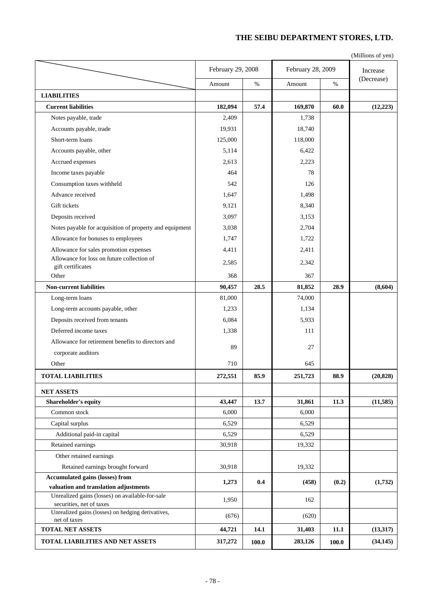#### **THE SEIBU DEPARTMENT STORES, LTD.**

(Millions of yen)

|                                                                               | February 29, 2008 |       | February 28, 2009 | Increase |            |
|-------------------------------------------------------------------------------|-------------------|-------|-------------------|----------|------------|
|                                                                               | Amount            | $\%$  | Amount            | $\%$     | (Decrease) |
| <b>LIABILITIES</b>                                                            |                   |       |                   |          |            |
| <b>Current liabilities</b>                                                    | 182,094           | 57.4  | 169,870           | 60.0     | (12, 223)  |
| Notes payable, trade                                                          | 2,409             |       | 1,738             |          |            |
| Accounts payable, trade                                                       | 19,931            |       | 18,740            |          |            |
| Short-term loans                                                              | 125,000           |       | 118,000           |          |            |
| Accounts payable, other                                                       | 5,114             |       | 6,422             |          |            |
| Accrued expenses                                                              | 2,613             |       | 2,223             |          |            |
| Income taxes payable                                                          | 464               |       | 78                |          |            |
| Consumption taxes withheld                                                    | 542               |       | 126               |          |            |
| Advance received                                                              | 1,647             |       | 1,498             |          |            |
| Gift tickets                                                                  | 9,121             |       | 8,340             |          |            |
| Deposits received                                                             | 3,097             |       | 3,153             |          |            |
| Notes payable for acquisition of property and equipment                       | 3,038             |       | 2,704             |          |            |
| Allowance for bonuses to employees                                            | 1,747             |       | 1,722             |          |            |
| Allowance for sales promotion expenses                                        | 4,411             |       | 2,411             |          |            |
| Allowance for loss on future collection of                                    |                   |       |                   |          |            |
| gift certificates                                                             | 2,585             |       | 2,342             |          |            |
| Other                                                                         | 368               |       | 367               |          |            |
| <b>Non-current liabilities</b>                                                | 90,457            | 28.5  | 81,852            | 28.9     | (8,604)    |
| Long-term loans                                                               | 81,000            |       | 74,000            |          |            |
| Long-term accounts payable, other                                             | 1,233             |       | 1,134             |          |            |
| Deposits received from tenants                                                | 6,084             |       | 5,933             |          |            |
| Deferred income taxes                                                         | 1,338             |       | 111               |          |            |
| Allowance for retirement benefits to directors and                            | 89                |       | 27                |          |            |
| corporate auditors                                                            |                   |       |                   |          |            |
| Other                                                                         | 710               |       | 645               |          |            |
| <b>TOTAL LIABILITIES</b>                                                      | 272,551           | 85.9  | 251,723           | 88.9     | (20, 828)  |
| <b>NET ASSETS</b>                                                             |                   |       |                   |          |            |
| Shareholder's equity                                                          | 43,447            | 13.7  | 31,861            | 11.3     | (11,585)   |
| Common stock                                                                  | 6,000             |       | 6,000             |          |            |
| Capital surplus                                                               | 6,529             |       | 6,529             |          |            |
| Additional paid-in capital                                                    | 6,529             |       | 6,529             |          |            |
| Retained earnings                                                             | 30,918            |       | 19,332            |          |            |
| Other retained earnings                                                       |                   |       |                   |          |            |
| Retained earnings brought forward                                             | 30,918            |       | 19,332            |          |            |
| <b>Accumulated gains (losses) from</b>                                        |                   |       |                   |          |            |
| valuation and translation adjustments                                         | 1,273             | 0.4   | (458)             | (0.2)    | (1,732)    |
| Unrealized gains (losses) on available-for-sale                               | 1,950             |       | 162               |          |            |
| securities, net of taxes<br>Unrealized gains (losses) on hedging derivatives, |                   |       |                   |          |            |
| net of taxes                                                                  | (676)             |       | (620)             |          |            |
| <b>TOTAL NET ASSETS</b>                                                       | 44,721            | 14.1  | 31,403            | 11.1     | (13, 317)  |
| TOTAL LIABILITIES AND NET ASSETS                                              | 317,272           | 100.0 | 283,126           | 100.0    | (34, 145)  |

ı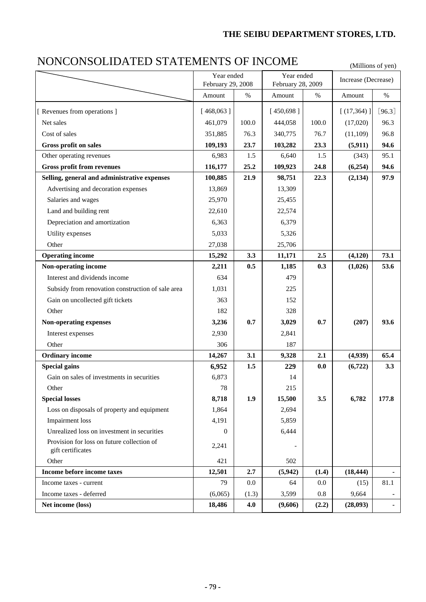#### **THE SEIBU DEPARTMENT STORES, LTD.**

# NONCONSOLIDATED STATEMENTS OF INCOME (Millions of yen)

|                                                                 | Year ended<br>February 29, 2008 |         | Year ended<br>February 28, 2009 |       | Increase (Decrease) |          |
|-----------------------------------------------------------------|---------------------------------|---------|---------------------------------|-------|---------------------|----------|
|                                                                 | Amount                          | $\%$    | Amount                          | %     | Amount              | $\%$     |
| [ Revenues from operations ]                                    | [468,063]                       |         | [450,698]                       |       | [ (17, 364) ]       | $[96.3]$ |
| Net sales                                                       | 461,079                         | 100.0   | 444,058                         | 100.0 | (17,020)            | 96.3     |
| Cost of sales                                                   | 351,885                         | 76.3    | 340,775                         | 76.7  | (11, 109)           | 96.8     |
| Gross profit on sales                                           | 109,193                         | 23.7    | 103,282                         | 23.3  | (5, 911)            | 94.6     |
| Other operating revenues                                        | 6,983                           | 1.5     | 6,640                           | 1.5   | (343)               | 95.1     |
| <b>Gross profit from revenues</b>                               | 116,177                         | 25.2    | 109,923                         | 24.8  | (6,254)             | 94.6     |
| Selling, general and administrative expenses                    | 100,885                         | 21.9    | 98,751                          | 22.3  | (2, 134)            | 97.9     |
| Advertising and decoration expenses                             | 13,869                          |         | 13,309                          |       |                     |          |
| Salaries and wages                                              | 25,970                          |         | 25,455                          |       |                     |          |
| Land and building rent                                          | 22,610                          |         | 22,574                          |       |                     |          |
| Depreciation and amortization                                   | 6,363                           |         | 6,379                           |       |                     |          |
| Utility expenses                                                | 5,033                           |         | 5,326                           |       |                     |          |
| Other                                                           | 27,038                          |         | 25,706                          |       |                     |          |
| <b>Operating income</b>                                         | 15,292                          | 3.3     | 11,171                          | 2.5   | (4, 120)            | 73.1     |
| Non-operating income                                            | 2,211                           | 0.5     | 1,185                           | 0.3   | (1,026)             | 53.6     |
| Interest and dividends income                                   | 634                             |         | 479                             |       |                     |          |
| Subsidy from renovation construction of sale area               | 1,031                           |         | 225                             |       |                     |          |
| Gain on uncollected gift tickets                                | 363                             |         | 152                             |       |                     |          |
| Other                                                           | 182                             |         | 328                             |       |                     |          |
| Non-operating expenses                                          | 3,236                           | 0.7     | 3,029                           | 0.7   | (207)               | 93.6     |
| Interest expenses                                               | 2,930                           |         | 2,841                           |       |                     |          |
| Other                                                           | 306                             |         | 187                             |       |                     |          |
| <b>Ordinary income</b>                                          | 14,267                          | 3.1     | 9,328                           | 2.1   | (4,939)             | 65.4     |
| <b>Special gains</b>                                            | 6,952                           | 1.5     | 229                             | 0.0   | (6, 722)            | 3.3      |
| Gain on sales of investments in securities                      | 6,873                           |         | 14                              |       |                     |          |
| Other                                                           | 78                              |         | 215                             |       |                     |          |
| <b>Special losses</b>                                           | 8,718                           | 1.9     | 15,500                          | 3.5   | 6,782               | 177.8    |
| Loss on disposals of property and equipment                     | 1,864                           |         | 2,694                           |       |                     |          |
| Impairment loss                                                 | 4,191                           |         | 5,859                           |       |                     |          |
| Unrealized loss on investment in securities                     | $\theta$                        |         | 6,444                           |       |                     |          |
| Provision for loss on future collection of<br>gift certificates | 2,241                           |         |                                 |       |                     |          |
| Other                                                           | 421                             |         | 502                             |       |                     |          |
| Income before income taxes                                      | 12,501                          | 2.7     | (5,942)                         | (1.4) | (18, 444)           |          |
| Income taxes - current                                          | 79                              | $0.0\,$ | 64                              | 0.0   | (15)                | 81.1     |
| Income taxes - deferred                                         | (6,065)                         | (1.3)   | 3,599                           | 0.8   | 9,664               |          |
| Net income (loss)                                               | 18,486                          | 4.0     | (9,606)                         | (2.2) | (28,093)            |          |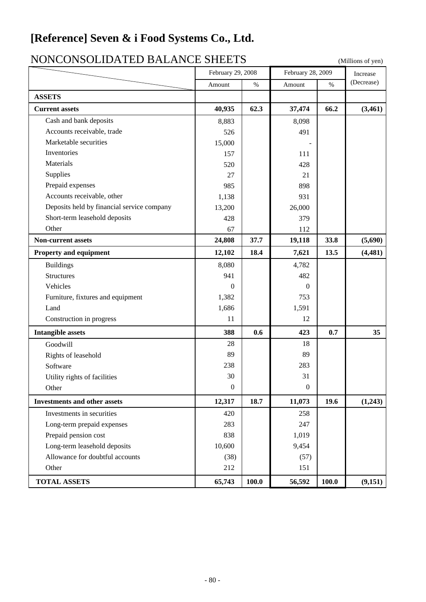### **[Reference] Seven & i Food Systems Co., Ltd.**

#### (Millions of yen) **ASSETS Current assets** 40,935 62.3 37,474 66.2 (3,461) Cash and bank deposits  $8,883$  8,098 Accounts receivable, trade 526 526 491 Marketable securities 15,000 Inventories 157 111 Materials 428 Supplies  $27$  21 21 Prepaid expenses 898 Accounts receivable, other 1,138 931 Deposits held by financial service company 13,200 26,000 Short-term leasehold deposits 128 428 379 Other 67 112 **Non-current assets** 24,808 37.7 19,118 33.8 (5,690) **Property and equipment** 12,102 18.4 7,621 13.5 (4,481) Buildings 8,080 and 4,782 Structures 1941 482 Vehicles 0 0 Furniture, fixtures and equipment 1,382 753 Land  $1,591$ Construction in progress 11 12 12 **Intangible assets** 388 0.6 423 0.7 35 Goodwill 28 28 18 Rights of leasehold 89 89 89 Software 238 283 Utility rights of facilities 30 31 Other  $0 \t 0 \t 0$ **Investments and other assets** 12,317 18.7 11,073 19.6 (1,243) Investments in securities 1258 Long-term prepaid expenses 283 247 Prepaid pension cost and a set of the set of the set of the set of the set of the set of the set of the set of the set of the set of the set of the set of the set of the set of the set of the set of the set of the set of t Long-term leasehold deposits 10,600 9,454 Allowance for doubtful accounts (38) (57) Other 212 151 **TOTAL ASSETS 100.0 1 65.743 100.0 1 56.592 100.0 1 10.151** NONCONSOLIDATED BALANCE SHEETS Increase  $\sqrt{\frac{9}{6}}$  (Decrease) February 28, 2009  $%$  Amount February 29, 2008 Amount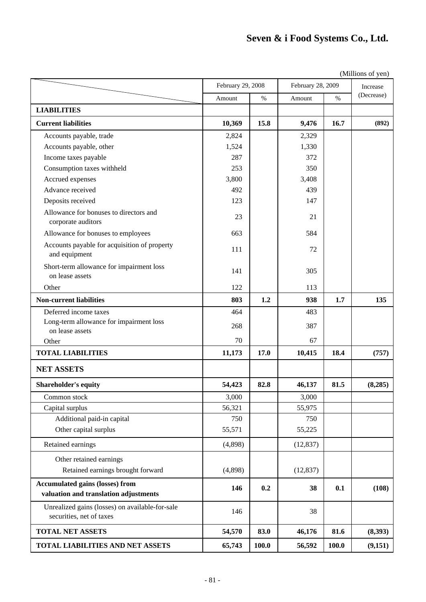# **Seven & i Food Systems Co., Ltd.**

|                                                                                 |         | February 29, 2008 |           | $\cdots$<br>February 28, 2009 |            |  |
|---------------------------------------------------------------------------------|---------|-------------------|-----------|-------------------------------|------------|--|
|                                                                                 | Amount  | $\%$              | Amount    | $\%$                          | (Decrease) |  |
| <b>LIABILITIES</b>                                                              |         |                   |           |                               |            |  |
| <b>Current liabilities</b>                                                      | 10,369  | 15.8              | 9,476     | 16.7                          | (892)      |  |
| Accounts payable, trade                                                         | 2,824   |                   | 2,329     |                               |            |  |
| Accounts payable, other                                                         | 1,524   |                   | 1,330     |                               |            |  |
| Income taxes payable                                                            | 287     |                   | 372       |                               |            |  |
| Consumption taxes withheld                                                      | 253     |                   | 350       |                               |            |  |
| Accrued expenses                                                                | 3,800   |                   | 3,408     |                               |            |  |
| Advance received                                                                | 492     |                   | 439       |                               |            |  |
| Deposits received                                                               | 123     |                   | 147       |                               |            |  |
| Allowance for bonuses to directors and<br>corporate auditors                    | 23      |                   | 21        |                               |            |  |
| Allowance for bonuses to employees                                              | 663     |                   | 584       |                               |            |  |
| Accounts payable for acquisition of property<br>and equipment                   | 111     |                   | 72        |                               |            |  |
| Short-term allowance for impairment loss<br>on lease assets                     | 141     |                   | 305       |                               |            |  |
| Other                                                                           | 122     |                   | 113       |                               |            |  |
| <b>Non-current liabilities</b>                                                  | 803     | 1.2               | 938       | 1.7                           | 135        |  |
| Deferred income taxes                                                           | 464     |                   | 483       |                               |            |  |
| Long-term allowance for impairment loss                                         | 268     |                   | 387       |                               |            |  |
| on lease assets                                                                 |         |                   |           |                               |            |  |
| Other                                                                           | 70      |                   | 67        |                               |            |  |
| <b>TOTAL LIABILITIES</b>                                                        | 11,173  | 17.0              | 10,415    | 18.4                          | (757)      |  |
| <b>NET ASSETS</b>                                                               |         |                   |           |                               |            |  |
| <b>Shareholder's equity</b>                                                     | 54,423  | 82.8              | 46,137    | 81.5                          | (8, 285)   |  |
| Common stock                                                                    | 3,000   |                   | 3,000     |                               |            |  |
| Capital surplus                                                                 | 56,321  |                   | 55,975    |                               |            |  |
| Additional paid-in capital                                                      | 750     |                   | 750       |                               |            |  |
| Other capital surplus                                                           | 55,571  |                   | 55,225    |                               |            |  |
| Retained earnings                                                               | (4,898) |                   | (12, 837) |                               |            |  |
| Other retained earnings                                                         |         |                   |           |                               |            |  |
| Retained earnings brought forward                                               | (4,898) |                   | (12, 837) |                               |            |  |
| <b>Accumulated gains (losses) from</b><br>valuation and translation adjustments | 146     | 0.2               | 38        | 0.1                           | (108)      |  |
| Unrealized gains (losses) on available-for-sale<br>securities, net of taxes     | 146     |                   | 38        |                               |            |  |
| <b>TOTAL NET ASSETS</b>                                                         | 54,570  | 83.0              | 46,176    | 81.6                          | (8,393)    |  |
| <b>TOTAL LIABILITIES AND NET ASSETS</b>                                         | 65,743  | 100.0             | 56,592    | 100.0                         | (9,151)    |  |

(Millions of yen)